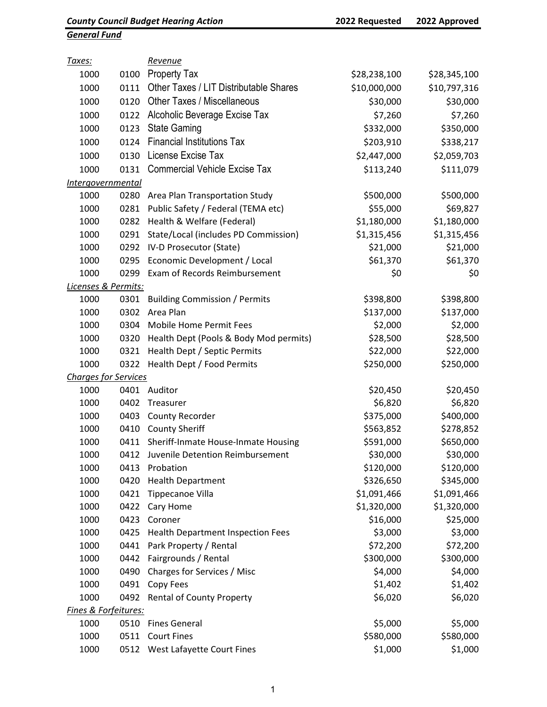## General Fund

| <u>Taxes:</u>               |      | Revenue                                  |              |              |
|-----------------------------|------|------------------------------------------|--------------|--------------|
| 1000                        | 0100 | <b>Property Tax</b>                      | \$28,238,100 | \$28,345,100 |
| 1000                        | 0111 | Other Taxes / LIT Distributable Shares   | \$10,000,000 | \$10,797,316 |
| 1000                        | 0120 | <b>Other Taxes / Miscellaneous</b>       | \$30,000     | \$30,000     |
| 1000                        | 0122 | Alcoholic Beverage Excise Tax            | \$7,260      | \$7,260      |
| 1000                        | 0123 | <b>State Gaming</b>                      | \$332,000    | \$350,000    |
| 1000                        | 0124 | <b>Financial Institutions Tax</b>        | \$203,910    | \$338,217    |
| 1000                        | 0130 | License Excise Tax                       | \$2,447,000  | \$2,059,703  |
| 1000                        | 0131 | <b>Commercial Vehicle Excise Tax</b>     | \$113,240    | \$111,079    |
| <i>Intergovernmental</i>    |      |                                          |              |              |
| 1000                        | 0280 | Area Plan Transportation Study           | \$500,000    | \$500,000    |
| 1000                        | 0281 | Public Safety / Federal (TEMA etc)       | \$55,000     | \$69,827     |
| 1000                        | 0282 | Health & Welfare (Federal)               | \$1,180,000  | \$1,180,000  |
| 1000                        | 0291 | State/Local (includes PD Commission)     | \$1,315,456  | \$1,315,456  |
| 1000                        | 0292 | IV-D Prosecutor (State)                  | \$21,000     | \$21,000     |
| 1000                        | 0295 | Economic Development / Local             | \$61,370     | \$61,370     |
| 1000                        | 0299 | Exam of Records Reimbursement            | \$0          | \$0          |
| Licenses & Permits:         |      |                                          |              |              |
| 1000                        | 0301 | <b>Building Commission / Permits</b>     | \$398,800    | \$398,800    |
| 1000                        | 0302 | Area Plan                                | \$137,000    | \$137,000    |
| 1000                        | 0304 | <b>Mobile Home Permit Fees</b>           | \$2,000      | \$2,000      |
| 1000                        | 0320 | Health Dept (Pools & Body Mod permits)   | \$28,500     | \$28,500     |
| 1000                        | 0321 | Health Dept / Septic Permits             | \$22,000     | \$22,000     |
| 1000                        | 0322 | Health Dept / Food Permits               | \$250,000    | \$250,000    |
| <b>Charges for Services</b> |      |                                          |              |              |
| 1000                        | 0401 | Auditor                                  | \$20,450     | \$20,450     |
| 1000                        | 0402 | Treasurer                                | \$6,820      | \$6,820      |
| 1000                        | 0403 | County Recorder                          | \$375,000    | \$400,000    |
| 1000                        | 0410 | <b>County Sheriff</b>                    | \$563,852    | \$278,852    |
| 1000                        | 0411 | Sheriff-Inmate House-Inmate Housing      | \$591,000    | \$650,000    |
| 1000                        |      | 0412 Juvenile Detention Reimbursement    | \$30,000     | \$30,000     |
| 1000                        | 0413 | Probation                                | \$120,000    | \$120,000    |
| 1000                        | 0420 | <b>Health Department</b>                 | \$326,650    | \$345,000    |
| 1000                        | 0421 | Tippecanoe Villa                         | \$1,091,466  | \$1,091,466  |
| 1000                        | 0422 | Cary Home                                | \$1,320,000  | \$1,320,000  |
| 1000                        | 0423 | Coroner                                  | \$16,000     | \$25,000     |
| 1000                        | 0425 | <b>Health Department Inspection Fees</b> | \$3,000      | \$3,000      |
| 1000                        | 0441 | Park Property / Rental                   | \$72,200     | \$72,200     |
| 1000                        | 0442 | Fairgrounds / Rental                     | \$300,000    | \$300,000    |
| 1000                        | 0490 | Charges for Services / Misc              | \$4,000      | \$4,000      |
| 1000                        | 0491 | Copy Fees                                | \$1,402      | \$1,402      |
| 1000                        | 0492 | <b>Rental of County Property</b>         | \$6,020      | \$6,020      |
| Fines & Forfeitures:        |      |                                          |              |              |
| 1000                        | 0510 | <b>Fines General</b>                     | \$5,000      | \$5,000      |
| 1000                        | 0511 | <b>Court Fines</b>                       | \$580,000    | \$580,000    |
| 1000                        |      | 0512 West Lafayette Court Fines          | \$1,000      | \$1,000      |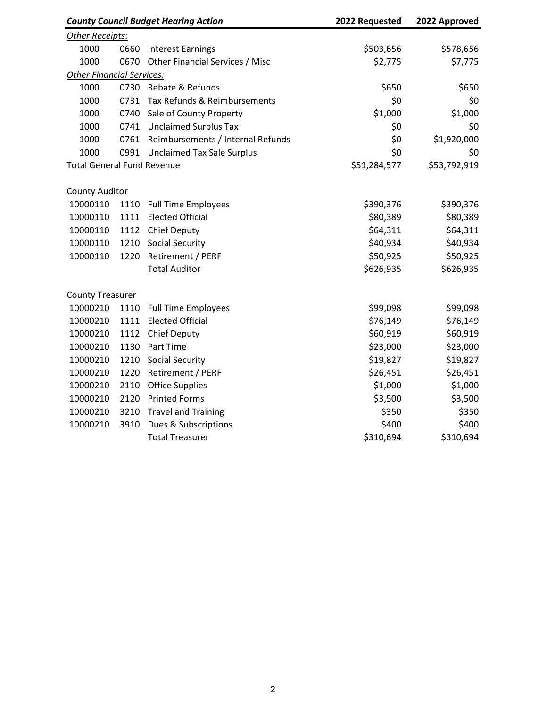| <b>County Council Budget Hearing Action</b> |      | 2022 Requested                    | 2022 Approved |              |
|---------------------------------------------|------|-----------------------------------|---------------|--------------|
| Other Receipts:                             |      |                                   |               |              |
| 1000                                        | 0660 | <b>Interest Earnings</b>          | \$503,656     | \$578,656    |
| 1000                                        | 0670 | Other Financial Services / Misc   | \$2,775       | \$7,775      |
| <b>Other Financial Services:</b>            |      |                                   |               |              |
| 1000                                        |      | 0730 Rebate & Refunds             | \$650         | \$650        |
| 1000                                        | 0731 | Tax Refunds & Reimbursements      | \$0           | \$0          |
| 1000                                        | 0740 | Sale of County Property           | \$1,000       | \$1,000      |
| 1000                                        | 0741 | <b>Unclaimed Surplus Tax</b>      | \$0           | \$0          |
| 1000                                        | 0761 | Reimbursements / Internal Refunds | \$0           | \$1,920,000  |
| 1000                                        | 0991 | <b>Unclaimed Tax Sale Surplus</b> | \$0           | \$0          |
| <b>Total General Fund Revenue</b>           |      |                                   | \$51,284,577  | \$53,792,919 |
| <b>County Auditor</b>                       |      |                                   |               |              |
| 10000110                                    | 1110 | <b>Full Time Employees</b>        | \$390,376     | \$390,376    |
| 10000110                                    | 1111 | <b>Elected Official</b>           | \$80,389      | \$80,389     |
| 10000110                                    | 1112 | <b>Chief Deputy</b>               | \$64,311      | \$64,311     |
| 10000110                                    | 1210 | <b>Social Security</b>            | \$40,934      | \$40,934     |
| 10000110                                    | 1220 | Retirement / PERF                 | \$50,925      | \$50,925     |
|                                             |      | <b>Total Auditor</b>              | \$626,935     | \$626,935    |
| <b>County Treasurer</b>                     |      |                                   |               |              |
| 10000210                                    | 1110 | <b>Full Time Employees</b>        | \$99,098      | \$99,098     |
| 10000210                                    | 1111 | <b>Elected Official</b>           | \$76,149      | \$76,149     |
| 10000210                                    | 1112 | <b>Chief Deputy</b>               | \$60,919      | \$60,919     |
| 10000210                                    | 1130 | Part Time                         | \$23,000      | \$23,000     |
| 10000210                                    | 1210 | Social Security                   | \$19,827      | \$19,827     |
| 10000210                                    | 1220 | Retirement / PERF                 | \$26,451      | \$26,451     |
| 10000210                                    | 2110 | <b>Office Supplies</b>            | \$1,000       | \$1,000      |
| 10000210                                    | 2120 | <b>Printed Forms</b>              | \$3,500       | \$3,500      |
| 10000210                                    | 3210 | <b>Travel and Training</b>        | \$350         | \$350        |
| 10000210                                    | 3910 | Dues & Subscriptions              | \$400         | \$400        |
|                                             |      | <b>Total Treasurer</b>            | \$310,694     | \$310,694    |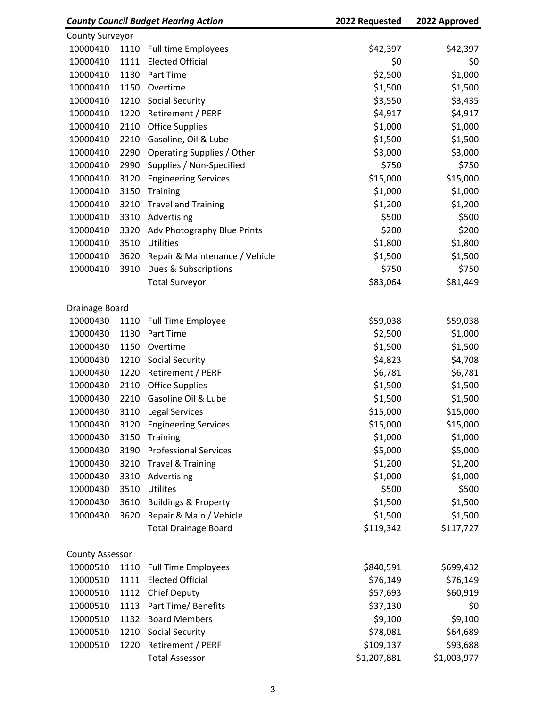| <b>County Council Budget Hearing Action</b> |      | 2022 Requested                  | 2022 Approved |             |
|---------------------------------------------|------|---------------------------------|---------------|-------------|
| <b>County Surveyor</b>                      |      |                                 |               |             |
| 10000410                                    | 1110 | <b>Full time Employees</b>      | \$42,397      | \$42,397    |
| 10000410                                    | 1111 | <b>Elected Official</b>         | \$0           | \$0         |
| 10000410                                    | 1130 | Part Time                       | \$2,500       | \$1,000     |
| 10000410                                    | 1150 | Overtime                        | \$1,500       | \$1,500     |
| 10000410                                    | 1210 | <b>Social Security</b>          | \$3,550       | \$3,435     |
| 10000410                                    | 1220 | Retirement / PERF               | \$4,917       | \$4,917     |
| 10000410                                    | 2110 | <b>Office Supplies</b>          | \$1,000       | \$1,000     |
| 10000410                                    | 2210 | Gasoline, Oil & Lube            | \$1,500       | \$1,500     |
| 10000410                                    | 2290 | Operating Supplies / Other      | \$3,000       | \$3,000     |
| 10000410                                    | 2990 | Supplies / Non-Specified        | \$750         | \$750       |
| 10000410                                    | 3120 | <b>Engineering Services</b>     | \$15,000      | \$15,000    |
| 10000410                                    | 3150 | Training                        | \$1,000       | \$1,000     |
| 10000410                                    | 3210 | <b>Travel and Training</b>      | \$1,200       | \$1,200     |
| 10000410                                    | 3310 | Advertising                     | \$500         | \$500       |
| 10000410                                    | 3320 | Adv Photography Blue Prints     | \$200         | \$200       |
| 10000410                                    | 3510 | Utilities                       | \$1,800       | \$1,800     |
| 10000410                                    | 3620 | Repair & Maintenance / Vehicle  | \$1,500       | \$1,500     |
| 10000410                                    | 3910 | Dues & Subscriptions            | \$750         | \$750       |
|                                             |      | <b>Total Surveyor</b>           | \$83,064      | \$81,449    |
|                                             |      |                                 |               |             |
| Drainage Board                              |      |                                 |               |             |
| 10000430                                    | 1110 | <b>Full Time Employee</b>       | \$59,038      | \$59,038    |
| 10000430                                    | 1130 | Part Time                       | \$2,500       | \$1,000     |
| 10000430                                    | 1150 | Overtime                        | \$1,500       | \$1,500     |
| 10000430                                    | 1210 | Social Security                 | \$4,823       | \$4,708     |
| 10000430                                    | 1220 | Retirement / PERF               | \$6,781       | \$6,781     |
| 10000430                                    | 2110 | <b>Office Supplies</b>          | \$1,500       | \$1,500     |
| 10000430                                    | 2210 | Gasoline Oil & Lube             | \$1,500       | \$1,500     |
| 10000430                                    | 3110 | Legal Services                  | \$15,000      | \$15,000    |
| 10000430                                    | 3120 | <b>Engineering Services</b>     | \$15,000      | \$15,000    |
| 10000430                                    | 3150 | Training                        | \$1,000       | \$1,000     |
| 10000430                                    | 3190 | <b>Professional Services</b>    | \$5,000       | \$5,000     |
| 10000430                                    | 3210 | <b>Travel &amp; Training</b>    | \$1,200       | \$1,200     |
| 10000430                                    | 3310 | Advertising                     | \$1,000       | \$1,000     |
| 10000430                                    | 3510 | Utilites                        | \$500         | \$500       |
| 10000430                                    | 3610 | <b>Buildings &amp; Property</b> | \$1,500       | \$1,500     |
| 10000430                                    | 3620 | Repair & Main / Vehicle         | \$1,500       | \$1,500     |
|                                             |      | <b>Total Drainage Board</b>     | \$119,342     | \$117,727   |
|                                             |      |                                 |               |             |
| <b>County Assessor</b>                      |      |                                 |               |             |
| 10000510                                    | 1110 | <b>Full Time Employees</b>      | \$840,591     | \$699,432   |
| 10000510                                    | 1111 | <b>Elected Official</b>         | \$76,149      | \$76,149    |
| 10000510                                    | 1112 | Chief Deputy                    | \$57,693      | \$60,919    |
| 10000510                                    | 1113 | Part Time/ Benefits             | \$37,130      | \$0         |
| 10000510                                    | 1132 | <b>Board Members</b>            | \$9,100       | \$9,100     |
| 10000510                                    | 1210 | Social Security                 | \$78,081      | \$64,689    |
| 10000510                                    | 1220 | Retirement / PERF               | \$109,137     | \$93,688    |
|                                             |      | <b>Total Assessor</b>           | \$1,207,881   | \$1,003,977 |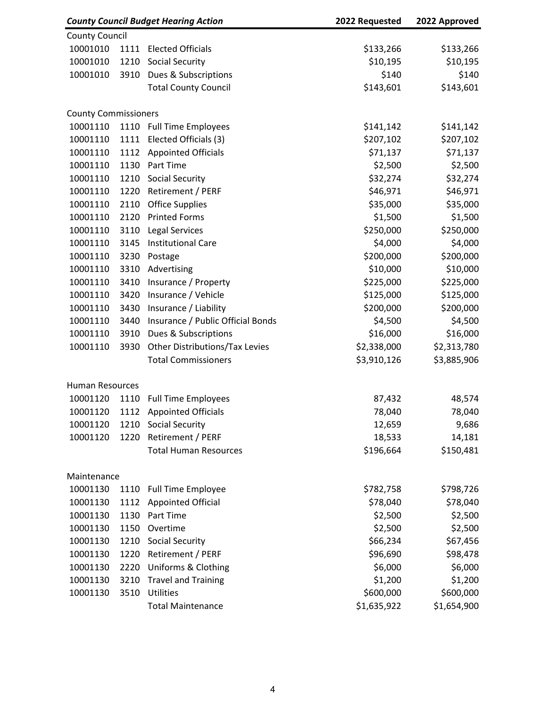| <b>County Council</b><br>10001010<br>1111<br><b>Elected Officials</b><br>\$133,266<br>\$133,266<br>10001010<br>1210<br><b>Social Security</b><br>\$10,195<br>\$10,195<br>\$140<br>\$140<br>Dues & Subscriptions<br>10001010<br>3910<br><b>Total County Council</b><br>\$143,601<br>\$143,601<br><b>County Commissioners</b><br>10001110<br>1110<br><b>Full Time Employees</b><br>\$141,142<br>\$141,142<br>Elected Officials (3)<br>\$207,102<br>\$207,102<br>10001110<br>1111<br>\$71,137<br>10001110<br>1112<br><b>Appointed Officials</b><br>\$71,137<br>\$2,500<br>\$2,500<br>1130<br>Part Time<br>10001110<br>10001110<br>1210<br><b>Social Security</b><br>\$32,274<br>\$32,274<br>\$46,971<br>10001110<br>1220<br>Retirement / PERF<br>\$46,971<br>\$35,000<br>\$35,000<br>10001110<br>2110<br><b>Office Supplies</b><br>10001110<br>2120<br><b>Printed Forms</b><br>\$1,500<br>\$1,500<br>\$250,000<br>\$250,000<br>3110<br><b>Legal Services</b><br>10001110<br>\$4,000<br>10001110<br>3145<br><b>Institutional Care</b><br>\$4,000<br>10001110<br>3230<br>\$200,000<br>\$200,000<br>Postage<br>\$10,000<br>\$10,000<br>10001110<br>3310<br>Advertising<br>10001110<br>3410<br>Insurance / Property<br>\$225,000<br>\$225,000<br>\$125,000<br>3420<br>Insurance / Vehicle<br>\$125,000<br>10001110<br>10001110<br>\$200,000<br>\$200,000<br>3430<br>Insurance / Liability<br>\$4,500<br>Insurance / Public Official Bonds<br>\$4,500<br>10001110<br>3440<br>\$16,000<br>\$16,000<br>10001110<br>3910<br>Dues & Subscriptions<br>10001110<br>Other Distributions/Tax Levies<br>\$2,338,000<br>\$2,313,780<br>3930<br><b>Total Commissioners</b><br>\$3,910,126<br>\$3,885,906<br><b>Human Resources</b><br>10001120<br>1110<br><b>Full Time Employees</b><br>87,432<br>48,574<br><b>Appointed Officials</b><br>78,040<br>78,040<br>10001120<br>1112<br>10001120<br><b>Social Security</b><br>12,659<br>9,686<br>1210<br>10001120<br>1220<br>Retirement / PERF<br>18,533<br>14,181<br><b>Total Human Resources</b><br>\$196,664<br>\$150,481<br>Maintenance<br>10001130<br>1110<br>\$782,758<br>\$798,726<br><b>Full Time Employee</b><br>1112<br><b>Appointed Official</b><br>\$78,040<br>\$78,040<br>10001130<br>\$2,500<br>\$2,500<br>1130<br>Part Time<br>10001130<br>10001130<br>1150<br>Overtime<br>\$2,500<br>\$2,500<br>\$66,234<br>\$67,456<br>10001130<br>1210<br><b>Social Security</b><br>Retirement / PERF<br>\$96,690<br>10001130<br>1220<br>\$98,478<br><b>Uniforms &amp; Clothing</b><br>\$6,000<br>2220<br>\$6,000<br>10001130<br>\$1,200<br>\$1,200<br>10001130<br>3210<br><b>Travel and Training</b><br>10001130<br>3510<br>Utilities<br>\$600,000<br>\$600,000 | <b>County Council Budget Hearing Action</b> |  | 2022 Requested           | 2022 Approved |             |
|-------------------------------------------------------------------------------------------------------------------------------------------------------------------------------------------------------------------------------------------------------------------------------------------------------------------------------------------------------------------------------------------------------------------------------------------------------------------------------------------------------------------------------------------------------------------------------------------------------------------------------------------------------------------------------------------------------------------------------------------------------------------------------------------------------------------------------------------------------------------------------------------------------------------------------------------------------------------------------------------------------------------------------------------------------------------------------------------------------------------------------------------------------------------------------------------------------------------------------------------------------------------------------------------------------------------------------------------------------------------------------------------------------------------------------------------------------------------------------------------------------------------------------------------------------------------------------------------------------------------------------------------------------------------------------------------------------------------------------------------------------------------------------------------------------------------------------------------------------------------------------------------------------------------------------------------------------------------------------------------------------------------------------------------------------------------------------------------------------------------------------------------------------------------------------------------------------------------------------------------------------------------------------------------------------------------------------------------------------------------------------------------------------------------------------------------------------------------------------------------------------------------------------------------------------------------------------------------------------------------------------------------------------------------------------------------|---------------------------------------------|--|--------------------------|---------------|-------------|
|                                                                                                                                                                                                                                                                                                                                                                                                                                                                                                                                                                                                                                                                                                                                                                                                                                                                                                                                                                                                                                                                                                                                                                                                                                                                                                                                                                                                                                                                                                                                                                                                                                                                                                                                                                                                                                                                                                                                                                                                                                                                                                                                                                                                                                                                                                                                                                                                                                                                                                                                                                                                                                                                                           |                                             |  |                          |               |             |
|                                                                                                                                                                                                                                                                                                                                                                                                                                                                                                                                                                                                                                                                                                                                                                                                                                                                                                                                                                                                                                                                                                                                                                                                                                                                                                                                                                                                                                                                                                                                                                                                                                                                                                                                                                                                                                                                                                                                                                                                                                                                                                                                                                                                                                                                                                                                                                                                                                                                                                                                                                                                                                                                                           |                                             |  |                          |               |             |
|                                                                                                                                                                                                                                                                                                                                                                                                                                                                                                                                                                                                                                                                                                                                                                                                                                                                                                                                                                                                                                                                                                                                                                                                                                                                                                                                                                                                                                                                                                                                                                                                                                                                                                                                                                                                                                                                                                                                                                                                                                                                                                                                                                                                                                                                                                                                                                                                                                                                                                                                                                                                                                                                                           |                                             |  |                          |               |             |
|                                                                                                                                                                                                                                                                                                                                                                                                                                                                                                                                                                                                                                                                                                                                                                                                                                                                                                                                                                                                                                                                                                                                                                                                                                                                                                                                                                                                                                                                                                                                                                                                                                                                                                                                                                                                                                                                                                                                                                                                                                                                                                                                                                                                                                                                                                                                                                                                                                                                                                                                                                                                                                                                                           |                                             |  |                          |               |             |
|                                                                                                                                                                                                                                                                                                                                                                                                                                                                                                                                                                                                                                                                                                                                                                                                                                                                                                                                                                                                                                                                                                                                                                                                                                                                                                                                                                                                                                                                                                                                                                                                                                                                                                                                                                                                                                                                                                                                                                                                                                                                                                                                                                                                                                                                                                                                                                                                                                                                                                                                                                                                                                                                                           |                                             |  |                          |               |             |
|                                                                                                                                                                                                                                                                                                                                                                                                                                                                                                                                                                                                                                                                                                                                                                                                                                                                                                                                                                                                                                                                                                                                                                                                                                                                                                                                                                                                                                                                                                                                                                                                                                                                                                                                                                                                                                                                                                                                                                                                                                                                                                                                                                                                                                                                                                                                                                                                                                                                                                                                                                                                                                                                                           |                                             |  |                          |               |             |
|                                                                                                                                                                                                                                                                                                                                                                                                                                                                                                                                                                                                                                                                                                                                                                                                                                                                                                                                                                                                                                                                                                                                                                                                                                                                                                                                                                                                                                                                                                                                                                                                                                                                                                                                                                                                                                                                                                                                                                                                                                                                                                                                                                                                                                                                                                                                                                                                                                                                                                                                                                                                                                                                                           |                                             |  |                          |               |             |
|                                                                                                                                                                                                                                                                                                                                                                                                                                                                                                                                                                                                                                                                                                                                                                                                                                                                                                                                                                                                                                                                                                                                                                                                                                                                                                                                                                                                                                                                                                                                                                                                                                                                                                                                                                                                                                                                                                                                                                                                                                                                                                                                                                                                                                                                                                                                                                                                                                                                                                                                                                                                                                                                                           |                                             |  |                          |               |             |
|                                                                                                                                                                                                                                                                                                                                                                                                                                                                                                                                                                                                                                                                                                                                                                                                                                                                                                                                                                                                                                                                                                                                                                                                                                                                                                                                                                                                                                                                                                                                                                                                                                                                                                                                                                                                                                                                                                                                                                                                                                                                                                                                                                                                                                                                                                                                                                                                                                                                                                                                                                                                                                                                                           |                                             |  |                          |               |             |
|                                                                                                                                                                                                                                                                                                                                                                                                                                                                                                                                                                                                                                                                                                                                                                                                                                                                                                                                                                                                                                                                                                                                                                                                                                                                                                                                                                                                                                                                                                                                                                                                                                                                                                                                                                                                                                                                                                                                                                                                                                                                                                                                                                                                                                                                                                                                                                                                                                                                                                                                                                                                                                                                                           |                                             |  |                          |               |             |
|                                                                                                                                                                                                                                                                                                                                                                                                                                                                                                                                                                                                                                                                                                                                                                                                                                                                                                                                                                                                                                                                                                                                                                                                                                                                                                                                                                                                                                                                                                                                                                                                                                                                                                                                                                                                                                                                                                                                                                                                                                                                                                                                                                                                                                                                                                                                                                                                                                                                                                                                                                                                                                                                                           |                                             |  |                          |               |             |
|                                                                                                                                                                                                                                                                                                                                                                                                                                                                                                                                                                                                                                                                                                                                                                                                                                                                                                                                                                                                                                                                                                                                                                                                                                                                                                                                                                                                                                                                                                                                                                                                                                                                                                                                                                                                                                                                                                                                                                                                                                                                                                                                                                                                                                                                                                                                                                                                                                                                                                                                                                                                                                                                                           |                                             |  |                          |               |             |
|                                                                                                                                                                                                                                                                                                                                                                                                                                                                                                                                                                                                                                                                                                                                                                                                                                                                                                                                                                                                                                                                                                                                                                                                                                                                                                                                                                                                                                                                                                                                                                                                                                                                                                                                                                                                                                                                                                                                                                                                                                                                                                                                                                                                                                                                                                                                                                                                                                                                                                                                                                                                                                                                                           |                                             |  |                          |               |             |
|                                                                                                                                                                                                                                                                                                                                                                                                                                                                                                                                                                                                                                                                                                                                                                                                                                                                                                                                                                                                                                                                                                                                                                                                                                                                                                                                                                                                                                                                                                                                                                                                                                                                                                                                                                                                                                                                                                                                                                                                                                                                                                                                                                                                                                                                                                                                                                                                                                                                                                                                                                                                                                                                                           |                                             |  |                          |               |             |
|                                                                                                                                                                                                                                                                                                                                                                                                                                                                                                                                                                                                                                                                                                                                                                                                                                                                                                                                                                                                                                                                                                                                                                                                                                                                                                                                                                                                                                                                                                                                                                                                                                                                                                                                                                                                                                                                                                                                                                                                                                                                                                                                                                                                                                                                                                                                                                                                                                                                                                                                                                                                                                                                                           |                                             |  |                          |               |             |
|                                                                                                                                                                                                                                                                                                                                                                                                                                                                                                                                                                                                                                                                                                                                                                                                                                                                                                                                                                                                                                                                                                                                                                                                                                                                                                                                                                                                                                                                                                                                                                                                                                                                                                                                                                                                                                                                                                                                                                                                                                                                                                                                                                                                                                                                                                                                                                                                                                                                                                                                                                                                                                                                                           |                                             |  |                          |               |             |
|                                                                                                                                                                                                                                                                                                                                                                                                                                                                                                                                                                                                                                                                                                                                                                                                                                                                                                                                                                                                                                                                                                                                                                                                                                                                                                                                                                                                                                                                                                                                                                                                                                                                                                                                                                                                                                                                                                                                                                                                                                                                                                                                                                                                                                                                                                                                                                                                                                                                                                                                                                                                                                                                                           |                                             |  |                          |               |             |
|                                                                                                                                                                                                                                                                                                                                                                                                                                                                                                                                                                                                                                                                                                                                                                                                                                                                                                                                                                                                                                                                                                                                                                                                                                                                                                                                                                                                                                                                                                                                                                                                                                                                                                                                                                                                                                                                                                                                                                                                                                                                                                                                                                                                                                                                                                                                                                                                                                                                                                                                                                                                                                                                                           |                                             |  |                          |               |             |
|                                                                                                                                                                                                                                                                                                                                                                                                                                                                                                                                                                                                                                                                                                                                                                                                                                                                                                                                                                                                                                                                                                                                                                                                                                                                                                                                                                                                                                                                                                                                                                                                                                                                                                                                                                                                                                                                                                                                                                                                                                                                                                                                                                                                                                                                                                                                                                                                                                                                                                                                                                                                                                                                                           |                                             |  |                          |               |             |
|                                                                                                                                                                                                                                                                                                                                                                                                                                                                                                                                                                                                                                                                                                                                                                                                                                                                                                                                                                                                                                                                                                                                                                                                                                                                                                                                                                                                                                                                                                                                                                                                                                                                                                                                                                                                                                                                                                                                                                                                                                                                                                                                                                                                                                                                                                                                                                                                                                                                                                                                                                                                                                                                                           |                                             |  |                          |               |             |
|                                                                                                                                                                                                                                                                                                                                                                                                                                                                                                                                                                                                                                                                                                                                                                                                                                                                                                                                                                                                                                                                                                                                                                                                                                                                                                                                                                                                                                                                                                                                                                                                                                                                                                                                                                                                                                                                                                                                                                                                                                                                                                                                                                                                                                                                                                                                                                                                                                                                                                                                                                                                                                                                                           |                                             |  |                          |               |             |
|                                                                                                                                                                                                                                                                                                                                                                                                                                                                                                                                                                                                                                                                                                                                                                                                                                                                                                                                                                                                                                                                                                                                                                                                                                                                                                                                                                                                                                                                                                                                                                                                                                                                                                                                                                                                                                                                                                                                                                                                                                                                                                                                                                                                                                                                                                                                                                                                                                                                                                                                                                                                                                                                                           |                                             |  |                          |               |             |
|                                                                                                                                                                                                                                                                                                                                                                                                                                                                                                                                                                                                                                                                                                                                                                                                                                                                                                                                                                                                                                                                                                                                                                                                                                                                                                                                                                                                                                                                                                                                                                                                                                                                                                                                                                                                                                                                                                                                                                                                                                                                                                                                                                                                                                                                                                                                                                                                                                                                                                                                                                                                                                                                                           |                                             |  |                          |               |             |
|                                                                                                                                                                                                                                                                                                                                                                                                                                                                                                                                                                                                                                                                                                                                                                                                                                                                                                                                                                                                                                                                                                                                                                                                                                                                                                                                                                                                                                                                                                                                                                                                                                                                                                                                                                                                                                                                                                                                                                                                                                                                                                                                                                                                                                                                                                                                                                                                                                                                                                                                                                                                                                                                                           |                                             |  |                          |               |             |
|                                                                                                                                                                                                                                                                                                                                                                                                                                                                                                                                                                                                                                                                                                                                                                                                                                                                                                                                                                                                                                                                                                                                                                                                                                                                                                                                                                                                                                                                                                                                                                                                                                                                                                                                                                                                                                                                                                                                                                                                                                                                                                                                                                                                                                                                                                                                                                                                                                                                                                                                                                                                                                                                                           |                                             |  |                          |               |             |
|                                                                                                                                                                                                                                                                                                                                                                                                                                                                                                                                                                                                                                                                                                                                                                                                                                                                                                                                                                                                                                                                                                                                                                                                                                                                                                                                                                                                                                                                                                                                                                                                                                                                                                                                                                                                                                                                                                                                                                                                                                                                                                                                                                                                                                                                                                                                                                                                                                                                                                                                                                                                                                                                                           |                                             |  |                          |               |             |
|                                                                                                                                                                                                                                                                                                                                                                                                                                                                                                                                                                                                                                                                                                                                                                                                                                                                                                                                                                                                                                                                                                                                                                                                                                                                                                                                                                                                                                                                                                                                                                                                                                                                                                                                                                                                                                                                                                                                                                                                                                                                                                                                                                                                                                                                                                                                                                                                                                                                                                                                                                                                                                                                                           |                                             |  |                          |               |             |
|                                                                                                                                                                                                                                                                                                                                                                                                                                                                                                                                                                                                                                                                                                                                                                                                                                                                                                                                                                                                                                                                                                                                                                                                                                                                                                                                                                                                                                                                                                                                                                                                                                                                                                                                                                                                                                                                                                                                                                                                                                                                                                                                                                                                                                                                                                                                                                                                                                                                                                                                                                                                                                                                                           |                                             |  |                          |               |             |
|                                                                                                                                                                                                                                                                                                                                                                                                                                                                                                                                                                                                                                                                                                                                                                                                                                                                                                                                                                                                                                                                                                                                                                                                                                                                                                                                                                                                                                                                                                                                                                                                                                                                                                                                                                                                                                                                                                                                                                                                                                                                                                                                                                                                                                                                                                                                                                                                                                                                                                                                                                                                                                                                                           |                                             |  |                          |               |             |
|                                                                                                                                                                                                                                                                                                                                                                                                                                                                                                                                                                                                                                                                                                                                                                                                                                                                                                                                                                                                                                                                                                                                                                                                                                                                                                                                                                                                                                                                                                                                                                                                                                                                                                                                                                                                                                                                                                                                                                                                                                                                                                                                                                                                                                                                                                                                                                                                                                                                                                                                                                                                                                                                                           |                                             |  |                          |               |             |
|                                                                                                                                                                                                                                                                                                                                                                                                                                                                                                                                                                                                                                                                                                                                                                                                                                                                                                                                                                                                                                                                                                                                                                                                                                                                                                                                                                                                                                                                                                                                                                                                                                                                                                                                                                                                                                                                                                                                                                                                                                                                                                                                                                                                                                                                                                                                                                                                                                                                                                                                                                                                                                                                                           |                                             |  |                          |               |             |
|                                                                                                                                                                                                                                                                                                                                                                                                                                                                                                                                                                                                                                                                                                                                                                                                                                                                                                                                                                                                                                                                                                                                                                                                                                                                                                                                                                                                                                                                                                                                                                                                                                                                                                                                                                                                                                                                                                                                                                                                                                                                                                                                                                                                                                                                                                                                                                                                                                                                                                                                                                                                                                                                                           |                                             |  |                          |               |             |
|                                                                                                                                                                                                                                                                                                                                                                                                                                                                                                                                                                                                                                                                                                                                                                                                                                                                                                                                                                                                                                                                                                                                                                                                                                                                                                                                                                                                                                                                                                                                                                                                                                                                                                                                                                                                                                                                                                                                                                                                                                                                                                                                                                                                                                                                                                                                                                                                                                                                                                                                                                                                                                                                                           |                                             |  |                          |               |             |
|                                                                                                                                                                                                                                                                                                                                                                                                                                                                                                                                                                                                                                                                                                                                                                                                                                                                                                                                                                                                                                                                                                                                                                                                                                                                                                                                                                                                                                                                                                                                                                                                                                                                                                                                                                                                                                                                                                                                                                                                                                                                                                                                                                                                                                                                                                                                                                                                                                                                                                                                                                                                                                                                                           |                                             |  |                          |               |             |
|                                                                                                                                                                                                                                                                                                                                                                                                                                                                                                                                                                                                                                                                                                                                                                                                                                                                                                                                                                                                                                                                                                                                                                                                                                                                                                                                                                                                                                                                                                                                                                                                                                                                                                                                                                                                                                                                                                                                                                                                                                                                                                                                                                                                                                                                                                                                                                                                                                                                                                                                                                                                                                                                                           |                                             |  |                          |               |             |
|                                                                                                                                                                                                                                                                                                                                                                                                                                                                                                                                                                                                                                                                                                                                                                                                                                                                                                                                                                                                                                                                                                                                                                                                                                                                                                                                                                                                                                                                                                                                                                                                                                                                                                                                                                                                                                                                                                                                                                                                                                                                                                                                                                                                                                                                                                                                                                                                                                                                                                                                                                                                                                                                                           |                                             |  |                          |               |             |
|                                                                                                                                                                                                                                                                                                                                                                                                                                                                                                                                                                                                                                                                                                                                                                                                                                                                                                                                                                                                                                                                                                                                                                                                                                                                                                                                                                                                                                                                                                                                                                                                                                                                                                                                                                                                                                                                                                                                                                                                                                                                                                                                                                                                                                                                                                                                                                                                                                                                                                                                                                                                                                                                                           |                                             |  |                          |               |             |
|                                                                                                                                                                                                                                                                                                                                                                                                                                                                                                                                                                                                                                                                                                                                                                                                                                                                                                                                                                                                                                                                                                                                                                                                                                                                                                                                                                                                                                                                                                                                                                                                                                                                                                                                                                                                                                                                                                                                                                                                                                                                                                                                                                                                                                                                                                                                                                                                                                                                                                                                                                                                                                                                                           |                                             |  |                          |               |             |
|                                                                                                                                                                                                                                                                                                                                                                                                                                                                                                                                                                                                                                                                                                                                                                                                                                                                                                                                                                                                                                                                                                                                                                                                                                                                                                                                                                                                                                                                                                                                                                                                                                                                                                                                                                                                                                                                                                                                                                                                                                                                                                                                                                                                                                                                                                                                                                                                                                                                                                                                                                                                                                                                                           |                                             |  |                          |               |             |
|                                                                                                                                                                                                                                                                                                                                                                                                                                                                                                                                                                                                                                                                                                                                                                                                                                                                                                                                                                                                                                                                                                                                                                                                                                                                                                                                                                                                                                                                                                                                                                                                                                                                                                                                                                                                                                                                                                                                                                                                                                                                                                                                                                                                                                                                                                                                                                                                                                                                                                                                                                                                                                                                                           |                                             |  |                          |               |             |
|                                                                                                                                                                                                                                                                                                                                                                                                                                                                                                                                                                                                                                                                                                                                                                                                                                                                                                                                                                                                                                                                                                                                                                                                                                                                                                                                                                                                                                                                                                                                                                                                                                                                                                                                                                                                                                                                                                                                                                                                                                                                                                                                                                                                                                                                                                                                                                                                                                                                                                                                                                                                                                                                                           |                                             |  |                          |               |             |
|                                                                                                                                                                                                                                                                                                                                                                                                                                                                                                                                                                                                                                                                                                                                                                                                                                                                                                                                                                                                                                                                                                                                                                                                                                                                                                                                                                                                                                                                                                                                                                                                                                                                                                                                                                                                                                                                                                                                                                                                                                                                                                                                                                                                                                                                                                                                                                                                                                                                                                                                                                                                                                                                                           |                                             |  |                          |               |             |
|                                                                                                                                                                                                                                                                                                                                                                                                                                                                                                                                                                                                                                                                                                                                                                                                                                                                                                                                                                                                                                                                                                                                                                                                                                                                                                                                                                                                                                                                                                                                                                                                                                                                                                                                                                                                                                                                                                                                                                                                                                                                                                                                                                                                                                                                                                                                                                                                                                                                                                                                                                                                                                                                                           |                                             |  |                          |               |             |
|                                                                                                                                                                                                                                                                                                                                                                                                                                                                                                                                                                                                                                                                                                                                                                                                                                                                                                                                                                                                                                                                                                                                                                                                                                                                                                                                                                                                                                                                                                                                                                                                                                                                                                                                                                                                                                                                                                                                                                                                                                                                                                                                                                                                                                                                                                                                                                                                                                                                                                                                                                                                                                                                                           |                                             |  | <b>Total Maintenance</b> | \$1,635,922   | \$1,654,900 |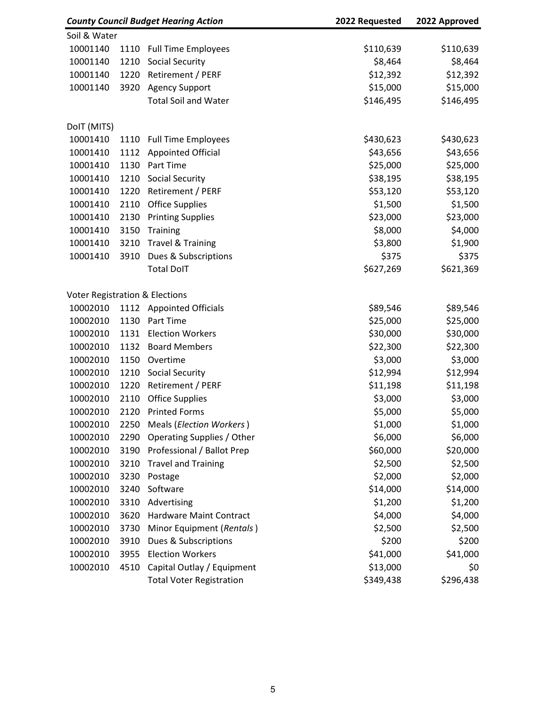| <b>County Council Budget Hearing Action</b> |      | 2022 Requested                  | 2022 Approved |           |  |
|---------------------------------------------|------|---------------------------------|---------------|-----------|--|
| Soil & Water                                |      |                                 |               |           |  |
| 10001140                                    | 1110 | <b>Full Time Employees</b>      | \$110,639     | \$110,639 |  |
| 10001140                                    | 1210 | <b>Social Security</b>          | \$8,464       | \$8,464   |  |
| 10001140                                    | 1220 | Retirement / PERF               | \$12,392      | \$12,392  |  |
| 10001140                                    | 3920 | <b>Agency Support</b>           | \$15,000      | \$15,000  |  |
|                                             |      | <b>Total Soil and Water</b>     | \$146,495     | \$146,495 |  |
| DolT (MITS)                                 |      |                                 |               |           |  |
| 10001410                                    | 1110 | <b>Full Time Employees</b>      | \$430,623     | \$430,623 |  |
| 10001410                                    | 1112 | <b>Appointed Official</b>       | \$43,656      | \$43,656  |  |
| 10001410                                    | 1130 | Part Time                       | \$25,000      | \$25,000  |  |
| 10001410                                    | 1210 | <b>Social Security</b>          | \$38,195      | \$38,195  |  |
| 10001410                                    | 1220 | Retirement / PERF               | \$53,120      | \$53,120  |  |
| 10001410                                    | 2110 | <b>Office Supplies</b>          | \$1,500       | \$1,500   |  |
| 10001410                                    | 2130 | <b>Printing Supplies</b>        | \$23,000      | \$23,000  |  |
| 10001410                                    | 3150 | Training                        | \$8,000       | \$4,000   |  |
| 10001410                                    | 3210 | <b>Travel &amp; Training</b>    | \$3,800       | \$1,900   |  |
| 10001410                                    | 3910 | Dues & Subscriptions            | \$375         | \$375     |  |
|                                             |      | <b>Total DoIT</b>               | \$627,269     | \$621,369 |  |
| <b>Voter Registration &amp; Elections</b>   |      |                                 |               |           |  |
| 10002010                                    |      | 1112 Appointed Officials        | \$89,546      | \$89,546  |  |
| 10002010                                    | 1130 | Part Time                       | \$25,000      | \$25,000  |  |
| 10002010                                    | 1131 | <b>Election Workers</b>         | \$30,000      | \$30,000  |  |
| 10002010                                    | 1132 | <b>Board Members</b>            | \$22,300      | \$22,300  |  |
| 10002010                                    | 1150 | Overtime                        | \$3,000       | \$3,000   |  |
| 10002010                                    | 1210 | <b>Social Security</b>          | \$12,994      | \$12,994  |  |
| 10002010                                    | 1220 | Retirement / PERF               | \$11,198      | \$11,198  |  |
| 10002010                                    | 2110 | <b>Office Supplies</b>          | \$3,000       | \$3,000   |  |
| 10002010                                    | 2120 | <b>Printed Forms</b>            | \$5,000       | \$5,000   |  |
| 10002010                                    | 2250 | Meals (Election Workers)        | \$1,000       | \$1,000   |  |
| 10002010                                    | 2290 | Operating Supplies / Other      | \$6,000       | \$6,000   |  |
| 10002010                                    | 3190 | Professional / Ballot Prep      | \$60,000      | \$20,000  |  |
| 10002010                                    | 3210 | <b>Travel and Training</b>      | \$2,500       | \$2,500   |  |
| 10002010                                    | 3230 | Postage                         | \$2,000       | \$2,000   |  |
| 10002010                                    | 3240 | Software                        | \$14,000      | \$14,000  |  |
| 10002010                                    | 3310 | Advertising                     | \$1,200       | \$1,200   |  |
| 10002010                                    | 3620 | <b>Hardware Maint Contract</b>  | \$4,000       | \$4,000   |  |
| 10002010                                    | 3730 | Minor Equipment (Rentals)       | \$2,500       | \$2,500   |  |
| 10002010                                    | 3910 | Dues & Subscriptions            | \$200         | \$200     |  |
| 10002010                                    | 3955 | <b>Election Workers</b>         | \$41,000      | \$41,000  |  |
| 10002010                                    | 4510 | Capital Outlay / Equipment      | \$13,000      | \$0       |  |
|                                             |      | <b>Total Voter Registration</b> | \$349,438     | \$296,438 |  |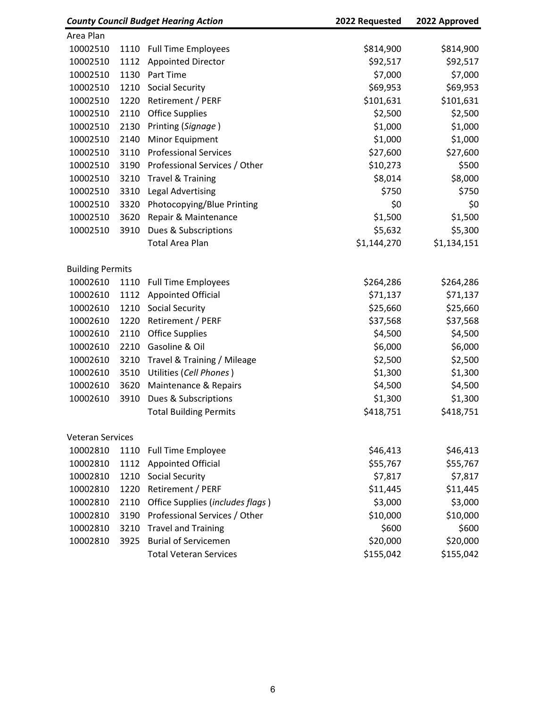| <b>County Council Budget Hearing Action</b> |      | 2022 Requested                   | 2022 Approved |             |
|---------------------------------------------|------|----------------------------------|---------------|-------------|
| Area Plan                                   |      |                                  |               |             |
| 10002510                                    | 1110 | <b>Full Time Employees</b>       | \$814,900     | \$814,900   |
| 10002510                                    | 1112 | <b>Appointed Director</b>        | \$92,517      | \$92,517    |
| 10002510                                    | 1130 | Part Time                        | \$7,000       | \$7,000     |
| 10002510                                    | 1210 | <b>Social Security</b>           | \$69,953      | \$69,953    |
| 10002510                                    | 1220 | Retirement / PERF                | \$101,631     | \$101,631   |
| 10002510                                    | 2110 | <b>Office Supplies</b>           | \$2,500       | \$2,500     |
| 10002510                                    | 2130 | Printing (Signage)               | \$1,000       | \$1,000     |
| 10002510                                    | 2140 | Minor Equipment                  | \$1,000       | \$1,000     |
| 10002510                                    | 3110 | <b>Professional Services</b>     | \$27,600      | \$27,600    |
| 10002510                                    | 3190 | Professional Services / Other    | \$10,273      | \$500       |
| 10002510                                    | 3210 | <b>Travel &amp; Training</b>     | \$8,014       | \$8,000     |
| 10002510                                    | 3310 | <b>Legal Advertising</b>         | \$750         | \$750       |
| 10002510                                    | 3320 | Photocopying/Blue Printing       | \$0           | \$0         |
| 10002510                                    | 3620 | Repair & Maintenance             | \$1,500       | \$1,500     |
| 10002510                                    | 3910 | Dues & Subscriptions             | \$5,632       | \$5,300     |
|                                             |      | <b>Total Area Plan</b>           | \$1,144,270   | \$1,134,151 |
| <b>Building Permits</b>                     |      |                                  |               |             |
| 10002610                                    | 1110 | <b>Full Time Employees</b>       | \$264,286     | \$264,286   |
| 10002610                                    | 1112 | <b>Appointed Official</b>        | \$71,137      | \$71,137    |
| 10002610                                    | 1210 | <b>Social Security</b>           | \$25,660      | \$25,660    |
| 10002610                                    | 1220 | Retirement / PERF                | \$37,568      | \$37,568    |
| 10002610                                    | 2110 | <b>Office Supplies</b>           | \$4,500       | \$4,500     |
| 10002610                                    | 2210 | Gasoline & Oil                   | \$6,000       | \$6,000     |
| 10002610                                    | 3210 | Travel & Training / Mileage      | \$2,500       | \$2,500     |
| 10002610                                    | 3510 | Utilities (Cell Phones)          | \$1,300       | \$1,300     |
| 10002610                                    | 3620 | Maintenance & Repairs            | \$4,500       | \$4,500     |
| 10002610                                    | 3910 | Dues & Subscriptions             | \$1,300       | \$1,300     |
|                                             |      | <b>Total Building Permits</b>    | \$418,751     | \$418,751   |
| <b>Veteran Services</b>                     |      |                                  |               |             |
| 10002810                                    | 1110 | <b>Full Time Employee</b>        | \$46,413      | \$46,413    |
| 10002810                                    | 1112 | <b>Appointed Official</b>        | \$55,767      | \$55,767    |
| 10002810                                    | 1210 | <b>Social Security</b>           | \$7,817       | \$7,817     |
| 10002810                                    | 1220 | Retirement / PERF                | \$11,445      | \$11,445    |
| 10002810                                    | 2110 | Office Supplies (includes flags) | \$3,000       | \$3,000     |
| 10002810                                    | 3190 | Professional Services / Other    | \$10,000      | \$10,000    |
| 10002810                                    | 3210 | <b>Travel and Training</b>       | \$600         | \$600       |
| 10002810                                    | 3925 | <b>Burial of Servicemen</b>      | \$20,000      | \$20,000    |
|                                             |      | <b>Total Veteran Services</b>    | \$155,042     | \$155,042   |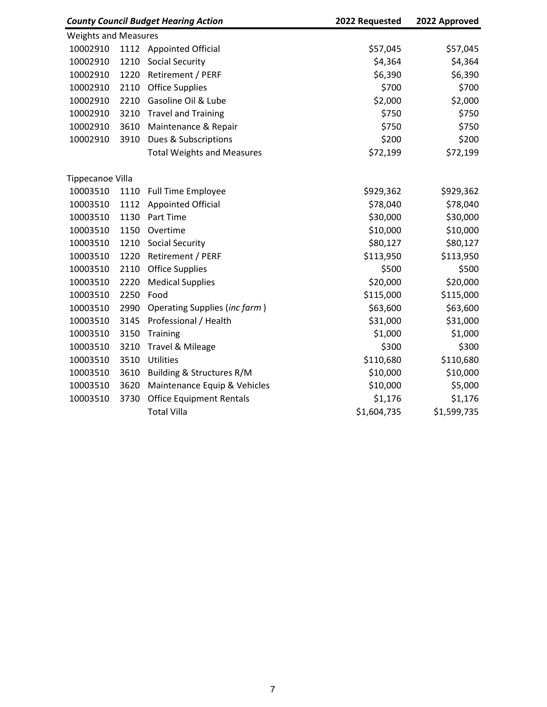| <b>County Council Budget Hearing Action</b> |      | 2022 Requested                    | 2022 Approved |             |
|---------------------------------------------|------|-----------------------------------|---------------|-------------|
| <b>Weights and Measures</b>                 |      |                                   |               |             |
| 10002910                                    | 1112 | <b>Appointed Official</b>         | \$57,045      | \$57,045    |
| 10002910                                    | 1210 | <b>Social Security</b>            | \$4,364       | \$4,364     |
| 10002910                                    | 1220 | Retirement / PERF                 | \$6,390       | \$6,390     |
| 10002910                                    | 2110 | <b>Office Supplies</b>            | \$700         | \$700       |
| 10002910                                    | 2210 | Gasoline Oil & Lube               | \$2,000       | \$2,000     |
| 10002910                                    | 3210 | <b>Travel and Training</b>        | \$750         | \$750       |
| 10002910                                    | 3610 | Maintenance & Repair              | \$750         | \$750       |
| 10002910                                    | 3910 | Dues & Subscriptions              | \$200         | \$200       |
|                                             |      | <b>Total Weights and Measures</b> | \$72,199      | \$72,199    |
| Tippecanoe Villa                            |      |                                   |               |             |
| 10003510                                    | 1110 | <b>Full Time Employee</b>         | \$929,362     | \$929,362   |
| 10003510                                    | 1112 | <b>Appointed Official</b>         | \$78,040      | \$78,040    |
| 10003510                                    | 1130 | Part Time                         | \$30,000      | \$30,000    |
| 10003510                                    | 1150 | Overtime                          | \$10,000      | \$10,000    |
| 10003510                                    | 1210 | <b>Social Security</b>            | \$80,127      | \$80,127    |
| 10003510                                    | 1220 | Retirement / PERF                 | \$113,950     | \$113,950   |
| 10003510                                    | 2110 | <b>Office Supplies</b>            | \$500         | \$500       |
| 10003510                                    | 2220 | <b>Medical Supplies</b>           | \$20,000      | \$20,000    |
| 10003510                                    | 2250 | Food                              | \$115,000     | \$115,000   |
| 10003510                                    | 2990 | Operating Supplies (inc farm)     | \$63,600      | \$63,600    |
| 10003510                                    | 3145 | Professional / Health             | \$31,000      | \$31,000    |
| 10003510                                    | 3150 | <b>Training</b>                   | \$1,000       | \$1,000     |
| 10003510                                    | 3210 | Travel & Mileage                  | \$300         | \$300       |
| 10003510                                    | 3510 | Utilities                         | \$110,680     | \$110,680   |
| 10003510                                    | 3610 | Building & Structures R/M         | \$10,000      | \$10,000    |
| 10003510                                    | 3620 | Maintenance Equip & Vehicles      | \$10,000      | \$5,000     |
| 10003510                                    | 3730 | <b>Office Equipment Rentals</b>   | \$1,176       | \$1,176     |
|                                             |      | <b>Total Villa</b>                | \$1,604,735   | \$1,599,735 |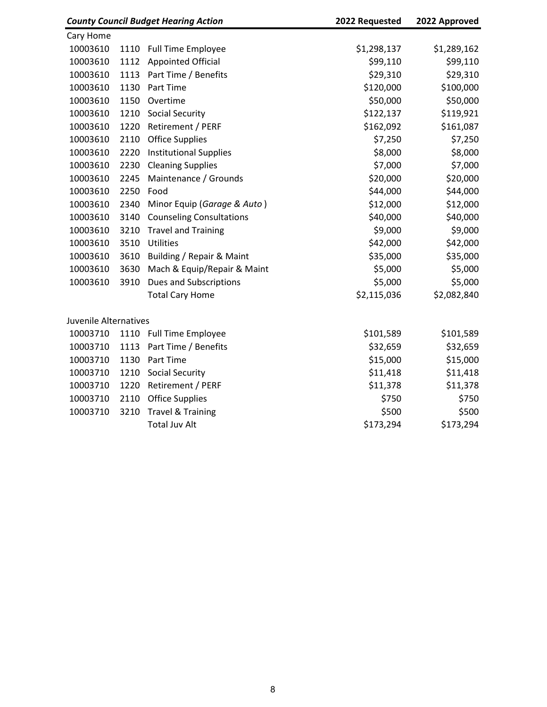| <b>County Council Budget Hearing Action</b> |      | 2022 Requested                  | 2022 Approved |             |
|---------------------------------------------|------|---------------------------------|---------------|-------------|
| Cary Home                                   |      |                                 |               |             |
| 10003610                                    | 1110 | <b>Full Time Employee</b>       | \$1,298,137   | \$1,289,162 |
| 10003610                                    | 1112 | <b>Appointed Official</b>       | \$99,110      | \$99,110    |
| 10003610                                    | 1113 | Part Time / Benefits            | \$29,310      | \$29,310    |
| 10003610                                    | 1130 | Part Time                       | \$120,000     | \$100,000   |
| 10003610                                    | 1150 | Overtime                        | \$50,000      | \$50,000    |
| 10003610                                    | 1210 | <b>Social Security</b>          | \$122,137     | \$119,921   |
| 10003610                                    | 1220 | Retirement / PERF               | \$162,092     | \$161,087   |
| 10003610                                    | 2110 | <b>Office Supplies</b>          | \$7,250       | \$7,250     |
| 10003610                                    | 2220 | <b>Institutional Supplies</b>   | \$8,000       | \$8,000     |
| 10003610                                    | 2230 | <b>Cleaning Supplies</b>        | \$7,000       | \$7,000     |
| 10003610                                    | 2245 | Maintenance / Grounds           | \$20,000      | \$20,000    |
| 10003610                                    | 2250 | Food                            | \$44,000      | \$44,000    |
| 10003610                                    | 2340 | Minor Equip (Garage & Auto)     | \$12,000      | \$12,000    |
| 10003610                                    | 3140 | <b>Counseling Consultations</b> | \$40,000      | \$40,000    |
| 10003610                                    | 3210 | <b>Travel and Training</b>      | \$9,000       | \$9,000     |
| 10003610                                    | 3510 | Utilities                       | \$42,000      | \$42,000    |
| 10003610                                    | 3610 | Building / Repair & Maint       | \$35,000      | \$35,000    |
| 10003610                                    | 3630 | Mach & Equip/Repair & Maint     | \$5,000       | \$5,000     |
| 10003610                                    | 3910 | Dues and Subscriptions          | \$5,000       | \$5,000     |
|                                             |      | <b>Total Cary Home</b>          | \$2,115,036   | \$2,082,840 |
| Juvenile Alternatives                       |      |                                 |               |             |
| 10003710                                    | 1110 | <b>Full Time Employee</b>       | \$101,589     | \$101,589   |
| 10003710                                    | 1113 | Part Time / Benefits            | \$32,659      | \$32,659    |
| 10003710                                    | 1130 | Part Time                       | \$15,000      | \$15,000    |
| 10003710                                    | 1210 | <b>Social Security</b>          | \$11,418      | \$11,418    |
| 10003710                                    | 1220 | Retirement / PERF               | \$11,378      | \$11,378    |
| 10003710                                    | 2110 | <b>Office Supplies</b>          | \$750         | \$750       |
| 10003710                                    | 3210 | <b>Travel &amp; Training</b>    | \$500         | \$500       |
|                                             |      | <b>Total Juv Alt</b>            | \$173,294     | \$173,294   |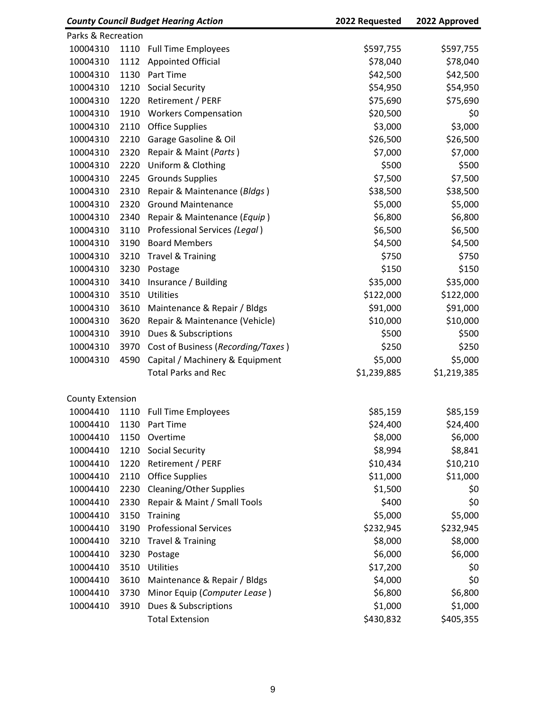| <b>County Council Budget Hearing Action</b> |      | 2022 Requested                     | 2022 Approved |             |
|---------------------------------------------|------|------------------------------------|---------------|-------------|
| Parks & Recreation                          |      |                                    |               |             |
| 10004310                                    | 1110 | <b>Full Time Employees</b>         | \$597,755     | \$597,755   |
| 10004310                                    | 1112 | <b>Appointed Official</b>          | \$78,040      | \$78,040    |
| 10004310                                    | 1130 | Part Time                          | \$42,500      | \$42,500    |
| 10004310                                    | 1210 | <b>Social Security</b>             | \$54,950      | \$54,950    |
| 10004310                                    | 1220 | Retirement / PERF                  | \$75,690      | \$75,690    |
| 10004310                                    | 1910 | <b>Workers Compensation</b>        | \$20,500      | \$0         |
| 10004310                                    | 2110 | <b>Office Supplies</b>             | \$3,000       | \$3,000     |
| 10004310                                    | 2210 | Garage Gasoline & Oil              | \$26,500      | \$26,500    |
| 10004310                                    | 2320 | Repair & Maint (Parts)             | \$7,000       | \$7,000     |
| 10004310                                    | 2220 | Uniform & Clothing                 | \$500         | \$500       |
| 10004310                                    | 2245 | <b>Grounds Supplies</b>            | \$7,500       | \$7,500     |
| 10004310                                    | 2310 | Repair & Maintenance (Bldgs)       | \$38,500      | \$38,500    |
| 10004310                                    | 2320 | <b>Ground Maintenance</b>          | \$5,000       | \$5,000     |
| 10004310                                    | 2340 | Repair & Maintenance (Equip)       | \$6,800       | \$6,800     |
| 10004310                                    | 3110 | Professional Services (Legal)      | \$6,500       | \$6,500     |
| 10004310                                    | 3190 | <b>Board Members</b>               | \$4,500       | \$4,500     |
| 10004310                                    | 3210 | <b>Travel &amp; Training</b>       | \$750         | \$750       |
| 10004310                                    | 3230 | Postage                            | \$150         | \$150       |
| 10004310                                    | 3410 | Insurance / Building               | \$35,000      | \$35,000    |
| 10004310                                    | 3510 | Utilities                          | \$122,000     | \$122,000   |
| 10004310                                    | 3610 | Maintenance & Repair / Bldgs       | \$91,000      | \$91,000    |
| 10004310                                    | 3620 | Repair & Maintenance (Vehicle)     | \$10,000      | \$10,000    |
| 10004310                                    | 3910 | Dues & Subscriptions               | \$500         | \$500       |
| 10004310                                    | 3970 | Cost of Business (Recording/Taxes) | \$250         | \$250       |
| 10004310                                    | 4590 | Capital / Machinery & Equipment    | \$5,000       | \$5,000     |
|                                             |      | <b>Total Parks and Rec</b>         | \$1,239,885   | \$1,219,385 |
| <b>County Extension</b>                     |      |                                    |               |             |
| 10004410                                    | 1110 | <b>Full Time Employees</b>         | \$85,159      | \$85,159    |
| 10004410                                    | 1130 | Part Time                          | \$24,400      | \$24,400    |
| 10004410                                    | 1150 | Overtime                           | \$8,000       | \$6,000     |
| 10004410                                    | 1210 | <b>Social Security</b>             | \$8,994       | \$8,841     |
| 10004410                                    | 1220 | Retirement / PERF                  | \$10,434      | \$10,210    |
| 10004410                                    | 2110 | <b>Office Supplies</b>             | \$11,000      | \$11,000    |
| 10004410                                    | 2230 | <b>Cleaning/Other Supplies</b>     | \$1,500       | \$0         |
| 10004410                                    | 2330 | Repair & Maint / Small Tools       | \$400         | \$0         |
| 10004410                                    | 3150 | Training                           | \$5,000       | \$5,000     |
| 10004410                                    | 3190 | <b>Professional Services</b>       | \$232,945     | \$232,945   |
| 10004410                                    | 3210 | <b>Travel &amp; Training</b>       | \$8,000       | \$8,000     |
| 10004410                                    | 3230 | Postage                            | \$6,000       | \$6,000     |
| 10004410                                    | 3510 | Utilities                          | \$17,200      | \$0         |
| 10004410                                    | 3610 | Maintenance & Repair / Bldgs       | \$4,000       | \$0         |
| 10004410                                    | 3730 | Minor Equip (Computer Lease)       | \$6,800       | \$6,800     |
| 10004410                                    | 3910 | Dues & Subscriptions               | \$1,000       | \$1,000     |
|                                             |      | <b>Total Extension</b>             | \$430,832     | \$405,355   |
|                                             |      |                                    |               |             |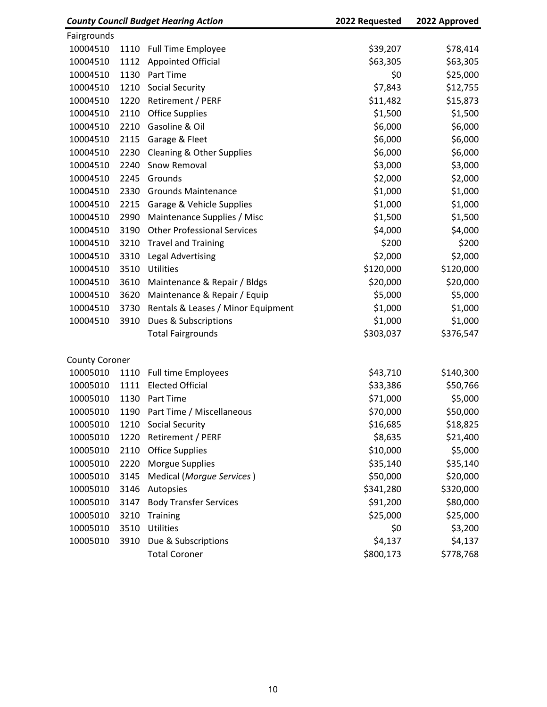| <b>County Council Budget Hearing Action</b> |      | 2022 Requested                     | 2022 Approved |           |
|---------------------------------------------|------|------------------------------------|---------------|-----------|
| Fairgrounds                                 |      |                                    |               |           |
| 10004510                                    | 1110 | <b>Full Time Employee</b>          | \$39,207      | \$78,414  |
| 10004510                                    | 1112 | <b>Appointed Official</b>          | \$63,305      | \$63,305  |
| 10004510                                    | 1130 | Part Time                          | \$0           | \$25,000  |
| 10004510                                    | 1210 | <b>Social Security</b>             | \$7,843       | \$12,755  |
| 10004510                                    | 1220 | Retirement / PERF                  | \$11,482      | \$15,873  |
| 10004510                                    | 2110 | Office Supplies                    | \$1,500       | \$1,500   |
| 10004510                                    | 2210 | Gasoline & Oil                     | \$6,000       | \$6,000   |
| 10004510                                    | 2115 | Garage & Fleet                     | \$6,000       | \$6,000   |
| 10004510                                    | 2230 | Cleaning & Other Supplies          | \$6,000       | \$6,000   |
| 10004510                                    | 2240 | Snow Removal                       | \$3,000       | \$3,000   |
| 10004510                                    | 2245 | Grounds                            | \$2,000       | \$2,000   |
| 10004510                                    | 2330 | <b>Grounds Maintenance</b>         | \$1,000       | \$1,000   |
| 10004510                                    | 2215 | Garage & Vehicle Supplies          | \$1,000       | \$1,000   |
| 10004510                                    | 2990 | Maintenance Supplies / Misc        | \$1,500       | \$1,500   |
| 10004510                                    | 3190 | <b>Other Professional Services</b> | \$4,000       | \$4,000   |
| 10004510                                    | 3210 | <b>Travel and Training</b>         | \$200         | \$200     |
| 10004510                                    | 3310 | <b>Legal Advertising</b>           | \$2,000       | \$2,000   |
| 10004510                                    | 3510 | Utilities                          | \$120,000     | \$120,000 |
| 10004510                                    | 3610 | Maintenance & Repair / Bldgs       | \$20,000      | \$20,000  |
| 10004510                                    | 3620 | Maintenance & Repair / Equip       | \$5,000       | \$5,000   |
| 10004510                                    | 3730 | Rentals & Leases / Minor Equipment | \$1,000       | \$1,000   |
| 10004510                                    | 3910 | Dues & Subscriptions               | \$1,000       | \$1,000   |
|                                             |      | <b>Total Fairgrounds</b>           | \$303,037     | \$376,547 |
| <b>County Coroner</b>                       |      |                                    |               |           |
| 10005010                                    | 1110 | <b>Full time Employees</b>         | \$43,710      | \$140,300 |
| 10005010                                    | 1111 | <b>Elected Official</b>            | \$33,386      | \$50,766  |
| 10005010                                    | 1130 | Part Time                          | \$71,000      | \$5,000   |
| 10005010                                    |      | 1190 Part Time / Miscellaneous     | \$70,000      | \$50,000  |
| 10005010                                    |      | 1210 Social Security               | \$16,685      | \$18,825  |
| 10005010                                    | 1220 | Retirement / PERF                  | \$8,635       | \$21,400  |
| 10005010                                    | 2110 | <b>Office Supplies</b>             | \$10,000      | \$5,000   |
| 10005010                                    | 2220 | Morgue Supplies                    | \$35,140      | \$35,140  |
| 10005010                                    | 3145 | Medical (Morgue Services)          | \$50,000      | \$20,000  |
| 10005010                                    | 3146 | Autopsies                          | \$341,280     | \$320,000 |
| 10005010                                    | 3147 | <b>Body Transfer Services</b>      | \$91,200      | \$80,000  |
| 10005010                                    | 3210 | Training                           | \$25,000      | \$25,000  |
| 10005010                                    | 3510 | Utilities                          | \$0           | \$3,200   |
| 10005010                                    | 3910 | Due & Subscriptions                | \$4,137       | \$4,137   |
|                                             |      | <b>Total Coroner</b>               | \$800,173     | \$778,768 |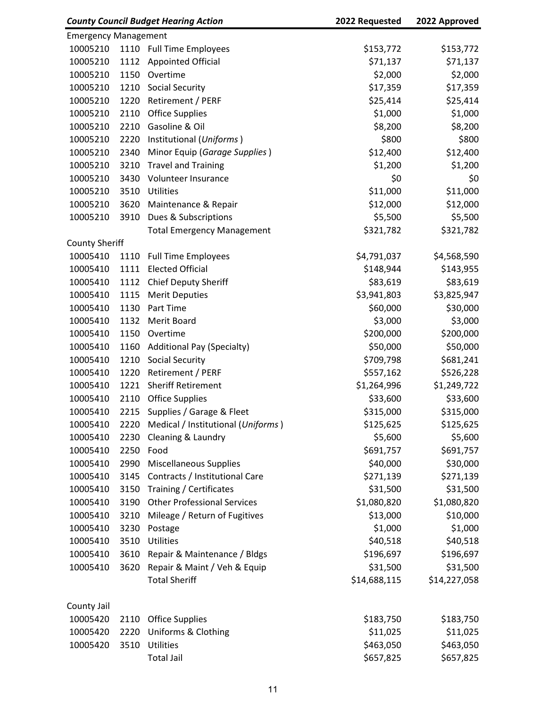| <b>County Council Budget Hearing Action</b> |      | 2022 Requested                     | 2022 Approved |              |
|---------------------------------------------|------|------------------------------------|---------------|--------------|
| <b>Emergency Management</b>                 |      |                                    |               |              |
| 10005210                                    |      | 1110 Full Time Employees           | \$153,772     | \$153,772    |
| 10005210                                    | 1112 | <b>Appointed Official</b>          | \$71,137      | \$71,137     |
| 10005210                                    | 1150 | Overtime                           | \$2,000       | \$2,000      |
| 10005210                                    | 1210 | <b>Social Security</b>             | \$17,359      | \$17,359     |
| 10005210                                    | 1220 | Retirement / PERF                  | \$25,414      | \$25,414     |
| 10005210                                    | 2110 | <b>Office Supplies</b>             | \$1,000       | \$1,000      |
| 10005210                                    | 2210 | Gasoline & Oil                     | \$8,200       | \$8,200      |
| 10005210                                    | 2220 | Institutional (Uniforms)           | \$800         | \$800        |
| 10005210                                    | 2340 | Minor Equip (Garage Supplies)      | \$12,400      | \$12,400     |
| 10005210                                    | 3210 | <b>Travel and Training</b>         | \$1,200       | \$1,200      |
| 10005210                                    | 3430 | Volunteer Insurance                | \$0           | \$0          |
| 10005210                                    | 3510 | Utilities                          | \$11,000      | \$11,000     |
| 10005210                                    | 3620 | Maintenance & Repair               | \$12,000      | \$12,000     |
| 10005210                                    | 3910 | Dues & Subscriptions               | \$5,500       | \$5,500      |
|                                             |      | <b>Total Emergency Management</b>  | \$321,782     | \$321,782    |
| <b>County Sheriff</b>                       |      |                                    |               |              |
| 10005410                                    | 1110 | <b>Full Time Employees</b>         | \$4,791,037   | \$4,568,590  |
| 10005410                                    | 1111 | <b>Elected Official</b>            | \$148,944     | \$143,955    |
| 10005410                                    | 1112 | Chief Deputy Sheriff               | \$83,619      | \$83,619     |
| 10005410                                    | 1115 | <b>Merit Deputies</b>              | \$3,941,803   | \$3,825,947  |
| 10005410                                    | 1130 | Part Time                          | \$60,000      | \$30,000     |
| 10005410                                    | 1132 | Merit Board                        | \$3,000       | \$3,000      |
| 10005410                                    | 1150 | Overtime                           | \$200,000     | \$200,000    |
| 10005410                                    | 1160 | <b>Additional Pay (Specialty)</b>  | \$50,000      | \$50,000     |
| 10005410                                    | 1210 | <b>Social Security</b>             | \$709,798     | \$681,241    |
| 10005410                                    | 1220 | Retirement / PERF                  | \$557,162     | \$526,228    |
| 10005410                                    | 1221 | <b>Sheriff Retirement</b>          | \$1,264,996   | \$1,249,722  |
| 10005410                                    | 2110 | <b>Office Supplies</b>             | \$33,600      | \$33,600     |
| 10005410                                    | 2215 | Supplies / Garage & Fleet          | \$315,000     | \$315,000    |
| 10005410                                    | 2220 | Medical / Institutional (Uniforms) | \$125,625     | \$125,625    |
| 10005410                                    | 2230 | Cleaning & Laundry                 | \$5,600       | \$5,600      |
| 10005410                                    | 2250 | Food                               | \$691,757     | \$691,757    |
| 10005410                                    | 2990 | <b>Miscellaneous Supplies</b>      | \$40,000      | \$30,000     |
| 10005410                                    | 3145 | Contracts / Institutional Care     | \$271,139     | \$271,139    |
| 10005410                                    | 3150 | Training / Certificates            | \$31,500      | \$31,500     |
| 10005410                                    | 3190 | <b>Other Professional Services</b> | \$1,080,820   | \$1,080,820  |
| 10005410                                    | 3210 | Mileage / Return of Fugitives      | \$13,000      | \$10,000     |
| 10005410                                    | 3230 | Postage                            | \$1,000       | \$1,000      |
| 10005410                                    | 3510 | Utilities                          | \$40,518      | \$40,518     |
| 10005410                                    | 3610 | Repair & Maintenance / Bldgs       | \$196,697     | \$196,697    |
| 10005410                                    | 3620 | Repair & Maint / Veh & Equip       | \$31,500      | \$31,500     |
|                                             |      | <b>Total Sheriff</b>               | \$14,688,115  | \$14,227,058 |
| County Jail                                 |      |                                    |               |              |
| 10005420                                    | 2110 | <b>Office Supplies</b>             | \$183,750     | \$183,750    |
| 10005420                                    | 2220 | <b>Uniforms &amp; Clothing</b>     | \$11,025      | \$11,025     |
| 10005420                                    | 3510 | Utilities                          | \$463,050     | \$463,050    |
|                                             |      | <b>Total Jail</b>                  | \$657,825     | \$657,825    |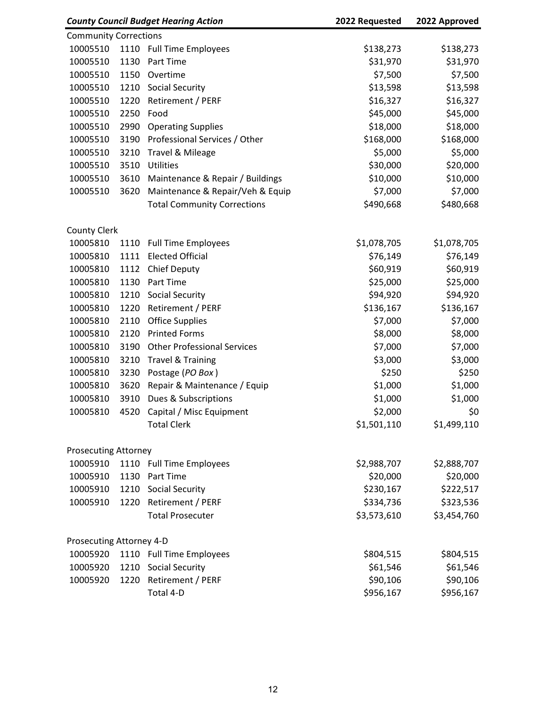| <b>County Council Budget Hearing Action</b> |      | 2022 Requested                     | 2022 Approved |             |
|---------------------------------------------|------|------------------------------------|---------------|-------------|
| <b>Community Corrections</b>                |      |                                    |               |             |
| 10005510                                    |      | 1110 Full Time Employees           | \$138,273     | \$138,273   |
| 10005510                                    | 1130 | Part Time                          | \$31,970      | \$31,970    |
| 10005510                                    | 1150 | Overtime                           | \$7,500       | \$7,500     |
| 10005510                                    | 1210 | <b>Social Security</b>             | \$13,598      | \$13,598    |
| 10005510                                    | 1220 | Retirement / PERF                  | \$16,327      | \$16,327    |
| 10005510                                    | 2250 | Food                               | \$45,000      | \$45,000    |
| 10005510                                    | 2990 | <b>Operating Supplies</b>          | \$18,000      | \$18,000    |
| 10005510                                    | 3190 | Professional Services / Other      | \$168,000     | \$168,000   |
| 10005510                                    | 3210 | Travel & Mileage                   | \$5,000       | \$5,000     |
| 10005510                                    | 3510 | Utilities                          | \$30,000      | \$20,000    |
| 10005510                                    | 3610 | Maintenance & Repair / Buildings   | \$10,000      | \$10,000    |
| 10005510                                    | 3620 | Maintenance & Repair/Veh & Equip   | \$7,000       | \$7,000     |
|                                             |      | <b>Total Community Corrections</b> | \$490,668     | \$480,668   |
| <b>County Clerk</b>                         |      |                                    |               |             |
| 10005810                                    | 1110 | <b>Full Time Employees</b>         | \$1,078,705   | \$1,078,705 |
| 10005810                                    | 1111 | <b>Elected Official</b>            | \$76,149      | \$76,149    |
| 10005810                                    | 1112 | <b>Chief Deputy</b>                | \$60,919      | \$60,919    |
| 10005810                                    | 1130 | Part Time                          | \$25,000      | \$25,000    |
| 10005810                                    | 1210 | <b>Social Security</b>             | \$94,920      | \$94,920    |
| 10005810                                    | 1220 | Retirement / PERF                  | \$136,167     | \$136,167   |
| 10005810                                    | 2110 | <b>Office Supplies</b>             | \$7,000       | \$7,000     |
| 10005810                                    | 2120 | <b>Printed Forms</b>               | \$8,000       | \$8,000     |
| 10005810                                    | 3190 | <b>Other Professional Services</b> | \$7,000       | \$7,000     |
| 10005810                                    | 3210 | <b>Travel &amp; Training</b>       | \$3,000       | \$3,000     |
| 10005810                                    | 3230 | Postage (PO Box)                   | \$250         | \$250       |
| 10005810                                    | 3620 | Repair & Maintenance / Equip       | \$1,000       | \$1,000     |
| 10005810                                    | 3910 | Dues & Subscriptions               | \$1,000       | \$1,000     |
| 10005810                                    | 4520 | Capital / Misc Equipment           | \$2,000       | \$0         |
|                                             |      | <b>Total Clerk</b>                 | \$1,501,110   | \$1,499,110 |
| <b>Prosecuting Attorney</b>                 |      |                                    |               |             |
| 10005910                                    |      | 1110 Full Time Employees           | \$2,988,707   | \$2,888,707 |
| 10005910                                    | 1130 | Part Time                          | \$20,000      | \$20,000    |
| 10005910                                    | 1210 | <b>Social Security</b>             | \$230,167     | \$222,517   |
| 10005910                                    | 1220 | Retirement / PERF                  | \$334,736     | \$323,536   |
|                                             |      | <b>Total Prosecuter</b>            | \$3,573,610   | \$3,454,760 |
| Prosecuting Attorney 4-D                    |      |                                    |               |             |
| 10005920                                    |      | 1110 Full Time Employees           | \$804,515     | \$804,515   |
| 10005920                                    | 1210 | <b>Social Security</b>             | \$61,546      | \$61,546    |
| 10005920                                    | 1220 | Retirement / PERF                  | \$90,106      | \$90,106    |
|                                             |      | Total 4-D                          | \$956,167     | \$956,167   |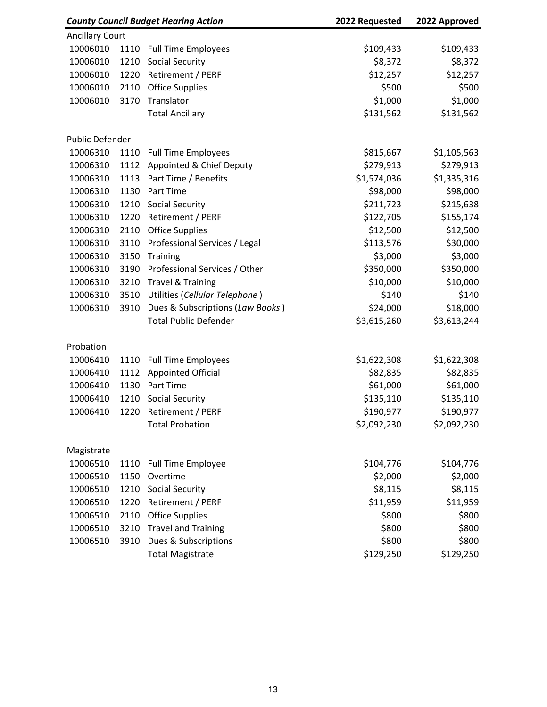|                        |      | <b>County Council Budget Hearing Action</b> | 2022 Requested | 2022 Approved |
|------------------------|------|---------------------------------------------|----------------|---------------|
| <b>Ancillary Court</b> |      |                                             |                |               |
| 10006010               | 1110 | <b>Full Time Employees</b>                  | \$109,433      | \$109,433     |
| 10006010               | 1210 | <b>Social Security</b>                      | \$8,372        | \$8,372       |
| 10006010               | 1220 | Retirement / PERF                           | \$12,257       | \$12,257      |
| 10006010               | 2110 | <b>Office Supplies</b>                      | \$500          | \$500         |
| 10006010               | 3170 | Translator                                  | \$1,000        | \$1,000       |
|                        |      | <b>Total Ancillary</b>                      | \$131,562      | \$131,562     |
| Public Defender        |      |                                             |                |               |
| 10006310               | 1110 | <b>Full Time Employees</b>                  | \$815,667      | \$1,105,563   |
| 10006310               | 1112 | Appointed & Chief Deputy                    | \$279,913      | \$279,913     |
| 10006310               | 1113 | Part Time / Benefits                        | \$1,574,036    | \$1,335,316   |
| 10006310               | 1130 | Part Time                                   | \$98,000       | \$98,000      |
| 10006310               | 1210 | <b>Social Security</b>                      | \$211,723      | \$215,638     |
| 10006310               | 1220 | Retirement / PERF                           | \$122,705      | \$155,174     |
| 10006310               | 2110 | <b>Office Supplies</b>                      | \$12,500       | \$12,500      |
| 10006310               | 3110 | Professional Services / Legal               | \$113,576      | \$30,000      |
| 10006310               | 3150 | Training                                    | \$3,000        | \$3,000       |
| 10006310               | 3190 | Professional Services / Other               | \$350,000      | \$350,000     |
| 10006310               | 3210 | <b>Travel &amp; Training</b>                | \$10,000       | \$10,000      |
| 10006310               | 3510 | Utilities (Cellular Telephone)              | \$140          | \$140         |
| 10006310               | 3910 | Dues & Subscriptions (Law Books)            | \$24,000       | \$18,000      |
|                        |      | <b>Total Public Defender</b>                | \$3,615,260    | \$3,613,244   |
| Probation              |      |                                             |                |               |
| 10006410               | 1110 | <b>Full Time Employees</b>                  | \$1,622,308    | \$1,622,308   |
| 10006410               | 1112 | <b>Appointed Official</b>                   | \$82,835       | \$82,835      |
| 10006410               | 1130 | Part Time                                   | \$61,000       | \$61,000      |
| 10006410               | 1210 | <b>Social Security</b>                      | \$135,110      | \$135,110     |
| 10006410               | 1220 | Retirement / PERF                           | \$190,977      | \$190,977     |
|                        |      | <b>Total Probation</b>                      | \$2,092,230    | \$2,092,230   |
| Magistrate             |      |                                             |                |               |
| 10006510               | 1110 | <b>Full Time Employee</b>                   | \$104,776      | \$104,776     |
| 10006510               | 1150 | Overtime                                    | \$2,000        | \$2,000       |
| 10006510               | 1210 | <b>Social Security</b>                      | \$8,115        | \$8,115       |
| 10006510               | 1220 | Retirement / PERF                           | \$11,959       | \$11,959      |
| 10006510               | 2110 | <b>Office Supplies</b>                      | \$800          | \$800         |
| 10006510               | 3210 | <b>Travel and Training</b>                  | \$800          | \$800         |
| 10006510               | 3910 | Dues & Subscriptions                        | \$800          | \$800         |
|                        |      | <b>Total Magistrate</b>                     | \$129,250      | \$129,250     |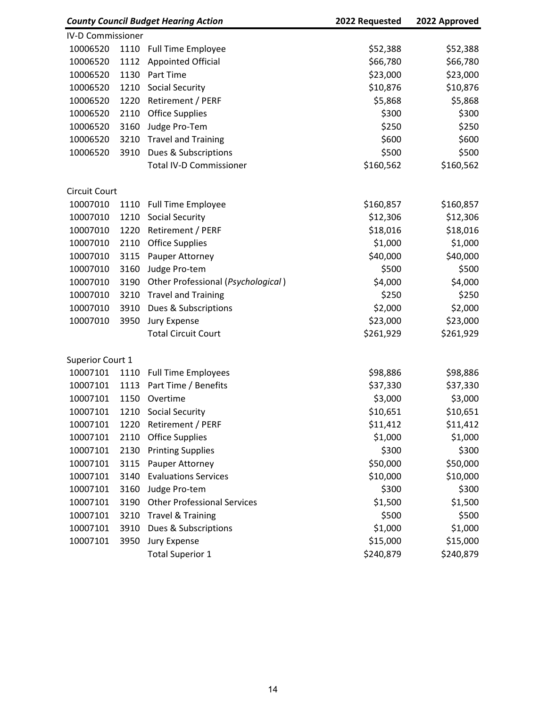|                          |      | <b>County Council Budget Hearing Action</b> | 2022 Requested | 2022 Approved |
|--------------------------|------|---------------------------------------------|----------------|---------------|
| <b>IV-D Commissioner</b> |      |                                             |                |               |
| 10006520                 | 1110 | <b>Full Time Employee</b>                   | \$52,388       | \$52,388      |
| 10006520                 | 1112 | <b>Appointed Official</b>                   | \$66,780       | \$66,780      |
| 10006520                 | 1130 | Part Time                                   | \$23,000       | \$23,000      |
| 10006520                 | 1210 | Social Security                             | \$10,876       | \$10,876      |
| 10006520                 | 1220 | Retirement / PERF                           | \$5,868        | \$5,868       |
| 10006520                 | 2110 | <b>Office Supplies</b>                      | \$300          | \$300         |
| 10006520                 | 3160 | Judge Pro-Tem                               | \$250          | \$250         |
| 10006520                 | 3210 | <b>Travel and Training</b>                  | \$600          | \$600         |
| 10006520                 | 3910 | Dues & Subscriptions                        | \$500          | \$500         |
|                          |      | <b>Total IV-D Commissioner</b>              | \$160,562      | \$160,562     |
| <b>Circuit Court</b>     |      |                                             |                |               |
| 10007010                 | 1110 | <b>Full Time Employee</b>                   | \$160,857      | \$160,857     |
| 10007010                 | 1210 | <b>Social Security</b>                      | \$12,306       | \$12,306      |
| 10007010                 | 1220 | Retirement / PERF                           | \$18,016       | \$18,016      |
| 10007010                 | 2110 | <b>Office Supplies</b>                      | \$1,000        | \$1,000       |
| 10007010                 | 3115 | Pauper Attorney                             | \$40,000       | \$40,000      |
| 10007010                 | 3160 | Judge Pro-tem                               | \$500          | \$500         |
| 10007010                 | 3190 | Other Professional (Psychological)          | \$4,000        | \$4,000       |
| 10007010                 | 3210 | <b>Travel and Training</b>                  | \$250          | \$250         |
| 10007010                 | 3910 | Dues & Subscriptions                        | \$2,000        | \$2,000       |
| 10007010                 | 3950 | Jury Expense                                | \$23,000       | \$23,000      |
|                          |      | <b>Total Circuit Court</b>                  | \$261,929      | \$261,929     |
| Superior Court 1         |      |                                             |                |               |
| 10007101                 | 1110 | <b>Full Time Employees</b>                  | \$98,886       | \$98,886      |
| 10007101                 | 1113 | Part Time / Benefits                        | \$37,330       | \$37,330      |
| 10007101                 | 1150 | Overtime                                    | \$3,000        | \$3,000       |
| 10007101                 | 1210 | <b>Social Security</b>                      | \$10,651       | \$10,651      |
| 10007101                 | 1220 | Retirement / PERF                           | \$11,412       | \$11,412      |
| 10007101                 | 2110 | <b>Office Supplies</b>                      | \$1,000        | \$1,000       |
| 10007101                 | 2130 | <b>Printing Supplies</b>                    | \$300          | \$300         |
| 10007101                 | 3115 | Pauper Attorney                             | \$50,000       | \$50,000      |
| 10007101                 | 3140 | <b>Evaluations Services</b>                 | \$10,000       | \$10,000      |
| 10007101                 | 3160 | Judge Pro-tem                               | \$300          | \$300         |
| 10007101                 | 3190 | <b>Other Professional Services</b>          | \$1,500        | \$1,500       |
| 10007101                 | 3210 | <b>Travel &amp; Training</b>                | \$500          | \$500         |
| 10007101                 | 3910 | Dues & Subscriptions                        | \$1,000        | \$1,000       |
| 10007101                 | 3950 | Jury Expense                                | \$15,000       | \$15,000      |
|                          |      | <b>Total Superior 1</b>                     | \$240,879      | \$240,879     |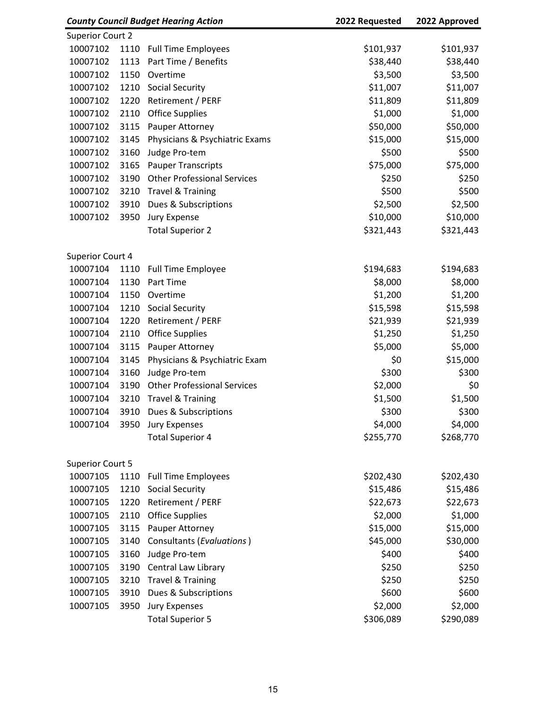|                         |      | <b>County Council Budget Hearing Action</b> | 2022 Requested | 2022 Approved |
|-------------------------|------|---------------------------------------------|----------------|---------------|
| <b>Superior Court 2</b> |      |                                             |                |               |
| 10007102                | 1110 | <b>Full Time Employees</b>                  | \$101,937      | \$101,937     |
| 10007102                | 1113 | Part Time / Benefits                        | \$38,440       | \$38,440      |
| 10007102                | 1150 | Overtime                                    | \$3,500        | \$3,500       |
| 10007102                | 1210 | <b>Social Security</b>                      | \$11,007       | \$11,007      |
| 10007102                | 1220 | Retirement / PERF                           | \$11,809       | \$11,809      |
| 10007102                | 2110 | <b>Office Supplies</b>                      | \$1,000        | \$1,000       |
| 10007102                | 3115 | Pauper Attorney                             | \$50,000       | \$50,000      |
| 10007102                | 3145 | Physicians & Psychiatric Exams              | \$15,000       | \$15,000      |
| 10007102                | 3160 | Judge Pro-tem                               | \$500          | \$500         |
| 10007102                | 3165 | <b>Pauper Transcripts</b>                   | \$75,000       | \$75,000      |
| 10007102                | 3190 | <b>Other Professional Services</b>          | \$250          | \$250         |
| 10007102                | 3210 | <b>Travel &amp; Training</b>                | \$500          | \$500         |
| 10007102                | 3910 | Dues & Subscriptions                        | \$2,500        | \$2,500       |
| 10007102                | 3950 | Jury Expense                                | \$10,000       | \$10,000      |
|                         |      | <b>Total Superior 2</b>                     | \$321,443      | \$321,443     |
| Superior Court 4        |      |                                             |                |               |
| 10007104                | 1110 | <b>Full Time Employee</b>                   | \$194,683      | \$194,683     |
| 10007104                | 1130 | Part Time                                   | \$8,000        | \$8,000       |
| 10007104                | 1150 | Overtime                                    | \$1,200        | \$1,200       |
| 10007104                | 1210 | <b>Social Security</b>                      | \$15,598       | \$15,598      |
| 10007104                | 1220 | Retirement / PERF                           | \$21,939       | \$21,939      |
| 10007104                | 2110 | <b>Office Supplies</b>                      | \$1,250        | \$1,250       |
| 10007104                | 3115 | Pauper Attorney                             | \$5,000        | \$5,000       |
| 10007104                | 3145 | Physicians & Psychiatric Exam               | \$0            | \$15,000      |
| 10007104                | 3160 | Judge Pro-tem                               | \$300          | \$300         |
| 10007104                | 3190 | <b>Other Professional Services</b>          | \$2,000        | \$0           |
| 10007104                | 3210 | <b>Travel &amp; Training</b>                | \$1,500        | \$1,500       |
| 10007104                | 3910 | Dues & Subscriptions                        | \$300          | \$300         |
| 10007104                | 3950 | <b>Jury Expenses</b>                        | \$4,000        | \$4,000       |
|                         |      | <b>Total Superior 4</b>                     | \$255,770      | \$268,770     |
| <b>Superior Court 5</b> |      |                                             |                |               |
| 10007105                | 1110 | <b>Full Time Employees</b>                  | \$202,430      | \$202,430     |
| 10007105                | 1210 | <b>Social Security</b>                      | \$15,486       | \$15,486      |
| 10007105                | 1220 | Retirement / PERF                           | \$22,673       | \$22,673      |
| 10007105                | 2110 | <b>Office Supplies</b>                      | \$2,000        | \$1,000       |
| 10007105                | 3115 | Pauper Attorney                             | \$15,000       | \$15,000      |
| 10007105                | 3140 | Consultants (Evaluations)                   | \$45,000       | \$30,000      |
| 10007105                | 3160 | Judge Pro-tem                               | \$400          | \$400         |
| 10007105                | 3190 | Central Law Library                         | \$250          | \$250         |
| 10007105                | 3210 | <b>Travel &amp; Training</b>                | \$250          | \$250         |
| 10007105                | 3910 | Dues & Subscriptions                        | \$600          | \$600         |
| 10007105                | 3950 | <b>Jury Expenses</b>                        | \$2,000        | \$2,000       |
|                         |      | <b>Total Superior 5</b>                     | \$306,089      | \$290,089     |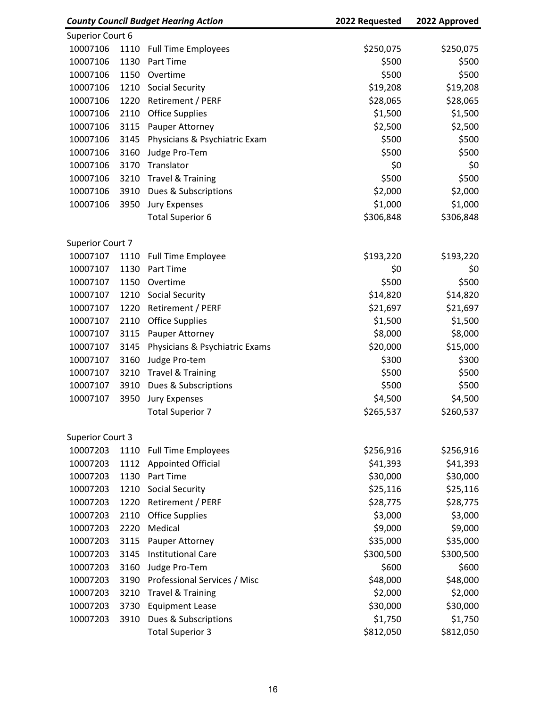|                         |      | <b>County Council Budget Hearing Action</b> | 2022 Requested | 2022 Approved |
|-------------------------|------|---------------------------------------------|----------------|---------------|
| Superior Court 6        |      |                                             |                |               |
| 10007106                | 1110 | <b>Full Time Employees</b>                  | \$250,075      | \$250,075     |
| 10007106                | 1130 | <b>Part Time</b>                            | \$500          | \$500         |
| 10007106                | 1150 | Overtime                                    | \$500          | \$500         |
| 10007106                | 1210 | <b>Social Security</b>                      | \$19,208       | \$19,208      |
| 10007106                | 1220 | Retirement / PERF                           | \$28,065       | \$28,065      |
| 10007106                | 2110 | <b>Office Supplies</b>                      | \$1,500        | \$1,500       |
| 10007106                | 3115 | Pauper Attorney                             | \$2,500        | \$2,500       |
| 10007106                | 3145 | Physicians & Psychiatric Exam               | \$500          | \$500         |
| 10007106                | 3160 | Judge Pro-Tem                               | \$500          | \$500         |
| 10007106                | 3170 | Translator                                  | \$0            | \$0           |
| 10007106                | 3210 | <b>Travel &amp; Training</b>                | \$500          | \$500         |
| 10007106                | 3910 | Dues & Subscriptions                        | \$2,000        | \$2,000       |
| 10007106                | 3950 | <b>Jury Expenses</b>                        | \$1,000        | \$1,000       |
|                         |      | <b>Total Superior 6</b>                     | \$306,848      | \$306,848     |
| Superior Court 7        |      |                                             |                |               |
| 10007107                | 1110 | <b>Full Time Employee</b>                   | \$193,220      | \$193,220     |
| 10007107                | 1130 | Part Time                                   | \$0            | \$0           |
| 10007107                | 1150 | Overtime                                    | \$500          | \$500         |
| 10007107                | 1210 | <b>Social Security</b>                      | \$14,820       | \$14,820      |
| 10007107                | 1220 | Retirement / PERF                           | \$21,697       | \$21,697      |
| 10007107                | 2110 | <b>Office Supplies</b>                      | \$1,500        | \$1,500       |
| 10007107                | 3115 | Pauper Attorney                             | \$8,000        | \$8,000       |
| 10007107                | 3145 | Physicians & Psychiatric Exams              | \$20,000       | \$15,000      |
| 10007107                | 3160 | Judge Pro-tem                               | \$300          | \$300         |
| 10007107                | 3210 | <b>Travel &amp; Training</b>                | \$500          | \$500         |
| 10007107                | 3910 | Dues & Subscriptions                        | \$500          | \$500         |
| 10007107                | 3950 | <b>Jury Expenses</b>                        | \$4,500        | \$4,500       |
|                         |      | <b>Total Superior 7</b>                     | \$265,537      | \$260,537     |
| <b>Superior Court 3</b> |      |                                             |                |               |
| 10007203                | 1110 | <b>Full Time Employees</b>                  | \$256,916      | \$256,916     |
| 10007203                | 1112 | <b>Appointed Official</b>                   | \$41,393       | \$41,393      |
| 10007203                | 1130 | Part Time                                   | \$30,000       | \$30,000      |
| 10007203                | 1210 | Social Security                             | \$25,116       | \$25,116      |
| 10007203                | 1220 | Retirement / PERF                           | \$28,775       | \$28,775      |
| 10007203                | 2110 | <b>Office Supplies</b>                      | \$3,000        | \$3,000       |
| 10007203                | 2220 | Medical                                     | \$9,000        | \$9,000       |
| 10007203                | 3115 | Pauper Attorney                             | \$35,000       | \$35,000      |
| 10007203                | 3145 | <b>Institutional Care</b>                   | \$300,500      | \$300,500     |
| 10007203                | 3160 |                                             | \$600          | \$600         |
|                         |      | Judge Pro-Tem                               |                |               |
| 10007203                | 3190 | Professional Services / Misc                | \$48,000       | \$48,000      |
| 10007203                | 3210 | <b>Travel &amp; Training</b>                | \$2,000        | \$2,000       |
| 10007203                | 3730 | <b>Equipment Lease</b>                      | \$30,000       | \$30,000      |
| 10007203                | 3910 | Dues & Subscriptions                        | \$1,750        | \$1,750       |
|                         |      | <b>Total Superior 3</b>                     | \$812,050      | \$812,050     |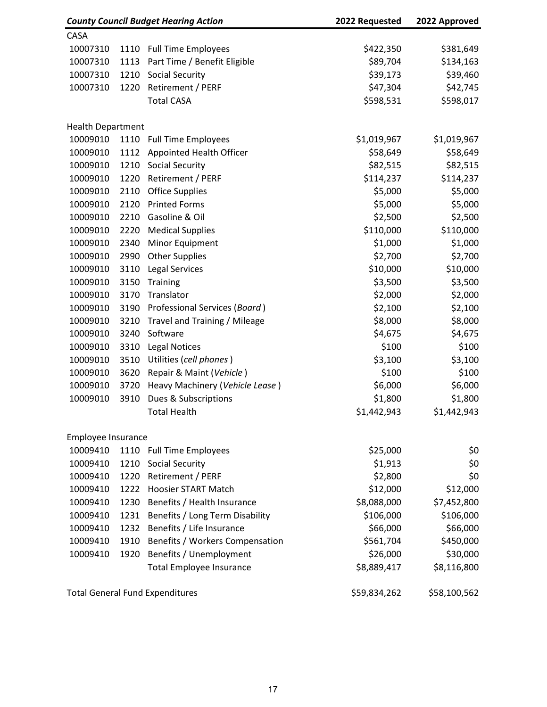|                          |      | <b>County Council Budget Hearing Action</b> | 2022 Requested | 2022 Approved |
|--------------------------|------|---------------------------------------------|----------------|---------------|
| CASA                     |      |                                             |                |               |
| 10007310                 | 1110 | <b>Full Time Employees</b>                  | \$422,350      | \$381,649     |
| 10007310                 | 1113 | Part Time / Benefit Eligible                | \$89,704       | \$134,163     |
| 10007310                 | 1210 | <b>Social Security</b>                      | \$39,173       | \$39,460      |
| 10007310                 | 1220 | Retirement / PERF                           | \$47,304       | \$42,745      |
|                          |      | <b>Total CASA</b>                           | \$598,531      | \$598,017     |
| <b>Health Department</b> |      |                                             |                |               |
| 10009010                 | 1110 | <b>Full Time Employees</b>                  | \$1,019,967    | \$1,019,967   |
| 10009010                 | 1112 | Appointed Health Officer                    | \$58,649       | \$58,649      |
| 10009010                 | 1210 | Social Security                             | \$82,515       | \$82,515      |
| 10009010                 | 1220 | Retirement / PERF                           | \$114,237      | \$114,237     |
| 10009010                 | 2110 | <b>Office Supplies</b>                      | \$5,000        | \$5,000       |
| 10009010                 | 2120 | <b>Printed Forms</b>                        | \$5,000        | \$5,000       |
| 10009010                 | 2210 | Gasoline & Oil                              | \$2,500        | \$2,500       |
| 10009010                 | 2220 | <b>Medical Supplies</b>                     | \$110,000      | \$110,000     |
| 10009010                 | 2340 | Minor Equipment                             | \$1,000        | \$1,000       |
| 10009010                 | 2990 | <b>Other Supplies</b>                       | \$2,700        | \$2,700       |
| 10009010                 | 3110 | <b>Legal Services</b>                       | \$10,000       | \$10,000      |
| 10009010                 | 3150 | Training                                    | \$3,500        | \$3,500       |
| 10009010                 | 3170 | Translator                                  | \$2,000        | \$2,000       |
| 10009010                 | 3190 | Professional Services (Board)               | \$2,100        | \$2,100       |
| 10009010                 | 3210 | Travel and Training / Mileage               | \$8,000        | \$8,000       |
| 10009010                 | 3240 | Software                                    | \$4,675        | \$4,675       |
| 10009010                 | 3310 | <b>Legal Notices</b>                        | \$100          | \$100         |
| 10009010                 | 3510 | Utilities (cell phones)                     | \$3,100        | \$3,100       |
| 10009010                 | 3620 | Repair & Maint (Vehicle)                    | \$100          | \$100         |
| 10009010                 | 3720 | Heavy Machinery (Vehicle Lease)             | \$6,000        | \$6,000       |
| 10009010                 | 3910 | Dues & Subscriptions                        | \$1,800        | \$1,800       |
|                          |      | <b>Total Health</b>                         | \$1,442,943    | \$1,442,943   |
| Employee Insurance       |      |                                             |                |               |
| 10009410                 | 1110 | <b>Full Time Employees</b>                  | \$25,000       | \$0           |
| 10009410                 | 1210 | <b>Social Security</b>                      | \$1,913        | \$0           |
| 10009410                 | 1220 | Retirement / PERF                           | \$2,800        | \$0           |
| 10009410                 | 1222 | <b>Hoosier START Match</b>                  | \$12,000       | \$12,000      |
| 10009410                 | 1230 | Benefits / Health Insurance                 | \$8,088,000    | \$7,452,800   |
| 10009410                 | 1231 | Benefits / Long Term Disability             | \$106,000      | \$106,000     |
| 10009410                 | 1232 | Benefits / Life Insurance                   | \$66,000       | \$66,000      |
| 10009410                 | 1910 | Benefits / Workers Compensation             | \$561,704      | \$450,000     |
| 10009410                 | 1920 | Benefits / Unemployment                     | \$26,000       | \$30,000      |
|                          |      | <b>Total Employee Insurance</b>             | \$8,889,417    | \$8,116,800   |
|                          |      | <b>Total General Fund Expenditures</b>      | \$59,834,262   | \$58,100,562  |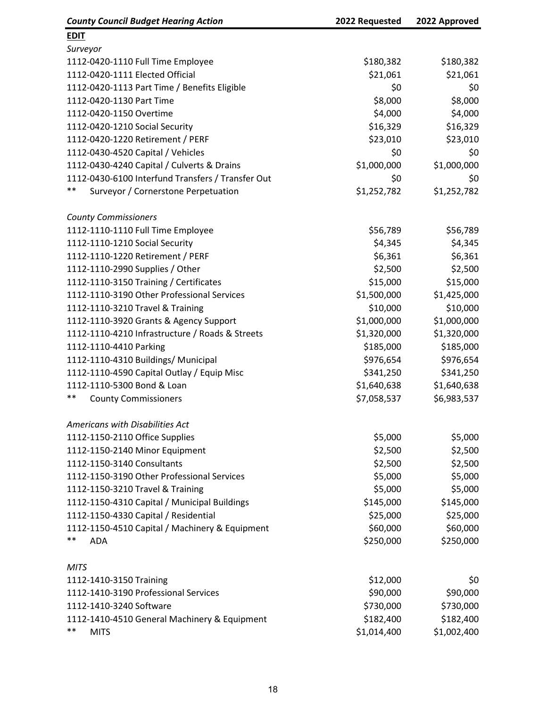| <b>County Council Budget Hearing Action</b>       | 2022 Requested | 2022 Approved |
|---------------------------------------------------|----------------|---------------|
| <b>EDIT</b>                                       |                |               |
| Surveyor                                          |                |               |
| 1112-0420-1110 Full Time Employee                 | \$180,382      | \$180,382     |
| 1112-0420-1111 Elected Official                   | \$21,061       | \$21,061      |
| 1112-0420-1113 Part Time / Benefits Eligible      | \$0            | \$0           |
| 1112-0420-1130 Part Time                          | \$8,000        | \$8,000       |
| 1112-0420-1150 Overtime                           | \$4,000        | \$4,000       |
| 1112-0420-1210 Social Security                    | \$16,329       | \$16,329      |
| 1112-0420-1220 Retirement / PERF                  | \$23,010       | \$23,010      |
| 1112-0430-4520 Capital / Vehicles                 | \$0            | \$0           |
| 1112-0430-4240 Capital / Culverts & Drains        | \$1,000,000    | \$1,000,000   |
| 1112-0430-6100 Interfund Transfers / Transfer Out | \$0            | \$0           |
| $***$<br>Surveyor / Cornerstone Perpetuation      | \$1,252,782    | \$1,252,782   |
| <b>County Commissioners</b>                       |                |               |
| 1112-1110-1110 Full Time Employee                 | \$56,789       | \$56,789      |
| 1112-1110-1210 Social Security                    | \$4,345        | \$4,345       |
| 1112-1110-1220 Retirement / PERF                  | \$6,361        | \$6,361       |
| 1112-1110-2990 Supplies / Other                   | \$2,500        | \$2,500       |
| 1112-1110-3150 Training / Certificates            | \$15,000       | \$15,000      |
| 1112-1110-3190 Other Professional Services        | \$1,500,000    | \$1,425,000   |
| 1112-1110-3210 Travel & Training                  | \$10,000       | \$10,000      |
| 1112-1110-3920 Grants & Agency Support            | \$1,000,000    | \$1,000,000   |
| 1112-1110-4210 Infrastructure / Roads & Streets   | \$1,320,000    | \$1,320,000   |
| 1112-1110-4410 Parking                            | \$185,000      | \$185,000     |
| 1112-1110-4310 Buildings/ Municipal               | \$976,654      | \$976,654     |
| 1112-1110-4590 Capital Outlay / Equip Misc        | \$341,250      | \$341,250     |
| 1112-1110-5300 Bond & Loan                        | \$1,640,638    | \$1,640,638   |
| $***$<br><b>County Commissioners</b>              | \$7,058,537    | \$6,983,537   |
| Americans with Disabilities Act                   |                |               |
| 1112-1150-2110 Office Supplies                    | \$5,000        | \$5,000       |
| 1112-1150-2140 Minor Equipment                    | \$2,500        | \$2,500       |
| 1112-1150-3140 Consultants                        | \$2,500        | \$2,500       |
| 1112-1150-3190 Other Professional Services        | \$5,000        | \$5,000       |
| 1112-1150-3210 Travel & Training                  | \$5,000        | \$5,000       |
| 1112-1150-4310 Capital / Municipal Buildings      | \$145,000      | \$145,000     |
| 1112-1150-4330 Capital / Residential              | \$25,000       | \$25,000      |
| 1112-1150-4510 Capital / Machinery & Equipment    | \$60,000       | \$60,000      |
| $***$<br><b>ADA</b>                               | \$250,000      | \$250,000     |
| <b>MITS</b>                                       |                |               |
| 1112-1410-3150 Training                           | \$12,000       | \$0           |
| 1112-1410-3190 Professional Services              | \$90,000       | \$90,000      |
| 1112-1410-3240 Software                           | \$730,000      | \$730,000     |
| 1112-1410-4510 General Machinery & Equipment      | \$182,400      | \$182,400     |
| $***$<br><b>MITS</b>                              | \$1,014,400    | \$1,002,400   |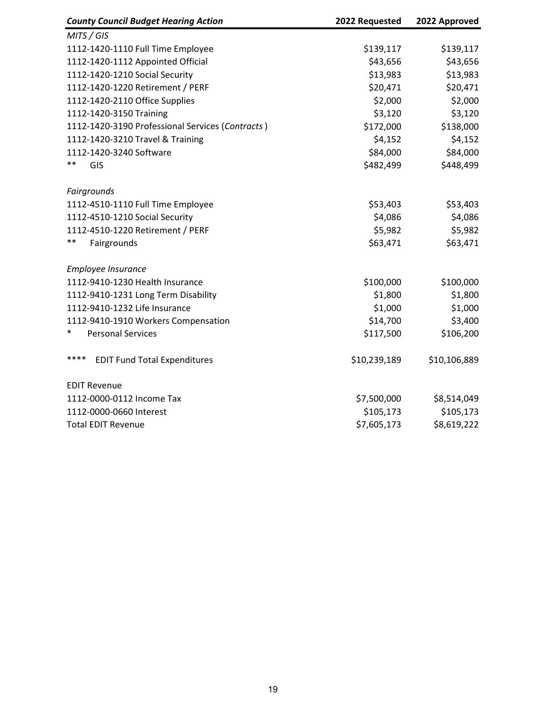| <b>County Council Budget Hearing Action</b>      | 2022 Requested | 2022 Approved |
|--------------------------------------------------|----------------|---------------|
| MITS / GIS                                       |                |               |
| 1112-1420-1110 Full Time Employee                | \$139,117      | \$139,117     |
| 1112-1420-1112 Appointed Official                | \$43,656       | \$43,656      |
| 1112-1420-1210 Social Security                   | \$13,983       | \$13,983      |
| 1112-1420-1220 Retirement / PERF                 | \$20,471       | \$20,471      |
| 1112-1420-2110 Office Supplies                   | \$2,000        | \$2,000       |
| 1112-1420-3150 Training                          | \$3,120        | \$3,120       |
| 1112-1420-3190 Professional Services (Contracts) | \$172,000      | \$138,000     |
| 1112-1420-3210 Travel & Training                 | \$4,152        | \$4,152       |
| 1112-1420-3240 Software                          | \$84,000       | \$84,000      |
| $***$<br>GIS                                     | \$482,499      | \$448,499     |
| Fairgrounds                                      |                |               |
| 1112-4510-1110 Full Time Employee                | \$53,403       | \$53,403      |
| 1112-4510-1210 Social Security                   | \$4,086        | \$4,086       |
| 1112-4510-1220 Retirement / PERF                 | \$5,982        | \$5,982       |
| $***$<br>Fairgrounds                             | \$63,471       | \$63,471      |
| Employee Insurance                               |                |               |
| 1112-9410-1230 Health Insurance                  | \$100,000      | \$100,000     |
| 1112-9410-1231 Long Term Disability              | \$1,800        | \$1,800       |
| 1112-9410-1232 Life Insurance                    | \$1,000        | \$1,000       |
| 1112-9410-1910 Workers Compensation              | \$14,700       | \$3,400       |
| <b>Personal Services</b>                         | \$117,500      | \$106,200     |
| ****<br><b>EDIT Fund Total Expenditures</b>      | \$10,239,189   | \$10,106,889  |
| <b>EDIT Revenue</b>                              |                |               |
| 1112-0000-0112 Income Tax                        | \$7,500,000    | \$8,514,049   |
| 1112-0000-0660 Interest                          | \$105,173      | \$105,173     |
| <b>Total EDIT Revenue</b>                        | \$7,605,173    | \$8,619,222   |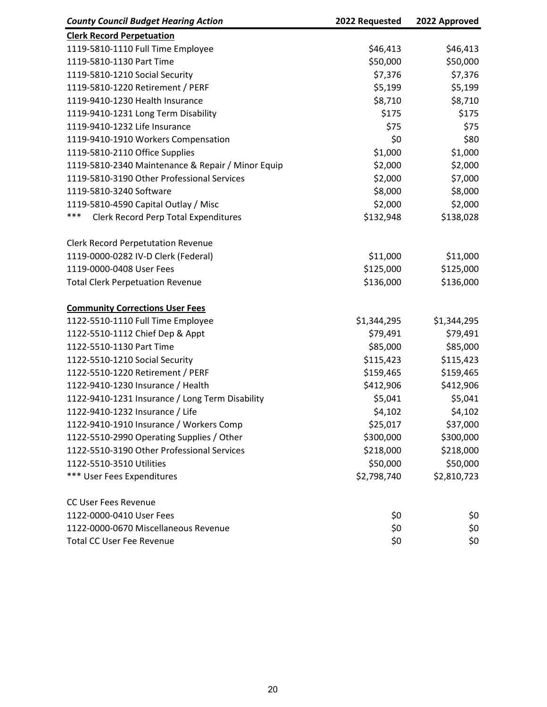| <b>County Council Budget Hearing Action</b>        | 2022 Requested | 2022 Approved |
|----------------------------------------------------|----------------|---------------|
| <b>Clerk Record Perpetuation</b>                   |                |               |
| 1119-5810-1110 Full Time Employee                  | \$46,413       | \$46,413      |
| 1119-5810-1130 Part Time                           | \$50,000       | \$50,000      |
| 1119-5810-1210 Social Security                     | \$7,376        | \$7,376       |
| 1119-5810-1220 Retirement / PERF                   | \$5,199        | \$5,199       |
| 1119-9410-1230 Health Insurance                    | \$8,710        | \$8,710       |
| 1119-9410-1231 Long Term Disability                | \$175          | \$175         |
| 1119-9410-1232 Life Insurance                      | \$75           | \$75          |
| 1119-9410-1910 Workers Compensation                | \$0            | \$80          |
| 1119-5810-2110 Office Supplies                     | \$1,000        | \$1,000       |
| 1119-5810-2340 Maintenance & Repair / Minor Equip  | \$2,000        | \$2,000       |
| 1119-5810-3190 Other Professional Services         | \$2,000        | \$7,000       |
| 1119-5810-3240 Software                            | \$8,000        | \$8,000       |
| 1119-5810-4590 Capital Outlay / Misc               | \$2,000        | \$2,000       |
| ***<br><b>Clerk Record Perp Total Expenditures</b> | \$132,948      | \$138,028     |
| <b>Clerk Record Perpetutation Revenue</b>          |                |               |
| 1119-0000-0282 IV-D Clerk (Federal)                | \$11,000       | \$11,000      |
| 1119-0000-0408 User Fees                           | \$125,000      | \$125,000     |
| <b>Total Clerk Perpetuation Revenue</b>            | \$136,000      | \$136,000     |
| <b>Community Corrections User Fees</b>             |                |               |
| 1122-5510-1110 Full Time Employee                  | \$1,344,295    | \$1,344,295   |
| 1122-5510-1112 Chief Dep & Appt                    | \$79,491       | \$79,491      |
| 1122-5510-1130 Part Time                           | \$85,000       | \$85,000      |
| 1122-5510-1210 Social Security                     | \$115,423      | \$115,423     |
| 1122-5510-1220 Retirement / PERF                   | \$159,465      | \$159,465     |
| 1122-9410-1230 Insurance / Health                  | \$412,906      | \$412,906     |
| 1122-9410-1231 Insurance / Long Term Disability    | \$5,041        | \$5,041       |
| 1122-9410-1232 Insurance / Life                    | \$4,102        | \$4,102       |
| 1122-9410-1910 Insurance / Workers Comp            | \$25,017       | \$37,000      |
| 1122-5510-2990 Operating Supplies / Other          | \$300,000      | \$300,000     |
| 1122-5510-3190 Other Professional Services         | \$218,000      | \$218,000     |
| 1122-5510-3510 Utilities                           | \$50,000       | \$50,000      |
| *** User Fees Expenditures                         | \$2,798,740    | \$2,810,723   |
| <b>CC User Fees Revenue</b>                        |                |               |
| 1122-0000-0410 User Fees                           | \$0            | \$0           |
| 1122-0000-0670 Miscellaneous Revenue               | \$0            | \$0           |
| <b>Total CC User Fee Revenue</b>                   | \$0            | \$0           |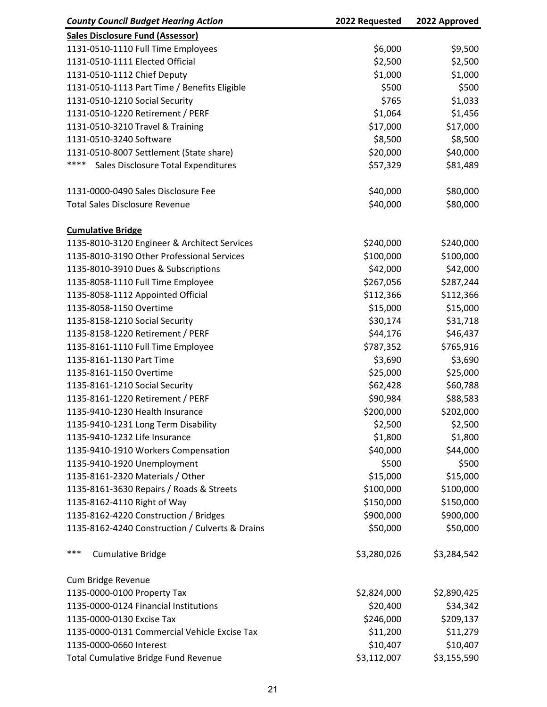| <b>County Council Budget Hearing Action</b>     | 2022 Requested | 2022 Approved |
|-------------------------------------------------|----------------|---------------|
| <b>Sales Disclosure Fund (Assessor)</b>         |                |               |
| 1131-0510-1110 Full Time Employees              | \$6,000        | \$9,500       |
| 1131-0510-1111 Elected Official                 | \$2,500        | \$2,500       |
| 1131-0510-1112 Chief Deputy                     | \$1,000        | \$1,000       |
| 1131-0510-1113 Part Time / Benefits Eligible    | \$500          | \$500         |
| 1131-0510-1210 Social Security                  | \$765          | \$1,033       |
| 1131-0510-1220 Retirement / PERF                | \$1,064        | \$1,456       |
| 1131-0510-3210 Travel & Training                | \$17,000       | \$17,000      |
| 1131-0510-3240 Software                         | \$8,500        | \$8,500       |
| 1131-0510-8007 Settlement (State share)         | \$20,000       | \$40,000      |
| ****<br>Sales Disclosure Total Expenditures     | \$57,329       | \$81,489      |
|                                                 |                |               |
| 1131-0000-0490 Sales Disclosure Fee             | \$40,000       | \$80,000      |
| <b>Total Sales Disclosure Revenue</b>           | \$40,000       | \$80,000      |
|                                                 |                |               |
| <b>Cumulative Bridge</b>                        |                |               |
| 1135-8010-3120 Engineer & Architect Services    | \$240,000      | \$240,000     |
| 1135-8010-3190 Other Professional Services      | \$100,000      | \$100,000     |
| 1135-8010-3910 Dues & Subscriptions             | \$42,000       | \$42,000      |
| 1135-8058-1110 Full Time Employee               | \$267,056      | \$287,244     |
| 1135-8058-1112 Appointed Official               | \$112,366      | \$112,366     |
| 1135-8058-1150 Overtime                         | \$15,000       | \$15,000      |
| 1135-8158-1210 Social Security                  | \$30,174       | \$31,718      |
| 1135-8158-1220 Retirement / PERF                | \$44,176       | \$46,437      |
| 1135-8161-1110 Full Time Employee               | \$787,352      | \$765,916     |
| 1135-8161-1130 Part Time                        | \$3,690        | \$3,690       |
|                                                 |                |               |
| 1135-8161-1150 Overtime                         | \$25,000       | \$25,000      |
| 1135-8161-1210 Social Security                  | \$62,428       | \$60,788      |
| 1135-8161-1220 Retirement / PERF                | \$90,984       | \$88,583      |
| 1135-9410-1230 Health Insurance                 | \$200,000      | \$202,000     |
| 1135-9410-1231 Long Term Disability             | \$2,500        | \$2,500       |
| 1135-9410-1232 Life Insurance                   | \$1,800        | \$1,800       |
| 1135-9410-1910 Workers Compensation             | \$40,000       | \$44,000      |
| 1135-9410-1920 Unemployment                     | \$500          | \$500         |
| 1135-8161-2320 Materials / Other                | \$15,000       | \$15,000      |
| 1135-8161-3630 Repairs / Roads & Streets        | \$100,000      | \$100,000     |
| 1135-8162-4110 Right of Way                     | \$150,000      | \$150,000     |
| 1135-8162-4220 Construction / Bridges           | \$900,000      | \$900,000     |
| 1135-8162-4240 Construction / Culverts & Drains | \$50,000       | \$50,000      |
|                                                 |                |               |
| ***<br><b>Cumulative Bridge</b>                 | \$3,280,026    | \$3,284,542   |
|                                                 |                |               |
| Cum Bridge Revenue                              |                |               |
| 1135-0000-0100 Property Tax                     | \$2,824,000    | \$2,890,425   |
| 1135-0000-0124 Financial Institutions           | \$20,400       | \$34,342      |
| 1135-0000-0130 Excise Tax                       | \$246,000      | \$209,137     |
| 1135-0000-0131 Commercial Vehicle Excise Tax    | \$11,200       | \$11,279      |
| 1135-0000-0660 Interest                         | \$10,407       | \$10,407      |
| <b>Total Cumulative Bridge Fund Revenue</b>     | \$3,112,007    | \$3,155,590   |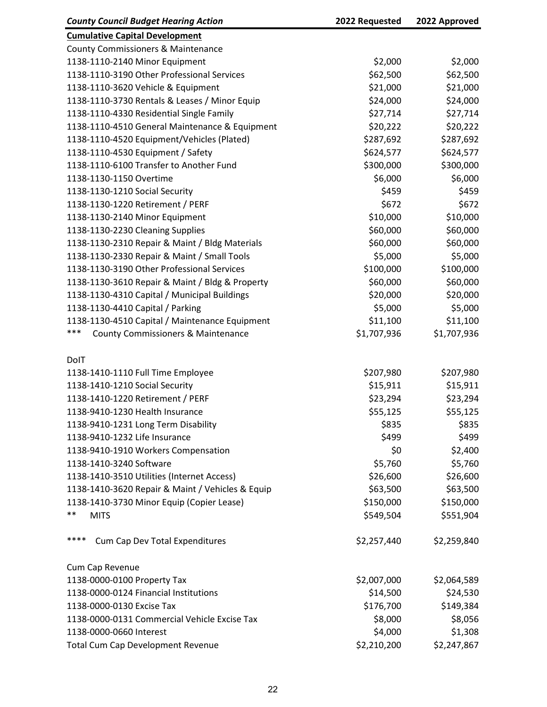| <b>County Council Budget Hearing Action</b>          | 2022 Requested | 2022 Approved |
|------------------------------------------------------|----------------|---------------|
| <b>Cumulative Capital Development</b>                |                |               |
| <b>County Commissioners &amp; Maintenance</b>        |                |               |
| 1138-1110-2140 Minor Equipment                       | \$2,000        | \$2,000       |
| 1138-1110-3190 Other Professional Services           | \$62,500       | \$62,500      |
| 1138-1110-3620 Vehicle & Equipment                   | \$21,000       | \$21,000      |
| 1138-1110-3730 Rentals & Leases / Minor Equip        | \$24,000       | \$24,000      |
| 1138-1110-4330 Residential Single Family             | \$27,714       | \$27,714      |
| 1138-1110-4510 General Maintenance & Equipment       | \$20,222       | \$20,222      |
| 1138-1110-4520 Equipment/Vehicles (Plated)           | \$287,692      | \$287,692     |
| 1138-1110-4530 Equipment / Safety                    | \$624,577      | \$624,577     |
| 1138-1110-6100 Transfer to Another Fund              | \$300,000      | \$300,000     |
| 1138-1130-1150 Overtime                              | \$6,000        | \$6,000       |
| 1138-1130-1210 Social Security                       | \$459          | \$459         |
| 1138-1130-1220 Retirement / PERF                     | \$672          | \$672         |
| 1138-1130-2140 Minor Equipment                       | \$10,000       | \$10,000      |
| 1138-1130-2230 Cleaning Supplies                     | \$60,000       | \$60,000      |
| 1138-1130-2310 Repair & Maint / Bldg Materials       | \$60,000       | \$60,000      |
| 1138-1130-2330 Repair & Maint / Small Tools          | \$5,000        | \$5,000       |
| 1138-1130-3190 Other Professional Services           | \$100,000      | \$100,000     |
| 1138-1130-3610 Repair & Maint / Bldg & Property      | \$60,000       | \$60,000      |
| 1138-1130-4310 Capital / Municipal Buildings         | \$20,000       | \$20,000      |
| 1138-1130-4410 Capital / Parking                     | \$5,000        | \$5,000       |
| 1138-1130-4510 Capital / Maintenance Equipment       | \$11,100       | \$11,100      |
| ***<br><b>County Commissioners &amp; Maintenance</b> | \$1,707,936    | \$1,707,936   |
|                                                      |                |               |
| DolT                                                 |                |               |
| 1138-1410-1110 Full Time Employee                    | \$207,980      | \$207,980     |
| 1138-1410-1210 Social Security                       | \$15,911       | \$15,911      |
| 1138-1410-1220 Retirement / PERF                     | \$23,294       | \$23,294      |
| 1138-9410-1230 Health Insurance                      | \$55,125       | \$55,125      |
| 1138-9410-1231 Long Term Disability                  | \$835          | \$835         |
| 1138-9410-1232 Life Insurance                        | \$499          | \$499         |
| 1138-9410-1910 Workers Compensation                  | \$0            | \$2,400       |
| 1138-1410-3240 Software                              | \$5,760        | \$5,760       |
| 1138-1410-3510 Utilities (Internet Access)           | \$26,600       | \$26,600      |
| 1138-1410-3620 Repair & Maint / Vehicles & Equip     | \$63,500       | \$63,500      |
| 1138-1410-3730 Minor Equip (Copier Lease)            | \$150,000      | \$150,000     |
| $***$<br><b>MITS</b>                                 | \$549,504      | \$551,904     |
| ****<br>Cum Cap Dev Total Expenditures               | \$2,257,440    | \$2,259,840   |
| Cum Cap Revenue                                      |                |               |
| 1138-0000-0100 Property Tax                          | \$2,007,000    | \$2,064,589   |
| 1138-0000-0124 Financial Institutions                | \$14,500       | \$24,530      |
| 1138-0000-0130 Excise Tax                            | \$176,700      | \$149,384     |
| 1138-0000-0131 Commercial Vehicle Excise Tax         | \$8,000        | \$8,056       |
| 1138-0000-0660 Interest                              | \$4,000        | \$1,308       |
| <b>Total Cum Cap Development Revenue</b>             | \$2,210,200    | \$2,247,867   |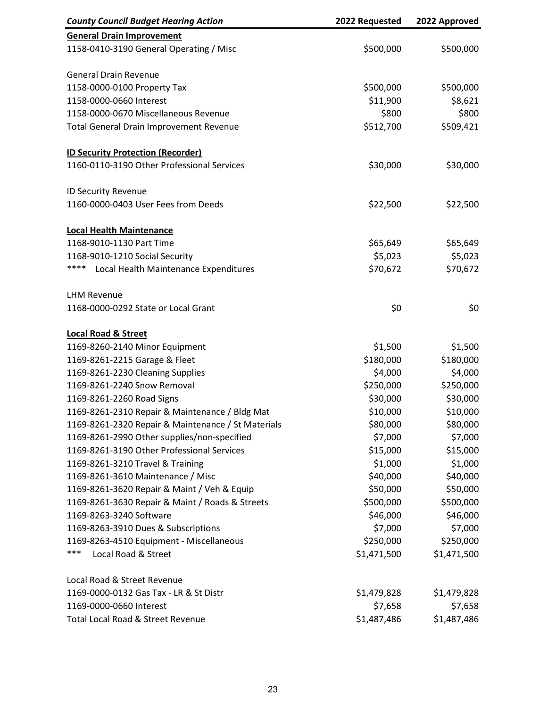| <b>County Council Budget Hearing Action</b>        | 2022 Requested | 2022 Approved |
|----------------------------------------------------|----------------|---------------|
| <b>General Drain Improvement</b>                   |                |               |
| 1158-0410-3190 General Operating / Misc            | \$500,000      | \$500,000     |
| <b>General Drain Revenue</b>                       |                |               |
| 1158-0000-0100 Property Tax                        | \$500,000      | \$500,000     |
| 1158-0000-0660 Interest                            | \$11,900       | \$8,621       |
| 1158-0000-0670 Miscellaneous Revenue               | \$800          | \$800         |
| <b>Total General Drain Improvement Revenue</b>     | \$512,700      | \$509,421     |
| <b>ID Security Protection (Recorder)</b>           |                |               |
| 1160-0110-3190 Other Professional Services         | \$30,000       | \$30,000      |
| ID Security Revenue                                |                |               |
| 1160-0000-0403 User Fees from Deeds                | \$22,500       | \$22,500      |
| <b>Local Health Maintenance</b>                    |                |               |
| 1168-9010-1130 Part Time                           | \$65,649       | \$65,649      |
| 1168-9010-1210 Social Security                     | \$5,023        | \$5,023       |
| ****<br>Local Health Maintenance Expenditures      | \$70,672       | \$70,672      |
| <b>LHM Revenue</b>                                 |                |               |
| 1168-0000-0292 State or Local Grant                | \$0            | \$0           |
| <b>Local Road &amp; Street</b>                     |                |               |
| 1169-8260-2140 Minor Equipment                     | \$1,500        | \$1,500       |
| 1169-8261-2215 Garage & Fleet                      | \$180,000      | \$180,000     |
| 1169-8261-2230 Cleaning Supplies                   | \$4,000        | \$4,000       |
| 1169-8261-2240 Snow Removal                        | \$250,000      | \$250,000     |
| 1169-8261-2260 Road Signs                          | \$30,000       | \$30,000      |
| 1169-8261-2310 Repair & Maintenance / Bldg Mat     | \$10,000       | \$10,000      |
| 1169-8261-2320 Repair & Maintenance / St Materials | \$80,000       | \$80,000      |
| 1169-8261-2990 Other supplies/non-specified        | \$7,000        | \$7,000       |
| 1169-8261-3190 Other Professional Services         | \$15,000       | \$15,000      |
| 1169-8261-3210 Travel & Training                   | \$1,000        | \$1,000       |
| 1169-8261-3610 Maintenance / Misc                  | \$40,000       | \$40,000      |
| 1169-8261-3620 Repair & Maint / Veh & Equip        | \$50,000       | \$50,000      |
| 1169-8261-3630 Repair & Maint / Roads & Streets    | \$500,000      | \$500,000     |
| 1169-8263-3240 Software                            | \$46,000       | \$46,000      |
| 1169-8263-3910 Dues & Subscriptions                | \$7,000        | \$7,000       |
| 1169-8263-4510 Equipment - Miscellaneous           | \$250,000      | \$250,000     |
| ***<br>Local Road & Street                         | \$1,471,500    | \$1,471,500   |
| Local Road & Street Revenue                        |                |               |
| 1169-0000-0132 Gas Tax - LR & St Distr             | \$1,479,828    | \$1,479,828   |
| 1169-0000-0660 Interest                            | \$7,658        | \$7,658       |
| Total Local Road & Street Revenue                  | \$1,487,486    | \$1,487,486   |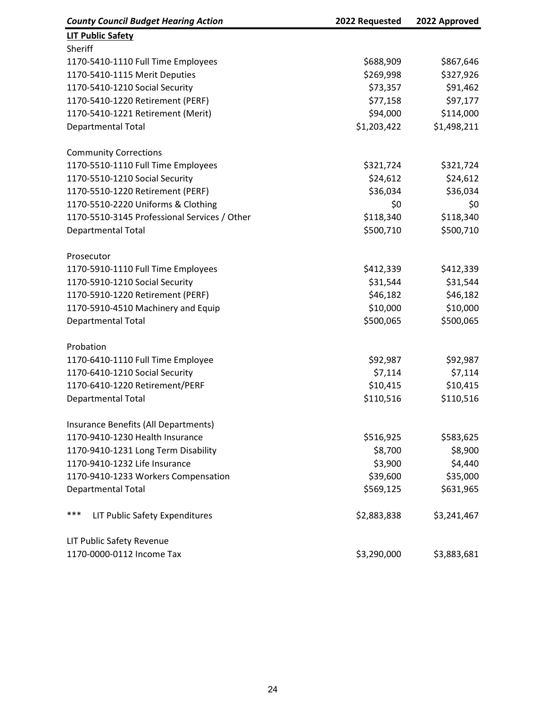| <b>County Council Budget Hearing Action</b>  | 2022 Requested | 2022 Approved |
|----------------------------------------------|----------------|---------------|
| <b>LIT Public Safety</b>                     |                |               |
| Sheriff                                      |                |               |
| 1170-5410-1110 Full Time Employees           | \$688,909      | \$867,646     |
| 1170-5410-1115 Merit Deputies                | \$269,998      | \$327,926     |
| 1170-5410-1210 Social Security               | \$73,357       | \$91,462      |
| 1170-5410-1220 Retirement (PERF)             | \$77,158       | \$97,177      |
| 1170-5410-1221 Retirement (Merit)            | \$94,000       | \$114,000     |
| <b>Departmental Total</b>                    | \$1,203,422    | \$1,498,211   |
| <b>Community Corrections</b>                 |                |               |
| 1170-5510-1110 Full Time Employees           | \$321,724      | \$321,724     |
| 1170-5510-1210 Social Security               | \$24,612       | \$24,612      |
| 1170-5510-1220 Retirement (PERF)             | \$36,034       | \$36,034      |
| 1170-5510-2220 Uniforms & Clothing           | \$0            | \$0           |
| 1170-5510-3145 Professional Services / Other | \$118,340      | \$118,340     |
| <b>Departmental Total</b>                    | \$500,710      | \$500,710     |
| Prosecutor                                   |                |               |
| 1170-5910-1110 Full Time Employees           | \$412,339      | \$412,339     |
| 1170-5910-1210 Social Security               | \$31,544       | \$31,544      |
| 1170-5910-1220 Retirement (PERF)             | \$46,182       | \$46,182      |
| 1170-5910-4510 Machinery and Equip           | \$10,000       | \$10,000      |
| <b>Departmental Total</b>                    | \$500,065      | \$500,065     |
| Probation                                    |                |               |
| 1170-6410-1110 Full Time Employee            | \$92,987       | \$92,987      |
| 1170-6410-1210 Social Security               | \$7,114        | \$7,114       |
| 1170-6410-1220 Retirement/PERF               | \$10,415       | \$10,415      |
| <b>Departmental Total</b>                    | \$110,516      | \$110,516     |
| Insurance Benefits (All Departments)         |                |               |
| 1170-9410-1230 Health Insurance              | \$516,925      | \$583,625     |
| 1170-9410-1231 Long Term Disability          | \$8,700        | \$8,900       |
| 1170-9410-1232 Life Insurance                | \$3,900        | \$4,440       |
| 1170-9410-1233 Workers Compensation          | \$39,600       | \$35,000      |
| <b>Departmental Total</b>                    | \$569,125      | \$631,965     |
| ***<br>LIT Public Safety Expenditures        | \$2,883,838    | \$3,241,467   |
| LIT Public Safety Revenue                    |                |               |
| 1170-0000-0112 Income Tax                    | \$3,290,000    | \$3,883,681   |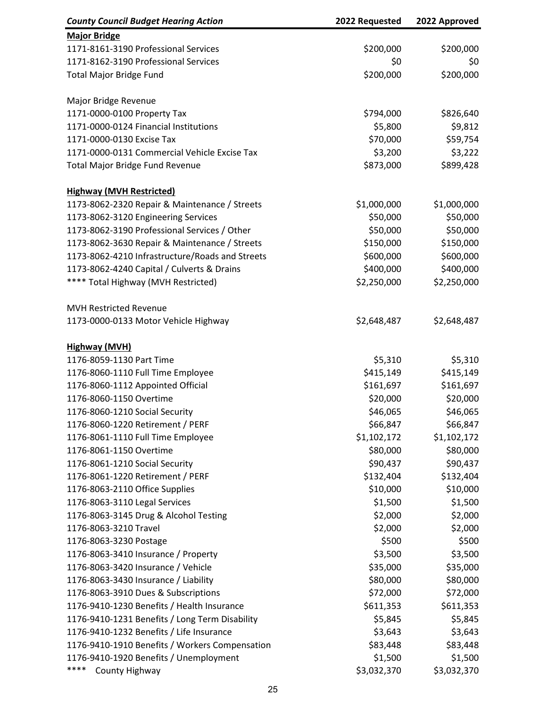| <b>Major Bridge</b><br>1171-8161-3190 Professional Services<br>\$200,000<br>\$200,000<br>1171-8162-3190 Professional Services<br>\$0<br>\$0<br><b>Total Major Bridge Fund</b><br>\$200,000<br>\$200,000<br>Major Bridge Revenue<br>1171-0000-0100 Property Tax<br>\$826,640<br>\$794,000<br>\$9,812<br>1171-0000-0124 Financial Institutions<br>\$5,800<br>\$59,754<br>1171-0000-0130 Excise Tax<br>\$70,000<br>1171-0000-0131 Commercial Vehicle Excise Tax<br>\$3,200<br>\$3,222<br><b>Total Major Bridge Fund Revenue</b><br>\$873,000<br>\$899,428<br><b>Highway (MVH Restricted)</b><br>1173-8062-2320 Repair & Maintenance / Streets<br>\$1,000,000<br>\$1,000,000<br>\$50,000<br>1173-8062-3120 Engineering Services<br>\$50,000<br>\$50,000<br>\$50,000<br>1173-8062-3190 Professional Services / Other<br>\$150,000<br>\$150,000<br>1173-8062-3630 Repair & Maintenance / Streets<br>\$600,000<br>1173-8062-4210 Infrastructure/Roads and Streets<br>\$600,000<br>1173-8062-4240 Capital / Culverts & Drains<br>\$400,000<br>\$400,000<br>**** Total Highway (MVH Restricted)<br>\$2,250,000<br>\$2,250,000<br><b>MVH Restricted Revenue</b><br>1173-0000-0133 Motor Vehicle Highway<br>\$2,648,487<br>\$2,648,487<br><b>Highway (MVH)</b><br>1176-8059-1130 Part Time<br>\$5,310<br>\$5,310<br>\$415,149<br>\$415,149<br>1176-8060-1110 Full Time Employee<br>1176-8060-1112 Appointed Official<br>\$161,697<br>\$161,697<br>\$20,000<br>1176-8060-1150 Overtime<br>\$20,000<br>\$46,065<br>1176-8060-1210 Social Security<br>\$46,065<br>1176-8060-1220 Retirement / PERF<br>\$66,847<br>\$66,847<br>\$1,102,172<br>\$1,102,172<br>1176-8061-1110 Full Time Employee<br>\$80,000<br>\$80,000<br>1176-8061-1150 Overtime<br>\$90,437<br>\$90,437<br>1176-8061-1210 Social Security<br>1176-8061-1220 Retirement / PERF<br>\$132,404<br>\$132,404<br>1176-8063-2110 Office Supplies<br>\$10,000<br>\$10,000<br>\$1,500<br>\$1,500<br>1176-8063-3110 Legal Services<br>\$2,000<br>\$2,000<br>1176-8063-3145 Drug & Alcohol Testing<br>1176-8063-3210 Travel<br>\$2,000<br>\$2,000<br>\$500<br>\$500<br>1176-8063-3230 Postage<br>\$3,500<br>1176-8063-3410 Insurance / Property<br>\$3,500<br>1176-8063-3420 Insurance / Vehicle<br>\$35,000<br>\$35,000<br>\$80,000<br>\$80,000<br>1176-8063-3430 Insurance / Liability<br>1176-8063-3910 Dues & Subscriptions<br>\$72,000<br>\$72,000<br>1176-9410-1230 Benefits / Health Insurance<br>\$611,353<br>\$611,353<br>\$5,845<br>\$5,845<br>1176-9410-1231 Benefits / Long Term Disability<br>\$3,643<br>\$3,643<br>1176-9410-1232 Benefits / Life Insurance<br>\$83,448<br>\$83,448<br>1176-9410-1910 Benefits / Workers Compensation<br>\$1,500<br>1176-9410-1920 Benefits / Unemployment<br>\$1,500<br>****<br>\$3,032,370<br>County Highway<br>\$3,032,370 | <b>County Council Budget Hearing Action</b> | 2022 Requested | 2022 Approved |
|---------------------------------------------------------------------------------------------------------------------------------------------------------------------------------------------------------------------------------------------------------------------------------------------------------------------------------------------------------------------------------------------------------------------------------------------------------------------------------------------------------------------------------------------------------------------------------------------------------------------------------------------------------------------------------------------------------------------------------------------------------------------------------------------------------------------------------------------------------------------------------------------------------------------------------------------------------------------------------------------------------------------------------------------------------------------------------------------------------------------------------------------------------------------------------------------------------------------------------------------------------------------------------------------------------------------------------------------------------------------------------------------------------------------------------------------------------------------------------------------------------------------------------------------------------------------------------------------------------------------------------------------------------------------------------------------------------------------------------------------------------------------------------------------------------------------------------------------------------------------------------------------------------------------------------------------------------------------------------------------------------------------------------------------------------------------------------------------------------------------------------------------------------------------------------------------------------------------------------------------------------------------------------------------------------------------------------------------------------------------------------------------------------------------------------------------------------------------------------------------------------------------------------------------------------------------------------------------------------------------------------------------------------------------------------------------------------------------------------------------------------------------------------------------------------------------|---------------------------------------------|----------------|---------------|
|                                                                                                                                                                                                                                                                                                                                                                                                                                                                                                                                                                                                                                                                                                                                                                                                                                                                                                                                                                                                                                                                                                                                                                                                                                                                                                                                                                                                                                                                                                                                                                                                                                                                                                                                                                                                                                                                                                                                                                                                                                                                                                                                                                                                                                                                                                                                                                                                                                                                                                                                                                                                                                                                                                                                                                                                                     |                                             |                |               |
|                                                                                                                                                                                                                                                                                                                                                                                                                                                                                                                                                                                                                                                                                                                                                                                                                                                                                                                                                                                                                                                                                                                                                                                                                                                                                                                                                                                                                                                                                                                                                                                                                                                                                                                                                                                                                                                                                                                                                                                                                                                                                                                                                                                                                                                                                                                                                                                                                                                                                                                                                                                                                                                                                                                                                                                                                     |                                             |                |               |
|                                                                                                                                                                                                                                                                                                                                                                                                                                                                                                                                                                                                                                                                                                                                                                                                                                                                                                                                                                                                                                                                                                                                                                                                                                                                                                                                                                                                                                                                                                                                                                                                                                                                                                                                                                                                                                                                                                                                                                                                                                                                                                                                                                                                                                                                                                                                                                                                                                                                                                                                                                                                                                                                                                                                                                                                                     |                                             |                |               |
|                                                                                                                                                                                                                                                                                                                                                                                                                                                                                                                                                                                                                                                                                                                                                                                                                                                                                                                                                                                                                                                                                                                                                                                                                                                                                                                                                                                                                                                                                                                                                                                                                                                                                                                                                                                                                                                                                                                                                                                                                                                                                                                                                                                                                                                                                                                                                                                                                                                                                                                                                                                                                                                                                                                                                                                                                     |                                             |                |               |
|                                                                                                                                                                                                                                                                                                                                                                                                                                                                                                                                                                                                                                                                                                                                                                                                                                                                                                                                                                                                                                                                                                                                                                                                                                                                                                                                                                                                                                                                                                                                                                                                                                                                                                                                                                                                                                                                                                                                                                                                                                                                                                                                                                                                                                                                                                                                                                                                                                                                                                                                                                                                                                                                                                                                                                                                                     |                                             |                |               |
|                                                                                                                                                                                                                                                                                                                                                                                                                                                                                                                                                                                                                                                                                                                                                                                                                                                                                                                                                                                                                                                                                                                                                                                                                                                                                                                                                                                                                                                                                                                                                                                                                                                                                                                                                                                                                                                                                                                                                                                                                                                                                                                                                                                                                                                                                                                                                                                                                                                                                                                                                                                                                                                                                                                                                                                                                     |                                             |                |               |
|                                                                                                                                                                                                                                                                                                                                                                                                                                                                                                                                                                                                                                                                                                                                                                                                                                                                                                                                                                                                                                                                                                                                                                                                                                                                                                                                                                                                                                                                                                                                                                                                                                                                                                                                                                                                                                                                                                                                                                                                                                                                                                                                                                                                                                                                                                                                                                                                                                                                                                                                                                                                                                                                                                                                                                                                                     |                                             |                |               |
|                                                                                                                                                                                                                                                                                                                                                                                                                                                                                                                                                                                                                                                                                                                                                                                                                                                                                                                                                                                                                                                                                                                                                                                                                                                                                                                                                                                                                                                                                                                                                                                                                                                                                                                                                                                                                                                                                                                                                                                                                                                                                                                                                                                                                                                                                                                                                                                                                                                                                                                                                                                                                                                                                                                                                                                                                     |                                             |                |               |
|                                                                                                                                                                                                                                                                                                                                                                                                                                                                                                                                                                                                                                                                                                                                                                                                                                                                                                                                                                                                                                                                                                                                                                                                                                                                                                                                                                                                                                                                                                                                                                                                                                                                                                                                                                                                                                                                                                                                                                                                                                                                                                                                                                                                                                                                                                                                                                                                                                                                                                                                                                                                                                                                                                                                                                                                                     |                                             |                |               |
|                                                                                                                                                                                                                                                                                                                                                                                                                                                                                                                                                                                                                                                                                                                                                                                                                                                                                                                                                                                                                                                                                                                                                                                                                                                                                                                                                                                                                                                                                                                                                                                                                                                                                                                                                                                                                                                                                                                                                                                                                                                                                                                                                                                                                                                                                                                                                                                                                                                                                                                                                                                                                                                                                                                                                                                                                     |                                             |                |               |
|                                                                                                                                                                                                                                                                                                                                                                                                                                                                                                                                                                                                                                                                                                                                                                                                                                                                                                                                                                                                                                                                                                                                                                                                                                                                                                                                                                                                                                                                                                                                                                                                                                                                                                                                                                                                                                                                                                                                                                                                                                                                                                                                                                                                                                                                                                                                                                                                                                                                                                                                                                                                                                                                                                                                                                                                                     |                                             |                |               |
|                                                                                                                                                                                                                                                                                                                                                                                                                                                                                                                                                                                                                                                                                                                                                                                                                                                                                                                                                                                                                                                                                                                                                                                                                                                                                                                                                                                                                                                                                                                                                                                                                                                                                                                                                                                                                                                                                                                                                                                                                                                                                                                                                                                                                                                                                                                                                                                                                                                                                                                                                                                                                                                                                                                                                                                                                     |                                             |                |               |
|                                                                                                                                                                                                                                                                                                                                                                                                                                                                                                                                                                                                                                                                                                                                                                                                                                                                                                                                                                                                                                                                                                                                                                                                                                                                                                                                                                                                                                                                                                                                                                                                                                                                                                                                                                                                                                                                                                                                                                                                                                                                                                                                                                                                                                                                                                                                                                                                                                                                                                                                                                                                                                                                                                                                                                                                                     |                                             |                |               |
|                                                                                                                                                                                                                                                                                                                                                                                                                                                                                                                                                                                                                                                                                                                                                                                                                                                                                                                                                                                                                                                                                                                                                                                                                                                                                                                                                                                                                                                                                                                                                                                                                                                                                                                                                                                                                                                                                                                                                                                                                                                                                                                                                                                                                                                                                                                                                                                                                                                                                                                                                                                                                                                                                                                                                                                                                     |                                             |                |               |
|                                                                                                                                                                                                                                                                                                                                                                                                                                                                                                                                                                                                                                                                                                                                                                                                                                                                                                                                                                                                                                                                                                                                                                                                                                                                                                                                                                                                                                                                                                                                                                                                                                                                                                                                                                                                                                                                                                                                                                                                                                                                                                                                                                                                                                                                                                                                                                                                                                                                                                                                                                                                                                                                                                                                                                                                                     |                                             |                |               |
|                                                                                                                                                                                                                                                                                                                                                                                                                                                                                                                                                                                                                                                                                                                                                                                                                                                                                                                                                                                                                                                                                                                                                                                                                                                                                                                                                                                                                                                                                                                                                                                                                                                                                                                                                                                                                                                                                                                                                                                                                                                                                                                                                                                                                                                                                                                                                                                                                                                                                                                                                                                                                                                                                                                                                                                                                     |                                             |                |               |
|                                                                                                                                                                                                                                                                                                                                                                                                                                                                                                                                                                                                                                                                                                                                                                                                                                                                                                                                                                                                                                                                                                                                                                                                                                                                                                                                                                                                                                                                                                                                                                                                                                                                                                                                                                                                                                                                                                                                                                                                                                                                                                                                                                                                                                                                                                                                                                                                                                                                                                                                                                                                                                                                                                                                                                                                                     |                                             |                |               |
|                                                                                                                                                                                                                                                                                                                                                                                                                                                                                                                                                                                                                                                                                                                                                                                                                                                                                                                                                                                                                                                                                                                                                                                                                                                                                                                                                                                                                                                                                                                                                                                                                                                                                                                                                                                                                                                                                                                                                                                                                                                                                                                                                                                                                                                                                                                                                                                                                                                                                                                                                                                                                                                                                                                                                                                                                     |                                             |                |               |
|                                                                                                                                                                                                                                                                                                                                                                                                                                                                                                                                                                                                                                                                                                                                                                                                                                                                                                                                                                                                                                                                                                                                                                                                                                                                                                                                                                                                                                                                                                                                                                                                                                                                                                                                                                                                                                                                                                                                                                                                                                                                                                                                                                                                                                                                                                                                                                                                                                                                                                                                                                                                                                                                                                                                                                                                                     |                                             |                |               |
|                                                                                                                                                                                                                                                                                                                                                                                                                                                                                                                                                                                                                                                                                                                                                                                                                                                                                                                                                                                                                                                                                                                                                                                                                                                                                                                                                                                                                                                                                                                                                                                                                                                                                                                                                                                                                                                                                                                                                                                                                                                                                                                                                                                                                                                                                                                                                                                                                                                                                                                                                                                                                                                                                                                                                                                                                     |                                             |                |               |
|                                                                                                                                                                                                                                                                                                                                                                                                                                                                                                                                                                                                                                                                                                                                                                                                                                                                                                                                                                                                                                                                                                                                                                                                                                                                                                                                                                                                                                                                                                                                                                                                                                                                                                                                                                                                                                                                                                                                                                                                                                                                                                                                                                                                                                                                                                                                                                                                                                                                                                                                                                                                                                                                                                                                                                                                                     |                                             |                |               |
|                                                                                                                                                                                                                                                                                                                                                                                                                                                                                                                                                                                                                                                                                                                                                                                                                                                                                                                                                                                                                                                                                                                                                                                                                                                                                                                                                                                                                                                                                                                                                                                                                                                                                                                                                                                                                                                                                                                                                                                                                                                                                                                                                                                                                                                                                                                                                                                                                                                                                                                                                                                                                                                                                                                                                                                                                     |                                             |                |               |
|                                                                                                                                                                                                                                                                                                                                                                                                                                                                                                                                                                                                                                                                                                                                                                                                                                                                                                                                                                                                                                                                                                                                                                                                                                                                                                                                                                                                                                                                                                                                                                                                                                                                                                                                                                                                                                                                                                                                                                                                                                                                                                                                                                                                                                                                                                                                                                                                                                                                                                                                                                                                                                                                                                                                                                                                                     |                                             |                |               |
|                                                                                                                                                                                                                                                                                                                                                                                                                                                                                                                                                                                                                                                                                                                                                                                                                                                                                                                                                                                                                                                                                                                                                                                                                                                                                                                                                                                                                                                                                                                                                                                                                                                                                                                                                                                                                                                                                                                                                                                                                                                                                                                                                                                                                                                                                                                                                                                                                                                                                                                                                                                                                                                                                                                                                                                                                     |                                             |                |               |
|                                                                                                                                                                                                                                                                                                                                                                                                                                                                                                                                                                                                                                                                                                                                                                                                                                                                                                                                                                                                                                                                                                                                                                                                                                                                                                                                                                                                                                                                                                                                                                                                                                                                                                                                                                                                                                                                                                                                                                                                                                                                                                                                                                                                                                                                                                                                                                                                                                                                                                                                                                                                                                                                                                                                                                                                                     |                                             |                |               |
|                                                                                                                                                                                                                                                                                                                                                                                                                                                                                                                                                                                                                                                                                                                                                                                                                                                                                                                                                                                                                                                                                                                                                                                                                                                                                                                                                                                                                                                                                                                                                                                                                                                                                                                                                                                                                                                                                                                                                                                                                                                                                                                                                                                                                                                                                                                                                                                                                                                                                                                                                                                                                                                                                                                                                                                                                     |                                             |                |               |
|                                                                                                                                                                                                                                                                                                                                                                                                                                                                                                                                                                                                                                                                                                                                                                                                                                                                                                                                                                                                                                                                                                                                                                                                                                                                                                                                                                                                                                                                                                                                                                                                                                                                                                                                                                                                                                                                                                                                                                                                                                                                                                                                                                                                                                                                                                                                                                                                                                                                                                                                                                                                                                                                                                                                                                                                                     |                                             |                |               |
|                                                                                                                                                                                                                                                                                                                                                                                                                                                                                                                                                                                                                                                                                                                                                                                                                                                                                                                                                                                                                                                                                                                                                                                                                                                                                                                                                                                                                                                                                                                                                                                                                                                                                                                                                                                                                                                                                                                                                                                                                                                                                                                                                                                                                                                                                                                                                                                                                                                                                                                                                                                                                                                                                                                                                                                                                     |                                             |                |               |
|                                                                                                                                                                                                                                                                                                                                                                                                                                                                                                                                                                                                                                                                                                                                                                                                                                                                                                                                                                                                                                                                                                                                                                                                                                                                                                                                                                                                                                                                                                                                                                                                                                                                                                                                                                                                                                                                                                                                                                                                                                                                                                                                                                                                                                                                                                                                                                                                                                                                                                                                                                                                                                                                                                                                                                                                                     |                                             |                |               |
|                                                                                                                                                                                                                                                                                                                                                                                                                                                                                                                                                                                                                                                                                                                                                                                                                                                                                                                                                                                                                                                                                                                                                                                                                                                                                                                                                                                                                                                                                                                                                                                                                                                                                                                                                                                                                                                                                                                                                                                                                                                                                                                                                                                                                                                                                                                                                                                                                                                                                                                                                                                                                                                                                                                                                                                                                     |                                             |                |               |
|                                                                                                                                                                                                                                                                                                                                                                                                                                                                                                                                                                                                                                                                                                                                                                                                                                                                                                                                                                                                                                                                                                                                                                                                                                                                                                                                                                                                                                                                                                                                                                                                                                                                                                                                                                                                                                                                                                                                                                                                                                                                                                                                                                                                                                                                                                                                                                                                                                                                                                                                                                                                                                                                                                                                                                                                                     |                                             |                |               |
|                                                                                                                                                                                                                                                                                                                                                                                                                                                                                                                                                                                                                                                                                                                                                                                                                                                                                                                                                                                                                                                                                                                                                                                                                                                                                                                                                                                                                                                                                                                                                                                                                                                                                                                                                                                                                                                                                                                                                                                                                                                                                                                                                                                                                                                                                                                                                                                                                                                                                                                                                                                                                                                                                                                                                                                                                     |                                             |                |               |
|                                                                                                                                                                                                                                                                                                                                                                                                                                                                                                                                                                                                                                                                                                                                                                                                                                                                                                                                                                                                                                                                                                                                                                                                                                                                                                                                                                                                                                                                                                                                                                                                                                                                                                                                                                                                                                                                                                                                                                                                                                                                                                                                                                                                                                                                                                                                                                                                                                                                                                                                                                                                                                                                                                                                                                                                                     |                                             |                |               |
|                                                                                                                                                                                                                                                                                                                                                                                                                                                                                                                                                                                                                                                                                                                                                                                                                                                                                                                                                                                                                                                                                                                                                                                                                                                                                                                                                                                                                                                                                                                                                                                                                                                                                                                                                                                                                                                                                                                                                                                                                                                                                                                                                                                                                                                                                                                                                                                                                                                                                                                                                                                                                                                                                                                                                                                                                     |                                             |                |               |
|                                                                                                                                                                                                                                                                                                                                                                                                                                                                                                                                                                                                                                                                                                                                                                                                                                                                                                                                                                                                                                                                                                                                                                                                                                                                                                                                                                                                                                                                                                                                                                                                                                                                                                                                                                                                                                                                                                                                                                                                                                                                                                                                                                                                                                                                                                                                                                                                                                                                                                                                                                                                                                                                                                                                                                                                                     |                                             |                |               |
|                                                                                                                                                                                                                                                                                                                                                                                                                                                                                                                                                                                                                                                                                                                                                                                                                                                                                                                                                                                                                                                                                                                                                                                                                                                                                                                                                                                                                                                                                                                                                                                                                                                                                                                                                                                                                                                                                                                                                                                                                                                                                                                                                                                                                                                                                                                                                                                                                                                                                                                                                                                                                                                                                                                                                                                                                     |                                             |                |               |
|                                                                                                                                                                                                                                                                                                                                                                                                                                                                                                                                                                                                                                                                                                                                                                                                                                                                                                                                                                                                                                                                                                                                                                                                                                                                                                                                                                                                                                                                                                                                                                                                                                                                                                                                                                                                                                                                                                                                                                                                                                                                                                                                                                                                                                                                                                                                                                                                                                                                                                                                                                                                                                                                                                                                                                                                                     |                                             |                |               |
|                                                                                                                                                                                                                                                                                                                                                                                                                                                                                                                                                                                                                                                                                                                                                                                                                                                                                                                                                                                                                                                                                                                                                                                                                                                                                                                                                                                                                                                                                                                                                                                                                                                                                                                                                                                                                                                                                                                                                                                                                                                                                                                                                                                                                                                                                                                                                                                                                                                                                                                                                                                                                                                                                                                                                                                                                     |                                             |                |               |
|                                                                                                                                                                                                                                                                                                                                                                                                                                                                                                                                                                                                                                                                                                                                                                                                                                                                                                                                                                                                                                                                                                                                                                                                                                                                                                                                                                                                                                                                                                                                                                                                                                                                                                                                                                                                                                                                                                                                                                                                                                                                                                                                                                                                                                                                                                                                                                                                                                                                                                                                                                                                                                                                                                                                                                                                                     |                                             |                |               |
|                                                                                                                                                                                                                                                                                                                                                                                                                                                                                                                                                                                                                                                                                                                                                                                                                                                                                                                                                                                                                                                                                                                                                                                                                                                                                                                                                                                                                                                                                                                                                                                                                                                                                                                                                                                                                                                                                                                                                                                                                                                                                                                                                                                                                                                                                                                                                                                                                                                                                                                                                                                                                                                                                                                                                                                                                     |                                             |                |               |
|                                                                                                                                                                                                                                                                                                                                                                                                                                                                                                                                                                                                                                                                                                                                                                                                                                                                                                                                                                                                                                                                                                                                                                                                                                                                                                                                                                                                                                                                                                                                                                                                                                                                                                                                                                                                                                                                                                                                                                                                                                                                                                                                                                                                                                                                                                                                                                                                                                                                                                                                                                                                                                                                                                                                                                                                                     |                                             |                |               |
|                                                                                                                                                                                                                                                                                                                                                                                                                                                                                                                                                                                                                                                                                                                                                                                                                                                                                                                                                                                                                                                                                                                                                                                                                                                                                                                                                                                                                                                                                                                                                                                                                                                                                                                                                                                                                                                                                                                                                                                                                                                                                                                                                                                                                                                                                                                                                                                                                                                                                                                                                                                                                                                                                                                                                                                                                     |                                             |                |               |
|                                                                                                                                                                                                                                                                                                                                                                                                                                                                                                                                                                                                                                                                                                                                                                                                                                                                                                                                                                                                                                                                                                                                                                                                                                                                                                                                                                                                                                                                                                                                                                                                                                                                                                                                                                                                                                                                                                                                                                                                                                                                                                                                                                                                                                                                                                                                                                                                                                                                                                                                                                                                                                                                                                                                                                                                                     |                                             |                |               |
|                                                                                                                                                                                                                                                                                                                                                                                                                                                                                                                                                                                                                                                                                                                                                                                                                                                                                                                                                                                                                                                                                                                                                                                                                                                                                                                                                                                                                                                                                                                                                                                                                                                                                                                                                                                                                                                                                                                                                                                                                                                                                                                                                                                                                                                                                                                                                                                                                                                                                                                                                                                                                                                                                                                                                                                                                     |                                             |                |               |
|                                                                                                                                                                                                                                                                                                                                                                                                                                                                                                                                                                                                                                                                                                                                                                                                                                                                                                                                                                                                                                                                                                                                                                                                                                                                                                                                                                                                                                                                                                                                                                                                                                                                                                                                                                                                                                                                                                                                                                                                                                                                                                                                                                                                                                                                                                                                                                                                                                                                                                                                                                                                                                                                                                                                                                                                                     |                                             |                |               |
|                                                                                                                                                                                                                                                                                                                                                                                                                                                                                                                                                                                                                                                                                                                                                                                                                                                                                                                                                                                                                                                                                                                                                                                                                                                                                                                                                                                                                                                                                                                                                                                                                                                                                                                                                                                                                                                                                                                                                                                                                                                                                                                                                                                                                                                                                                                                                                                                                                                                                                                                                                                                                                                                                                                                                                                                                     |                                             |                |               |
|                                                                                                                                                                                                                                                                                                                                                                                                                                                                                                                                                                                                                                                                                                                                                                                                                                                                                                                                                                                                                                                                                                                                                                                                                                                                                                                                                                                                                                                                                                                                                                                                                                                                                                                                                                                                                                                                                                                                                                                                                                                                                                                                                                                                                                                                                                                                                                                                                                                                                                                                                                                                                                                                                                                                                                                                                     |                                             |                |               |
|                                                                                                                                                                                                                                                                                                                                                                                                                                                                                                                                                                                                                                                                                                                                                                                                                                                                                                                                                                                                                                                                                                                                                                                                                                                                                                                                                                                                                                                                                                                                                                                                                                                                                                                                                                                                                                                                                                                                                                                                                                                                                                                                                                                                                                                                                                                                                                                                                                                                                                                                                                                                                                                                                                                                                                                                                     |                                             |                |               |
|                                                                                                                                                                                                                                                                                                                                                                                                                                                                                                                                                                                                                                                                                                                                                                                                                                                                                                                                                                                                                                                                                                                                                                                                                                                                                                                                                                                                                                                                                                                                                                                                                                                                                                                                                                                                                                                                                                                                                                                                                                                                                                                                                                                                                                                                                                                                                                                                                                                                                                                                                                                                                                                                                                                                                                                                                     |                                             |                |               |
|                                                                                                                                                                                                                                                                                                                                                                                                                                                                                                                                                                                                                                                                                                                                                                                                                                                                                                                                                                                                                                                                                                                                                                                                                                                                                                                                                                                                                                                                                                                                                                                                                                                                                                                                                                                                                                                                                                                                                                                                                                                                                                                                                                                                                                                                                                                                                                                                                                                                                                                                                                                                                                                                                                                                                                                                                     |                                             |                |               |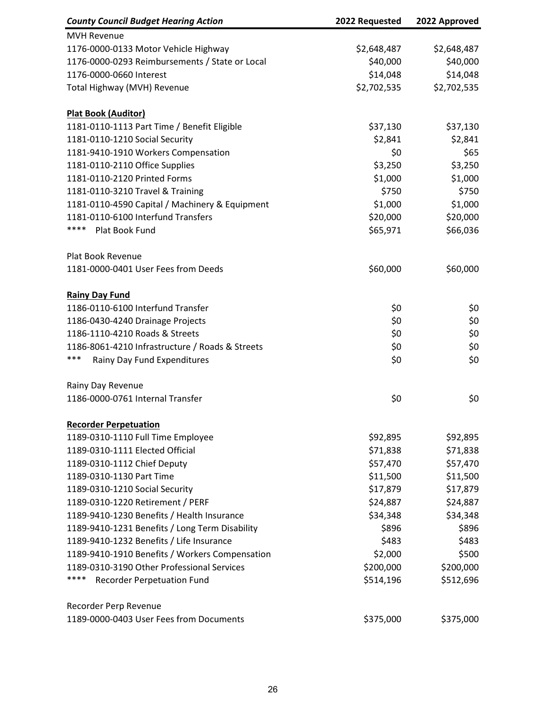| <b>County Council Budget Hearing Action</b>     | 2022 Requested | 2022 Approved |
|-------------------------------------------------|----------------|---------------|
| <b>MVH Revenue</b>                              |                |               |
| 1176-0000-0133 Motor Vehicle Highway            | \$2,648,487    | \$2,648,487   |
| 1176-0000-0293 Reimbursements / State or Local  | \$40,000       | \$40,000      |
| 1176-0000-0660 Interest                         | \$14,048       | \$14,048      |
| Total Highway (MVH) Revenue                     | \$2,702,535    | \$2,702,535   |
|                                                 |                |               |
| <b>Plat Book (Auditor)</b>                      |                |               |
| 1181-0110-1113 Part Time / Benefit Eligible     | \$37,130       | \$37,130      |
| 1181-0110-1210 Social Security                  | \$2,841        | \$2,841       |
| 1181-9410-1910 Workers Compensation             | \$0            | \$65          |
| 1181-0110-2110 Office Supplies                  | \$3,250        | \$3,250       |
| 1181-0110-2120 Printed Forms                    | \$1,000        | \$1,000       |
| 1181-0110-3210 Travel & Training                | \$750          | \$750         |
| 1181-0110-4590 Capital / Machinery & Equipment  | \$1,000        | \$1,000       |
| 1181-0110-6100 Interfund Transfers              | \$20,000       | \$20,000      |
| ****<br>Plat Book Fund                          | \$65,971       | \$66,036      |
| Plat Book Revenue                               |                |               |
| 1181-0000-0401 User Fees from Deeds             | \$60,000       | \$60,000      |
| <b>Rainy Day Fund</b>                           |                |               |
| 1186-0110-6100 Interfund Transfer               | \$0            | \$0           |
| 1186-0430-4240 Drainage Projects                | \$0            | \$0           |
| 1186-1110-4210 Roads & Streets                  | \$0            | \$0           |
| 1186-8061-4210 Infrastructure / Roads & Streets | \$0            | \$0           |
| ***<br>Rainy Day Fund Expenditures              | \$0            | \$0           |
| Rainy Day Revenue                               |                |               |
| 1186-0000-0761 Internal Transfer                | \$0            | \$0           |
|                                                 |                |               |
| <b>Recorder Perpetuation</b>                    |                |               |
| 1189-0310-1110 Full Time Employee               | \$92,895       | \$92,895      |
| 1189-0310-1111 Elected Official                 | \$71,838       | \$71,838      |
| 1189-0310-1112 Chief Deputy                     | \$57,470       | \$57,470      |
| 1189-0310-1130 Part Time                        | \$11,500       | \$11,500      |
| 1189-0310-1210 Social Security                  | \$17,879       | \$17,879      |
| 1189-0310-1220 Retirement / PERF                | \$24,887       | \$24,887      |
| 1189-9410-1230 Benefits / Health Insurance      | \$34,348       | \$34,348      |
| 1189-9410-1231 Benefits / Long Term Disability  | \$896          | \$896         |
| 1189-9410-1232 Benefits / Life Insurance        | \$483          | \$483         |
| 1189-9410-1910 Benefits / Workers Compensation  | \$2,000        | \$500         |
| 1189-0310-3190 Other Professional Services      | \$200,000      | \$200,000     |
| ****<br>Recorder Perpetuation Fund              | \$514,196      | \$512,696     |
| Recorder Perp Revenue                           |                |               |
| 1189-0000-0403 User Fees from Documents         | \$375,000      | \$375,000     |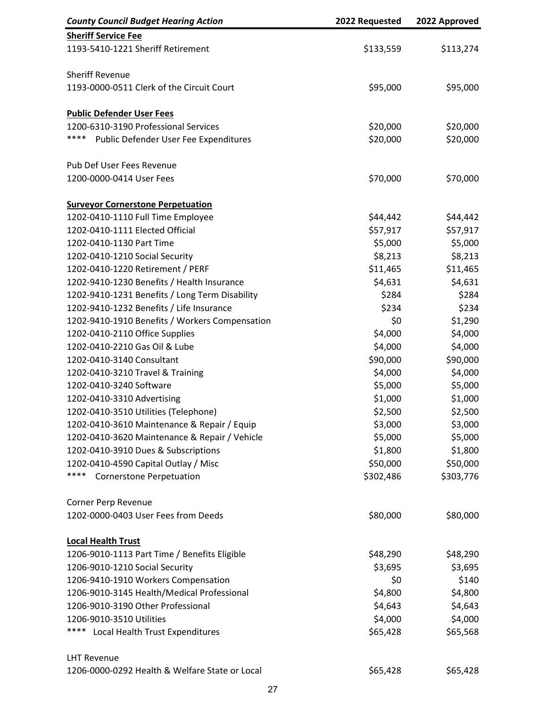| <b>County Council Budget Hearing Action</b>    | 2022 Requested | 2022 Approved |
|------------------------------------------------|----------------|---------------|
| <b>Sheriff Service Fee</b>                     |                |               |
| 1193-5410-1221 Sheriff Retirement              | \$133,559      | \$113,274     |
|                                                |                |               |
| <b>Sheriff Revenue</b>                         |                |               |
| 1193-0000-0511 Clerk of the Circuit Court      | \$95,000       | \$95,000      |
| <b>Public Defender User Fees</b>               |                |               |
| 1200-6310-3190 Professional Services           | \$20,000       | \$20,000      |
| ****<br>Public Defender User Fee Expenditures  | \$20,000       | \$20,000      |
| Pub Def User Fees Revenue                      |                |               |
| 1200-0000-0414 User Fees                       | \$70,000       | \$70,000      |
| <b>Surveyor Cornerstone Perpetuation</b>       |                |               |
| 1202-0410-1110 Full Time Employee              | \$44,442       | \$44,442      |
| 1202-0410-1111 Elected Official                | \$57,917       | \$57,917      |
| 1202-0410-1130 Part Time                       | \$5,000        | \$5,000       |
| 1202-0410-1210 Social Security                 | \$8,213        | \$8,213       |
| 1202-0410-1220 Retirement / PERF               | \$11,465       | \$11,465      |
| 1202-9410-1230 Benefits / Health Insurance     | \$4,631        | \$4,631       |
| 1202-9410-1231 Benefits / Long Term Disability | \$284          | \$284         |
| 1202-9410-1232 Benefits / Life Insurance       | \$234          | \$234         |
| 1202-9410-1910 Benefits / Workers Compensation | \$0            | \$1,290       |
| 1202-0410-2110 Office Supplies                 | \$4,000        | \$4,000       |
| 1202-0410-2210 Gas Oil & Lube                  | \$4,000        | \$4,000       |
| 1202-0410-3140 Consultant                      | \$90,000       | \$90,000      |
| 1202-0410-3210 Travel & Training               | \$4,000        | \$4,000       |
| 1202-0410-3240 Software                        | \$5,000        | \$5,000       |
| 1202-0410-3310 Advertising                     | \$1,000        | \$1,000       |
| 1202-0410-3510 Utilities (Telephone)           | \$2,500        | \$2,500       |
| 1202-0410-3610 Maintenance & Repair / Equip    | \$3,000        | \$3,000       |
| 1202-0410-3620 Maintenance & Repair / Vehicle  | \$5,000        | \$5,000       |
| 1202-0410-3910 Dues & Subscriptions            | \$1,800        | \$1,800       |
| 1202-0410-4590 Capital Outlay / Misc           | \$50,000       | \$50,000      |
| ****<br><b>Cornerstone Perpetuation</b>        | \$302,486      | \$303,776     |
| Corner Perp Revenue                            |                |               |
| 1202-0000-0403 User Fees from Deeds            | \$80,000       | \$80,000      |
| <b>Local Health Trust</b>                      |                |               |
| 1206-9010-1113 Part Time / Benefits Eligible   | \$48,290       | \$48,290      |
| 1206-9010-1210 Social Security                 | \$3,695        | \$3,695       |
| 1206-9410-1910 Workers Compensation            | \$0            | \$140         |
| 1206-9010-3145 Health/Medical Professional     | \$4,800        | \$4,800       |
| 1206-9010-3190 Other Professional              | \$4,643        | \$4,643       |
| 1206-9010-3510 Utilities                       | \$4,000        | \$4,000       |
| ****<br>Local Health Trust Expenditures        | \$65,428       | \$65,568      |
| <b>LHT Revenue</b>                             |                |               |
| 1206-0000-0292 Health & Welfare State or Local | \$65,428       | \$65,428      |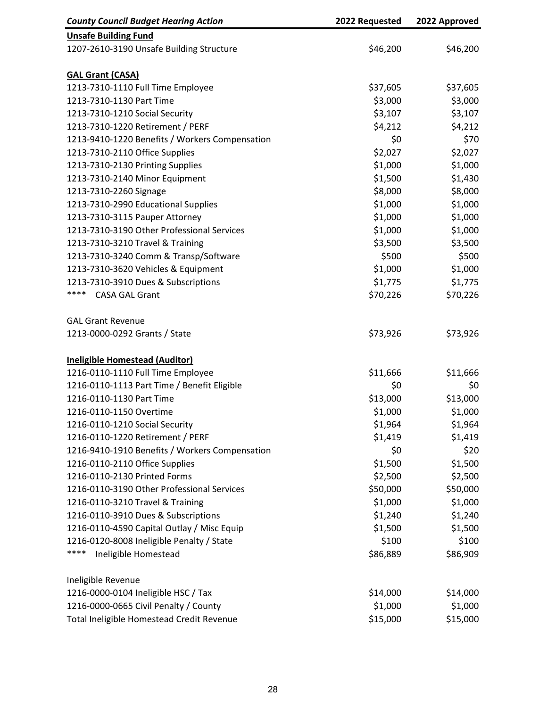| <b>County Council Budget Hearing Action</b>    | 2022 Requested | 2022 Approved |
|------------------------------------------------|----------------|---------------|
| <b>Unsafe Building Fund</b>                    |                |               |
| 1207-2610-3190 Unsafe Building Structure       | \$46,200       | \$46,200      |
| <b>GAL Grant (CASA)</b>                        |                |               |
| 1213-7310-1110 Full Time Employee              | \$37,605       | \$37,605      |
| 1213-7310-1130 Part Time                       | \$3,000        | \$3,000       |
| 1213-7310-1210 Social Security                 | \$3,107        | \$3,107       |
| 1213-7310-1220 Retirement / PERF               | \$4,212        | \$4,212       |
| 1213-9410-1220 Benefits / Workers Compensation | \$0            | \$70          |
| 1213-7310-2110 Office Supplies                 | \$2,027        | \$2,027       |
| 1213-7310-2130 Printing Supplies               | \$1,000        | \$1,000       |
| 1213-7310-2140 Minor Equipment                 | \$1,500        | \$1,430       |
| 1213-7310-2260 Signage                         | \$8,000        | \$8,000       |
| 1213-7310-2990 Educational Supplies            | \$1,000        | \$1,000       |
| 1213-7310-3115 Pauper Attorney                 | \$1,000        | \$1,000       |
| 1213-7310-3190 Other Professional Services     | \$1,000        | \$1,000       |
| 1213-7310-3210 Travel & Training               | \$3,500        | \$3,500       |
| 1213-7310-3240 Comm & Transp/Software          | \$500          | \$500         |
| 1213-7310-3620 Vehicles & Equipment            | \$1,000        | \$1,000       |
| 1213-7310-3910 Dues & Subscriptions            | \$1,775        | \$1,775       |
| ****<br><b>CASA GAL Grant</b>                  | \$70,226       | \$70,226      |
| <b>GAL Grant Revenue</b>                       |                |               |
| 1213-0000-0292 Grants / State                  | \$73,926       | \$73,926      |
| <b>Ineligible Homestead (Auditor)</b>          |                |               |
| 1216-0110-1110 Full Time Employee              | \$11,666       | \$11,666      |
| 1216-0110-1113 Part Time / Benefit Eligible    | \$0            | \$0           |
| 1216-0110-1130 Part Time                       | \$13,000       | \$13,000      |
| 1216-0110-1150 Overtime                        | \$1,000        | \$1,000       |
| 1216-0110-1210 Social Security                 | \$1,964        | \$1,964       |
| 1216-0110-1220 Retirement / PERF               | \$1,419        | \$1,419       |
| 1216-9410-1910 Benefits / Workers Compensation | \$0            | \$20          |
| 1216-0110-2110 Office Supplies                 | \$1,500        | \$1,500       |
| 1216-0110-2130 Printed Forms                   | \$2,500        | \$2,500       |
| 1216-0110-3190 Other Professional Services     | \$50,000       | \$50,000      |
| 1216-0110-3210 Travel & Training               | \$1,000        | \$1,000       |
| 1216-0110-3910 Dues & Subscriptions            | \$1,240        | \$1,240       |
| 1216-0110-4590 Capital Outlay / Misc Equip     | \$1,500        | \$1,500       |
| 1216-0120-8008 Ineligible Penalty / State      | \$100          | \$100         |
| ****<br>Ineligible Homestead                   | \$86,889       | \$86,909      |
| Ineligible Revenue                             |                |               |
| 1216-0000-0104 Ineligible HSC / Tax            | \$14,000       | \$14,000      |
| 1216-0000-0665 Civil Penalty / County          | \$1,000        | \$1,000       |
| Total Ineligible Homestead Credit Revenue      | \$15,000       | \$15,000      |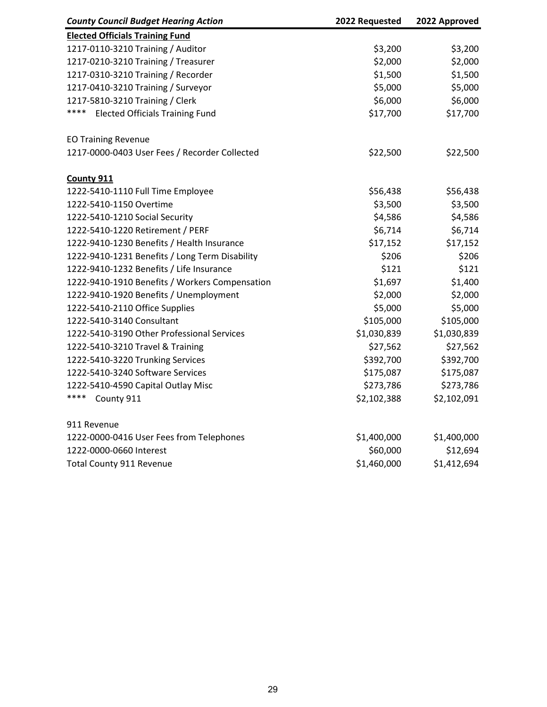| <b>County Council Budget Hearing Action</b>    | 2022 Requested | 2022 Approved |
|------------------------------------------------|----------------|---------------|
| <b>Elected Officials Training Fund</b>         |                |               |
| 1217-0110-3210 Training / Auditor              | \$3,200        | \$3,200       |
| 1217-0210-3210 Training / Treasurer            | \$2,000        | \$2,000       |
| 1217-0310-3210 Training / Recorder             | \$1,500        | \$1,500       |
| 1217-0410-3210 Training / Surveyor             | \$5,000        | \$5,000       |
| 1217-5810-3210 Training / Clerk                | \$6,000        | \$6,000       |
| ****<br><b>Elected Officials Training Fund</b> | \$17,700       | \$17,700      |
| <b>EO Training Revenue</b>                     |                |               |
| 1217-0000-0403 User Fees / Recorder Collected  | \$22,500       | \$22,500      |
| County 911                                     |                |               |
| 1222-5410-1110 Full Time Employee              | \$56,438       | \$56,438      |
| 1222-5410-1150 Overtime                        | \$3,500        | \$3,500       |
| 1222-5410-1210 Social Security                 | \$4,586        | \$4,586       |
| 1222-5410-1220 Retirement / PERF               | \$6,714        | \$6,714       |
| 1222-9410-1230 Benefits / Health Insurance     | \$17,152       | \$17,152      |
| 1222-9410-1231 Benefits / Long Term Disability | \$206          | \$206         |
| 1222-9410-1232 Benefits / Life Insurance       | \$121          | \$121         |
| 1222-9410-1910 Benefits / Workers Compensation | \$1,697        | \$1,400       |
| 1222-9410-1920 Benefits / Unemployment         | \$2,000        | \$2,000       |
| 1222-5410-2110 Office Supplies                 | \$5,000        | \$5,000       |
| 1222-5410-3140 Consultant                      | \$105,000      | \$105,000     |
| 1222-5410-3190 Other Professional Services     | \$1,030,839    | \$1,030,839   |
| 1222-5410-3210 Travel & Training               | \$27,562       | \$27,562      |
| 1222-5410-3220 Trunking Services               | \$392,700      | \$392,700     |
| 1222-5410-3240 Software Services               | \$175,087      | \$175,087     |
| 1222-5410-4590 Capital Outlay Misc             | \$273,786      | \$273,786     |
| ****<br>County 911                             | \$2,102,388    | \$2,102,091   |
| 911 Revenue                                    |                |               |
| 1222-0000-0416 User Fees from Telephones       | \$1,400,000    | \$1,400,000   |
| 1222-0000-0660 Interest                        | \$60,000       | \$12,694      |
| <b>Total County 911 Revenue</b>                | \$1,460,000    | \$1,412,694   |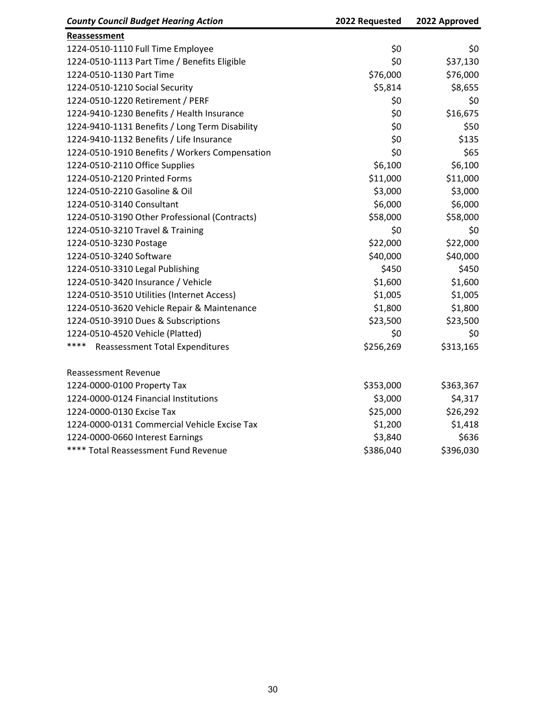| <b>County Council Budget Hearing Action</b>    | 2022 Requested | 2022 Approved |
|------------------------------------------------|----------------|---------------|
| Reassessment                                   |                |               |
| 1224-0510-1110 Full Time Employee              | \$0            | \$0           |
| 1224-0510-1113 Part Time / Benefits Eligible   | \$0            | \$37,130      |
| 1224-0510-1130 Part Time                       | \$76,000       | \$76,000      |
| 1224-0510-1210 Social Security                 | \$5,814        | \$8,655       |
| 1224-0510-1220 Retirement / PERF               | \$0            | \$0           |
| 1224-9410-1230 Benefits / Health Insurance     | \$0            | \$16,675      |
| 1224-9410-1131 Benefits / Long Term Disability | \$0            | \$50          |
| 1224-9410-1132 Benefits / Life Insurance       | \$0            | \$135         |
| 1224-0510-1910 Benefits / Workers Compensation | \$0            | \$65          |
| 1224-0510-2110 Office Supplies                 | \$6,100        | \$6,100       |
| 1224-0510-2120 Printed Forms                   | \$11,000       | \$11,000      |
| 1224-0510-2210 Gasoline & Oil                  | \$3,000        | \$3,000       |
| 1224-0510-3140 Consultant                      | \$6,000        | \$6,000       |
| 1224-0510-3190 Other Professional (Contracts)  | \$58,000       | \$58,000      |
| 1224-0510-3210 Travel & Training               | \$0            | \$0           |
| 1224-0510-3230 Postage                         | \$22,000       | \$22,000      |
| 1224-0510-3240 Software                        | \$40,000       | \$40,000      |
| 1224-0510-3310 Legal Publishing                | \$450          | \$450         |
| 1224-0510-3420 Insurance / Vehicle             | \$1,600        | \$1,600       |
| 1224-0510-3510 Utilities (Internet Access)     | \$1,005        | \$1,005       |
| 1224-0510-3620 Vehicle Repair & Maintenance    | \$1,800        | \$1,800       |
| 1224-0510-3910 Dues & Subscriptions            | \$23,500       | \$23,500      |
| 1224-0510-4520 Vehicle (Platted)               | \$0            | \$0           |
| ****<br><b>Reassessment Total Expenditures</b> | \$256,269      | \$313,165     |
| <b>Reassessment Revenue</b>                    |                |               |
| 1224-0000-0100 Property Tax                    | \$353,000      | \$363,367     |
| 1224-0000-0124 Financial Institutions          | \$3,000        | \$4,317       |
| 1224-0000-0130 Excise Tax                      | \$25,000       | \$26,292      |
| 1224-0000-0131 Commercial Vehicle Excise Tax   | \$1,200        | \$1,418       |
| 1224-0000-0660 Interest Earnings               | \$3,840        | \$636         |
| **** Total Reassessment Fund Revenue           | \$386,040      | \$396,030     |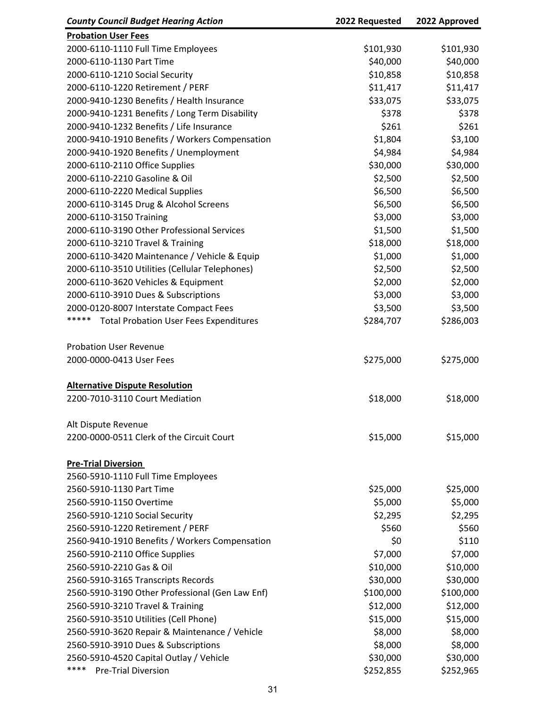| <b>County Council Budget Hearing Action</b>            | 2022 Requested | 2022 Approved |
|--------------------------------------------------------|----------------|---------------|
| <b>Probation User Fees</b>                             |                |               |
| 2000-6110-1110 Full Time Employees                     | \$101,930      | \$101,930     |
| 2000-6110-1130 Part Time                               | \$40,000       | \$40,000      |
| 2000-6110-1210 Social Security                         | \$10,858       | \$10,858      |
| 2000-6110-1220 Retirement / PERF                       | \$11,417       | \$11,417      |
| 2000-9410-1230 Benefits / Health Insurance             | \$33,075       | \$33,075      |
| 2000-9410-1231 Benefits / Long Term Disability         | \$378          | \$378         |
| 2000-9410-1232 Benefits / Life Insurance               | \$261          | \$261         |
| 2000-9410-1910 Benefits / Workers Compensation         | \$1,804        | \$3,100       |
| 2000-9410-1920 Benefits / Unemployment                 | \$4,984        | \$4,984       |
| 2000-6110-2110 Office Supplies                         | \$30,000       | \$30,000      |
| 2000-6110-2210 Gasoline & Oil                          | \$2,500        | \$2,500       |
| 2000-6110-2220 Medical Supplies                        | \$6,500        | \$6,500       |
| 2000-6110-3145 Drug & Alcohol Screens                  | \$6,500        | \$6,500       |
| 2000-6110-3150 Training                                | \$3,000        | \$3,000       |
| 2000-6110-3190 Other Professional Services             | \$1,500        | \$1,500       |
| 2000-6110-3210 Travel & Training                       | \$18,000       | \$18,000      |
| 2000-6110-3420 Maintenance / Vehicle & Equip           | \$1,000        | \$1,000       |
| 2000-6110-3510 Utilities (Cellular Telephones)         | \$2,500        | \$2,500       |
| 2000-6110-3620 Vehicles & Equipment                    | \$2,000        | \$2,000       |
| 2000-6110-3910 Dues & Subscriptions                    | \$3,000        | \$3,000       |
| 2000-0120-8007 Interstate Compact Fees                 | \$3,500        | \$3,500       |
| *****<br><b>Total Probation User Fees Expenditures</b> | \$284,707      | \$286,003     |
|                                                        |                |               |
| <b>Probation User Revenue</b>                          |                |               |
| 2000-0000-0413 User Fees                               | \$275,000      | \$275,000     |
|                                                        |                |               |
| <b>Alternative Dispute Resolution</b>                  |                |               |
| 2200-7010-3110 Court Mediation                         | \$18,000       | \$18,000      |
|                                                        |                |               |
| Alt Dispute Revenue                                    |                |               |
| 2200-0000-0511 Clerk of the Circuit Court              | \$15,000       | \$15,000      |
|                                                        |                |               |
| <b>Pre-Trial Diversion</b>                             |                |               |
| 2560-5910-1110 Full Time Employees                     |                |               |
| 2560-5910-1130 Part Time                               | \$25,000       | \$25,000      |
| 2560-5910-1150 Overtime                                | \$5,000        | \$5,000       |
| 2560-5910-1210 Social Security                         | \$2,295        | \$2,295       |
| 2560-5910-1220 Retirement / PERF                       | \$560          | \$560         |
| 2560-9410-1910 Benefits / Workers Compensation         | \$0            | \$110         |
| 2560-5910-2110 Office Supplies                         | \$7,000        | \$7,000       |
| 2560-5910-2210 Gas & Oil                               | \$10,000       | \$10,000      |
| 2560-5910-3165 Transcripts Records                     | \$30,000       | \$30,000      |
| 2560-5910-3190 Other Professional (Gen Law Enf)        | \$100,000      | \$100,000     |
| 2560-5910-3210 Travel & Training                       | \$12,000       | \$12,000      |
| 2560-5910-3510 Utilities (Cell Phone)                  | \$15,000       | \$15,000      |
| 2560-5910-3620 Repair & Maintenance / Vehicle          | \$8,000        | \$8,000       |
| 2560-5910-3910 Dues & Subscriptions                    | \$8,000        | \$8,000       |
| 2560-5910-4520 Capital Outlay / Vehicle                | \$30,000       | \$30,000      |
| ****<br><b>Pre-Trial Diversion</b>                     | \$252,855      | \$252,965     |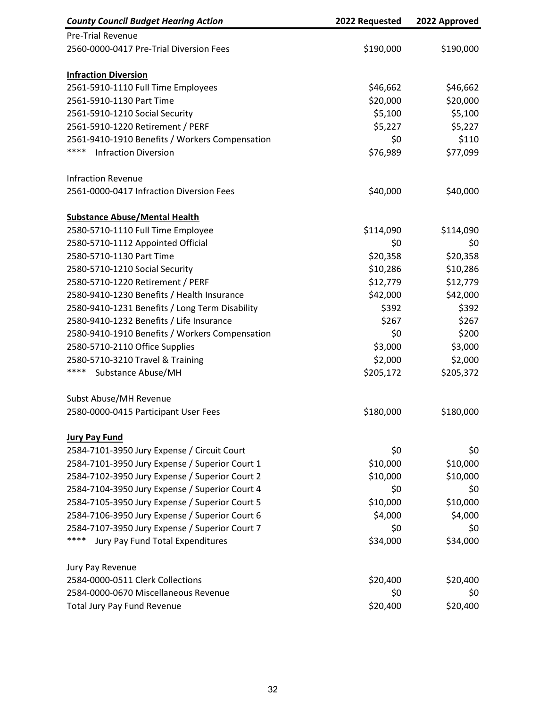| <b>County Council Budget Hearing Action</b>    | 2022 Requested | 2022 Approved |
|------------------------------------------------|----------------|---------------|
| <b>Pre-Trial Revenue</b>                       |                |               |
| 2560-0000-0417 Pre-Trial Diversion Fees        | \$190,000      | \$190,000     |
| <b>Infraction Diversion</b>                    |                |               |
| 2561-5910-1110 Full Time Employees             | \$46,662       | \$46,662      |
| 2561-5910-1130 Part Time                       | \$20,000       | \$20,000      |
| 2561-5910-1210 Social Security                 | \$5,100        | \$5,100       |
| 2561-5910-1220 Retirement / PERF               | \$5,227        | \$5,227       |
| 2561-9410-1910 Benefits / Workers Compensation | \$0            | \$110         |
| ****<br><b>Infraction Diversion</b>            | \$76,989       | \$77,099      |
| <b>Infraction Revenue</b>                      |                |               |
| 2561-0000-0417 Infraction Diversion Fees       | \$40,000       | \$40,000      |
| <b>Substance Abuse/Mental Health</b>           |                |               |
| 2580-5710-1110 Full Time Employee              | \$114,090      | \$114,090     |
| 2580-5710-1112 Appointed Official              | \$0            | \$0           |
| 2580-5710-1130 Part Time                       | \$20,358       | \$20,358      |
| 2580-5710-1210 Social Security                 | \$10,286       | \$10,286      |
| 2580-5710-1220 Retirement / PERF               | \$12,779       | \$12,779      |
| 2580-9410-1230 Benefits / Health Insurance     | \$42,000       | \$42,000      |
| 2580-9410-1231 Benefits / Long Term Disability | \$392          | \$392         |
| 2580-9410-1232 Benefits / Life Insurance       | \$267          | \$267         |
| 2580-9410-1910 Benefits / Workers Compensation | \$0            | \$200         |
| 2580-5710-2110 Office Supplies                 | \$3,000        | \$3,000       |
| 2580-5710-3210 Travel & Training               | \$2,000        | \$2,000       |
| ****<br>Substance Abuse/MH                     | \$205,172      | \$205,372     |
| Subst Abuse/MH Revenue                         |                |               |
| 2580-0000-0415 Participant User Fees           | \$180,000      | \$180,000     |
| <b>Jury Pay Fund</b>                           |                |               |
| 2584-7101-3950 Jury Expense / Circuit Court    | \$0            | \$0           |
| 2584-7101-3950 Jury Expense / Superior Court 1 | \$10,000       | \$10,000      |
| 2584-7102-3950 Jury Expense / Superior Court 2 | \$10,000       | \$10,000      |
| 2584-7104-3950 Jury Expense / Superior Court 4 | \$0            | \$0           |
| 2584-7105-3950 Jury Expense / Superior Court 5 | \$10,000       | \$10,000      |
| 2584-7106-3950 Jury Expense / Superior Court 6 | \$4,000        | \$4,000       |
| 2584-7107-3950 Jury Expense / Superior Court 7 | \$0            | \$0           |
| ****<br>Jury Pay Fund Total Expenditures       | \$34,000       | \$34,000      |
| Jury Pay Revenue                               |                |               |
| 2584-0000-0511 Clerk Collections               | \$20,400       | \$20,400      |
| 2584-0000-0670 Miscellaneous Revenue           | \$0            | \$0           |
| <b>Total Jury Pay Fund Revenue</b>             | \$20,400       | \$20,400      |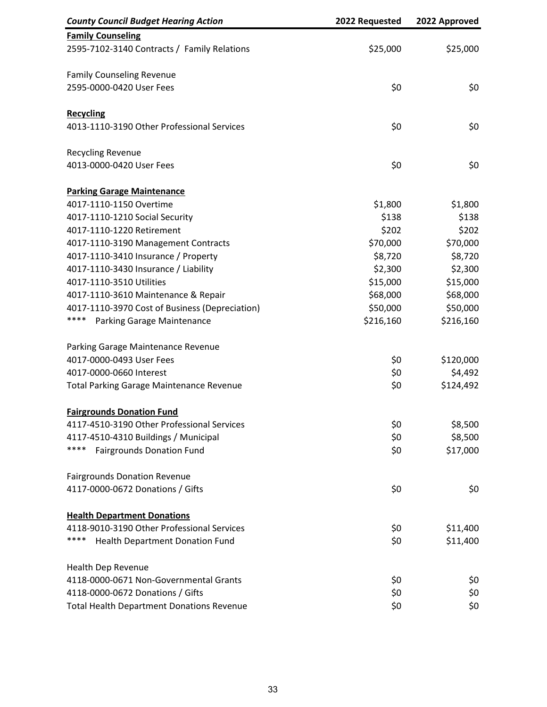| <b>County Council Budget Hearing Action</b>      | 2022 Requested | 2022 Approved |
|--------------------------------------------------|----------------|---------------|
| <b>Family Counseling</b>                         |                |               |
| 2595-7102-3140 Contracts / Family Relations      | \$25,000       | \$25,000      |
| <b>Family Counseling Revenue</b>                 |                |               |
| 2595-0000-0420 User Fees                         | \$0            | \$0           |
| <b>Recycling</b>                                 |                |               |
| 4013-1110-3190 Other Professional Services       | \$0            | \$0           |
| <b>Recycling Revenue</b>                         |                |               |
| 4013-0000-0420 User Fees                         | \$0            | \$0           |
| <b>Parking Garage Maintenance</b>                |                |               |
| 4017-1110-1150 Overtime                          | \$1,800        | \$1,800       |
| 4017-1110-1210 Social Security                   | \$138          | \$138         |
| 4017-1110-1220 Retirement                        | \$202          | \$202         |
| 4017-1110-3190 Management Contracts              | \$70,000       | \$70,000      |
| 4017-1110-3410 Insurance / Property              | \$8,720        | \$8,720       |
| 4017-1110-3430 Insurance / Liability             | \$2,300        | \$2,300       |
| 4017-1110-3510 Utilities                         | \$15,000       | \$15,000      |
| 4017-1110-3610 Maintenance & Repair              | \$68,000       | \$68,000      |
| 4017-1110-3970 Cost of Business (Depreciation)   | \$50,000       | \$50,000      |
| ****<br>Parking Garage Maintenance               | \$216,160      | \$216,160     |
| Parking Garage Maintenance Revenue               |                |               |
| 4017-0000-0493 User Fees                         | \$0            | \$120,000     |
| 4017-0000-0660 Interest                          | \$0            | \$4,492       |
| <b>Total Parking Garage Maintenance Revenue</b>  | \$0            | \$124,492     |
| <b>Fairgrounds Donation Fund</b>                 |                |               |
| 4117-4510-3190 Other Professional Services       | \$0            | \$8,500       |
| 4117-4510-4310 Buildings / Municipal             | \$0            | \$8,500       |
| ****<br><b>Fairgrounds Donation Fund</b>         | \$0            | \$17,000      |
| <b>Fairgrounds Donation Revenue</b>              |                |               |
| 4117-0000-0672 Donations / Gifts                 | \$0            | \$0           |
| <b>Health Department Donations</b>               |                |               |
| 4118-9010-3190 Other Professional Services       | \$0            | \$11,400      |
| ****<br>Health Department Donation Fund          | \$0            | \$11,400      |
| <b>Health Dep Revenue</b>                        |                |               |
| 4118-0000-0671 Non-Governmental Grants           | \$0            | \$0           |
| 4118-0000-0672 Donations / Gifts                 | \$0            | \$0           |
| <b>Total Health Department Donations Revenue</b> | \$0            | \$0           |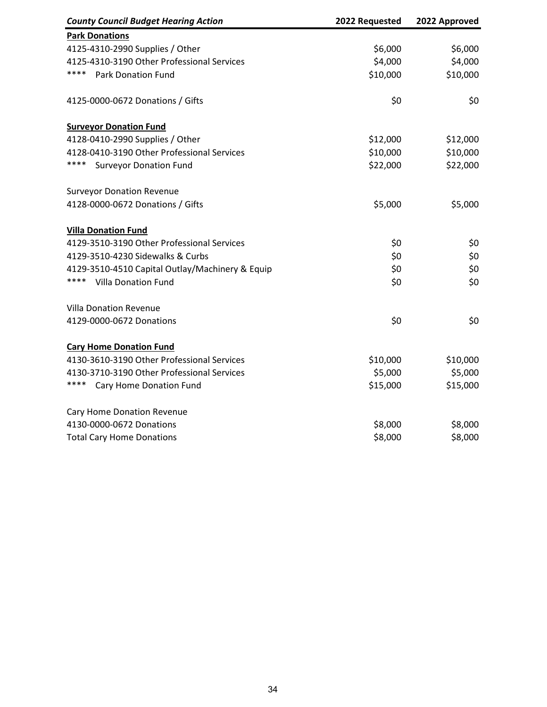| <b>County Council Budget Hearing Action</b>     | 2022 Requested | 2022 Approved |
|-------------------------------------------------|----------------|---------------|
| <b>Park Donations</b>                           |                |               |
| 4125-4310-2990 Supplies / Other                 | \$6,000        | \$6,000       |
| 4125-4310-3190 Other Professional Services      | \$4,000        | \$4,000       |
| ****<br><b>Park Donation Fund</b>               | \$10,000       | \$10,000      |
| 4125-0000-0672 Donations / Gifts                | \$0            | \$0           |
| <b>Surveyor Donation Fund</b>                   |                |               |
| 4128-0410-2990 Supplies / Other                 | \$12,000       | \$12,000      |
| 4128-0410-3190 Other Professional Services      | \$10,000       | \$10,000      |
| ****<br><b>Surveyor Donation Fund</b>           | \$22,000       | \$22,000      |
| <b>Surveyor Donation Revenue</b>                |                |               |
| 4128-0000-0672 Donations / Gifts                | \$5,000        | \$5,000       |
| <b>Villa Donation Fund</b>                      |                |               |
| 4129-3510-3190 Other Professional Services      | \$0            | \$0           |
| 4129-3510-4230 Sidewalks & Curbs                | \$0            | \$0           |
| 4129-3510-4510 Capital Outlay/Machinery & Equip | \$0            | \$0           |
| ****<br><b>Villa Donation Fund</b>              | \$0            | \$0           |
| <b>Villa Donation Revenue</b>                   |                |               |
| 4129-0000-0672 Donations                        | \$0            | \$0           |
| <b>Cary Home Donation Fund</b>                  |                |               |
| 4130-3610-3190 Other Professional Services      | \$10,000       | \$10,000      |
| 4130-3710-3190 Other Professional Services      | \$5,000        | \$5,000       |
| ****<br>Cary Home Donation Fund                 | \$15,000       | \$15,000      |
| Cary Home Donation Revenue                      |                |               |
| 4130-0000-0672 Donations                        | \$8,000        | \$8,000       |
| <b>Total Cary Home Donations</b>                | \$8,000        | \$8,000       |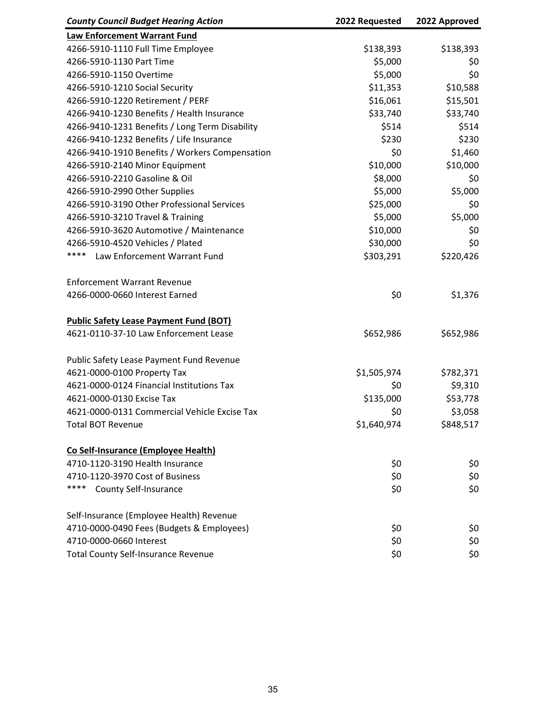| <b>County Council Budget Hearing Action</b>    | 2022 Requested | 2022 Approved |
|------------------------------------------------|----------------|---------------|
| Law Enforcement Warrant Fund                   |                |               |
| 4266-5910-1110 Full Time Employee              | \$138,393      | \$138,393     |
| 4266-5910-1130 Part Time                       | \$5,000        | \$0           |
| 4266-5910-1150 Overtime                        | \$5,000        | \$0           |
| 4266-5910-1210 Social Security                 | \$11,353       | \$10,588      |
| 4266-5910-1220 Retirement / PERF               | \$16,061       | \$15,501      |
| 4266-9410-1230 Benefits / Health Insurance     | \$33,740       | \$33,740      |
| 4266-9410-1231 Benefits / Long Term Disability | \$514          | \$514         |
| 4266-9410-1232 Benefits / Life Insurance       | \$230          | \$230         |
| 4266-9410-1910 Benefits / Workers Compensation | \$0            | \$1,460       |
| 4266-5910-2140 Minor Equipment                 | \$10,000       | \$10,000      |
| 4266-5910-2210 Gasoline & Oil                  | \$8,000        | \$0           |
| 4266-5910-2990 Other Supplies                  | \$5,000        | \$5,000       |
| 4266-5910-3190 Other Professional Services     | \$25,000       | \$0           |
| 4266-5910-3210 Travel & Training               | \$5,000        | \$5,000       |
| 4266-5910-3620 Automotive / Maintenance        | \$10,000       | \$0           |
| 4266-5910-4520 Vehicles / Plated               | \$30,000       | \$0           |
| ****<br>Law Enforcement Warrant Fund           | \$303,291      | \$220,426     |
| <b>Enforcement Warrant Revenue</b>             |                |               |
| 4266-0000-0660 Interest Earned                 | \$0            | \$1,376       |
| <b>Public Safety Lease Payment Fund (BOT)</b>  |                |               |
| 4621-0110-37-10 Law Enforcement Lease          | \$652,986      | \$652,986     |
| Public Safety Lease Payment Fund Revenue       |                |               |
| 4621-0000-0100 Property Tax                    | \$1,505,974    | \$782,371     |
| 4621-0000-0124 Financial Institutions Tax      | \$0            | \$9,310       |
| 4621-0000-0130 Excise Tax                      | \$135,000      | \$53,778      |
| 4621-0000-0131 Commercial Vehicle Excise Tax   | \$0            | \$3,058       |
| <b>Total BOT Revenue</b>                       | \$1,640,974    | \$848,517     |
| Co Self-Insurance (Employee Health)            |                |               |
| 4710-1120-3190 Health Insurance                | \$0            | \$0           |
| 4710-1120-3970 Cost of Business                | \$0            | \$0           |
| ****<br><b>County Self-Insurance</b>           | \$0            | \$0           |
| Self-Insurance (Employee Health) Revenue       |                |               |
| 4710-0000-0490 Fees (Budgets & Employees)      | \$0            | \$0           |
| 4710-0000-0660 Interest                        | \$0            | \$0           |
| <b>Total County Self-Insurance Revenue</b>     | \$0            | \$0           |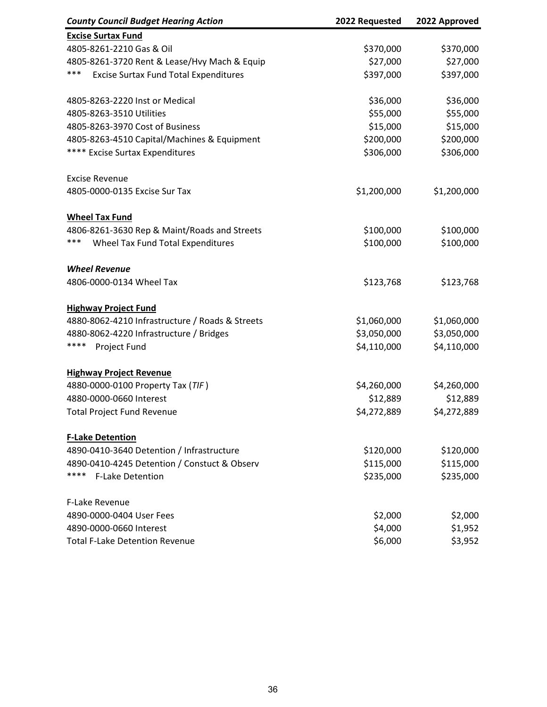| <b>County Council Budget Hearing Action</b>         | 2022 Requested | 2022 Approved |
|-----------------------------------------------------|----------------|---------------|
| <b>Excise Surtax Fund</b>                           |                |               |
| 4805-8261-2210 Gas & Oil                            | \$370,000      | \$370,000     |
| 4805-8261-3720 Rent & Lease/Hvy Mach & Equip        | \$27,000       | \$27,000      |
| ***<br><b>Excise Surtax Fund Total Expenditures</b> | \$397,000      | \$397,000     |
| 4805-8263-2220 Inst or Medical                      | \$36,000       | \$36,000      |
| 4805-8263-3510 Utilities                            | \$55,000       | \$55,000      |
| 4805-8263-3970 Cost of Business                     | \$15,000       | \$15,000      |
| 4805-8263-4510 Capital/Machines & Equipment         | \$200,000      | \$200,000     |
| **** Excise Surtax Expenditures                     | \$306,000      | \$306,000     |
| <b>Excise Revenue</b>                               |                |               |
| 4805-0000-0135 Excise Sur Tax                       | \$1,200,000    | \$1,200,000   |
| <b>Wheel Tax Fund</b>                               |                |               |
| 4806-8261-3630 Rep & Maint/Roads and Streets        | \$100,000      | \$100,000     |
| ***<br>Wheel Tax Fund Total Expenditures            | \$100,000      | \$100,000     |
| <b>Wheel Revenue</b>                                |                |               |
| 4806-0000-0134 Wheel Tax                            | \$123,768      | \$123,768     |
| <b>Highway Project Fund</b>                         |                |               |
| 4880-8062-4210 Infrastructure / Roads & Streets     | \$1,060,000    | \$1,060,000   |
| 4880-8062-4220 Infrastructure / Bridges             | \$3,050,000    | \$3,050,000   |
| ****<br>Project Fund                                | \$4,110,000    | \$4,110,000   |
| <b>Highway Project Revenue</b>                      |                |               |
| 4880-0000-0100 Property Tax (TIF)                   | \$4,260,000    | \$4,260,000   |
| 4880-0000-0660 Interest                             | \$12,889       | \$12,889      |
| <b>Total Project Fund Revenue</b>                   | \$4,272,889    | \$4,272,889   |
| <b>F-Lake Detention</b>                             |                |               |
| 4890-0410-3640 Detention / Infrastructure           | \$120,000      | \$120,000     |
| 4890-0410-4245 Detention / Constuct & Observ        | \$115,000      | \$115,000     |
| ****<br><b>F-Lake Detention</b>                     | \$235,000      | \$235,000     |
| F-Lake Revenue                                      |                |               |
| 4890-0000-0404 User Fees                            | \$2,000        | \$2,000       |
| 4890-0000-0660 Interest                             | \$4,000        | \$1,952       |
| <b>Total F-Lake Detention Revenue</b>               | \$6,000        | \$3,952       |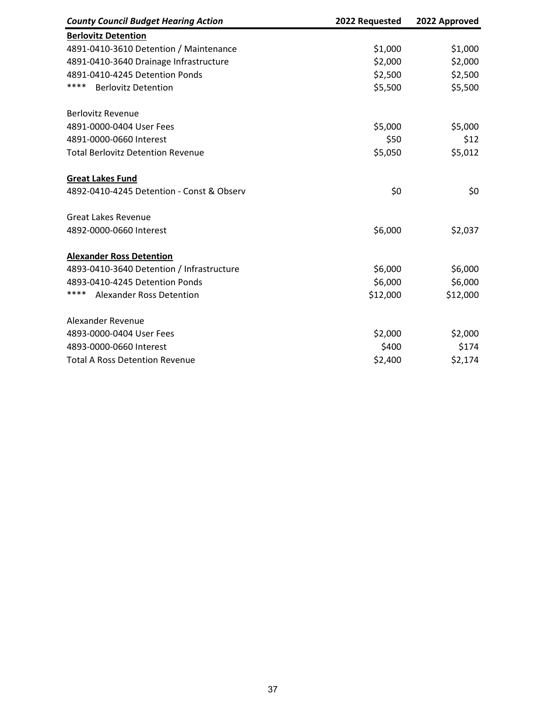| <b>County Council Budget Hearing Action</b> | 2022 Requested | 2022 Approved |
|---------------------------------------------|----------------|---------------|
| <b>Berlovitz Detention</b>                  |                |               |
| 4891-0410-3610 Detention / Maintenance      | \$1,000        | \$1,000       |
| 4891-0410-3640 Drainage Infrastructure      | \$2,000        | \$2,000       |
| 4891-0410-4245 Detention Ponds              | \$2,500        | \$2,500       |
| ****<br><b>Berlovitz Detention</b>          | \$5,500        | \$5,500       |
| <b>Berlovitz Revenue</b>                    |                |               |
| 4891-0000-0404 User Fees                    | \$5,000        | \$5,000       |
| 4891-0000-0660 Interest                     | \$50           | \$12          |
| <b>Total Berlovitz Detention Revenue</b>    | \$5,050        | \$5,012       |
| <b>Great Lakes Fund</b>                     |                |               |
| 4892-0410-4245 Detention - Const & Observ   | \$0            | \$0           |
| <b>Great Lakes Revenue</b>                  |                |               |
| 4892-0000-0660 Interest                     | \$6,000        | \$2,037       |
| <b>Alexander Ross Detention</b>             |                |               |
| 4893-0410-3640 Detention / Infrastructure   | \$6,000        | \$6,000       |
| 4893-0410-4245 Detention Ponds              | \$6,000        | \$6,000       |
| ****<br><b>Alexander Ross Detention</b>     | \$12,000       | \$12,000      |
| Alexander Revenue                           |                |               |
| 4893-0000-0404 User Fees                    | \$2,000        | \$2,000       |
| 4893-0000-0660 Interest                     | \$400          | \$174         |
| <b>Total A Ross Detention Revenue</b>       | \$2,400        | \$2,174       |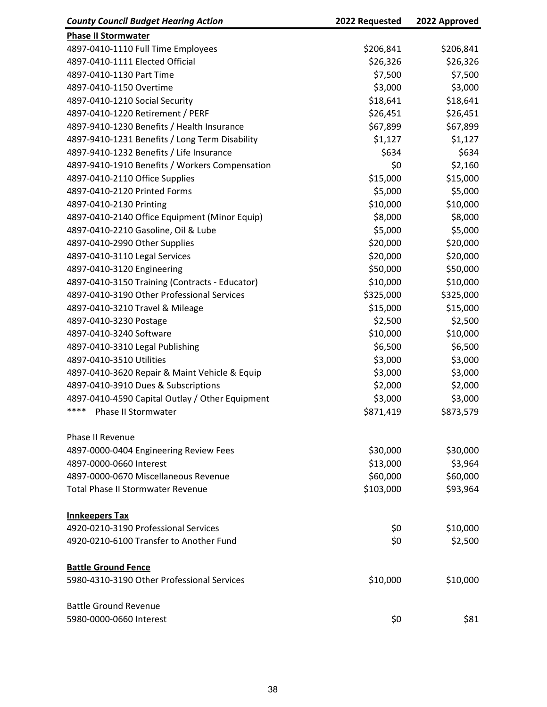| <b>County Council Budget Hearing Action</b>     | 2022 Requested | 2022 Approved |
|-------------------------------------------------|----------------|---------------|
| <b>Phase II Stormwater</b>                      |                |               |
| 4897-0410-1110 Full Time Employees              | \$206,841      | \$206,841     |
| 4897-0410-1111 Elected Official                 | \$26,326       | \$26,326      |
| 4897-0410-1130 Part Time                        | \$7,500        | \$7,500       |
| 4897-0410-1150 Overtime                         | \$3,000        | \$3,000       |
| 4897-0410-1210 Social Security                  | \$18,641       | \$18,641      |
| 4897-0410-1220 Retirement / PERF                | \$26,451       | \$26,451      |
| 4897-9410-1230 Benefits / Health Insurance      | \$67,899       | \$67,899      |
| 4897-9410-1231 Benefits / Long Term Disability  | \$1,127        | \$1,127       |
| 4897-9410-1232 Benefits / Life Insurance        | \$634          | \$634         |
| 4897-9410-1910 Benefits / Workers Compensation  | \$0            | \$2,160       |
| 4897-0410-2110 Office Supplies                  | \$15,000       | \$15,000      |
| 4897-0410-2120 Printed Forms                    | \$5,000        | \$5,000       |
| 4897-0410-2130 Printing                         | \$10,000       | \$10,000      |
| 4897-0410-2140 Office Equipment (Minor Equip)   | \$8,000        | \$8,000       |
| 4897-0410-2210 Gasoline, Oil & Lube             | \$5,000        | \$5,000       |
| 4897-0410-2990 Other Supplies                   | \$20,000       | \$20,000      |
| 4897-0410-3110 Legal Services                   | \$20,000       | \$20,000      |
| 4897-0410-3120 Engineering                      | \$50,000       | \$50,000      |
| 4897-0410-3150 Training (Contracts - Educator)  | \$10,000       | \$10,000      |
| 4897-0410-3190 Other Professional Services      | \$325,000      | \$325,000     |
| 4897-0410-3210 Travel & Mileage                 | \$15,000       | \$15,000      |
| 4897-0410-3230 Postage                          | \$2,500        | \$2,500       |
| 4897-0410-3240 Software                         | \$10,000       | \$10,000      |
| 4897-0410-3310 Legal Publishing                 | \$6,500        | \$6,500       |
| 4897-0410-3510 Utilities                        | \$3,000        | \$3,000       |
| 4897-0410-3620 Repair & Maint Vehicle & Equip   | \$3,000        | \$3,000       |
| 4897-0410-3910 Dues & Subscriptions             | \$2,000        | \$2,000       |
| 4897-0410-4590 Capital Outlay / Other Equipment | \$3,000        | \$3,000       |
| ****<br>Phase II Stormwater                     | \$871,419      | \$873,579     |
|                                                 |                |               |
| <b>Phase II Revenue</b>                         |                |               |
| 4897-0000-0404 Engineering Review Fees          | \$30,000       | \$30,000      |
| 4897-0000-0660 Interest                         | \$13,000       | \$3,964       |
| 4897-0000-0670 Miscellaneous Revenue            | \$60,000       | \$60,000      |
| <b>Total Phase II Stormwater Revenue</b>        | \$103,000      | \$93,964      |
| <b>Innkeepers Tax</b>                           |                |               |
| 4920-0210-3190 Professional Services            | \$0            | \$10,000      |
| 4920-0210-6100 Transfer to Another Fund         | \$0            | \$2,500       |
| <b>Battle Ground Fence</b>                      |                |               |
| 5980-4310-3190 Other Professional Services      | \$10,000       | \$10,000      |
|                                                 |                |               |
| <b>Battle Ground Revenue</b>                    |                |               |
| 5980-0000-0660 Interest                         | \$0            | \$81          |